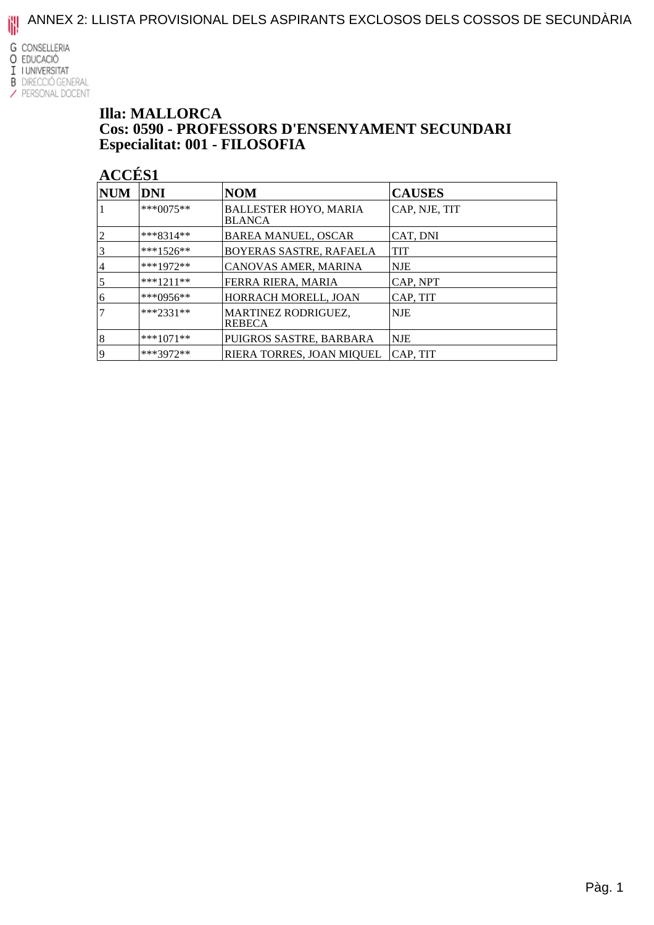ANNEX 2: LLISTA PROVISIONAL DELS ASPIRANTS EXCLOSOS DELS COSSOS DE SECUNDÀRIA

**G** CONSELLERIA O EDUCACIÓ I I UNIVERSITAT

#### **B** DIRECCIÓ GENERAL / PERSONAL DOCENT

#### **Illa: MALLORCA** Cos: 0590 - PROFESSORS D'ENSENYAMENT SECUNDARI Especialitat: 001 - FILOSOFIA

| <b>NUM</b>     | DNI         | <b>NOM</b>                                    | <b>CAUSES</b> |
|----------------|-------------|-----------------------------------------------|---------------|
|                | $***0075**$ | <b>BALLESTER HOYO, MARIA</b><br><b>BLANCA</b> | CAP, NJE, TIT |
| $\overline{2}$ | $***8314**$ | <b>BAREA MANUEL, OSCAR</b>                    | CAT, DNI      |
|                | ***1526**   | BOYERAS SASTRE, RAFAELA                       | <b>TIT</b>    |
| 4              | ***1972**   | CANOVAS AMER, MARINA                          | NJE           |
| 5              | $***1211**$ | FERRA RIERA, MARIA                            | CAP, NPT      |
| 6              | ***0956**   | HORRACH MORELL, JOAN                          | CAP, TIT      |
|                | $***2331**$ | MARTINEZ RODRIGUEZ,<br><b>REBECA</b>          | <b>NJE</b>    |
| 8              | $***1071**$ | PUIGROS SASTRE, BARBARA                       | NJE           |
| 19             | ***3972**   | RIERA TORRES, JOAN MIOUEL                     | CAP, TIT      |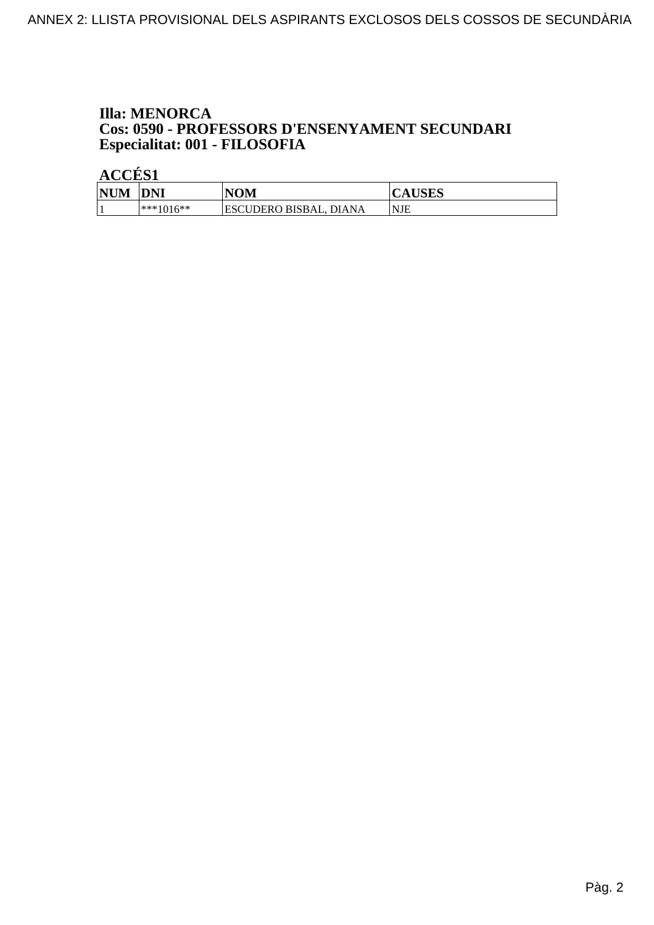#### **Illa: MENORCA** Cos: 0590 - PROFESSORS D'ENSENYAMENT SECUNDARI Especialitat: 001 - FILOSOFIA

| <b>NUM</b> | <b>DNI</b>    | NOM                                     | <b>AUSES</b> |
|------------|---------------|-----------------------------------------|--------------|
|            | $ ***1016***$ | <b>ESCUDERO BISBAL,</b><br><b>DIANA</b> | <b>NJE</b>   |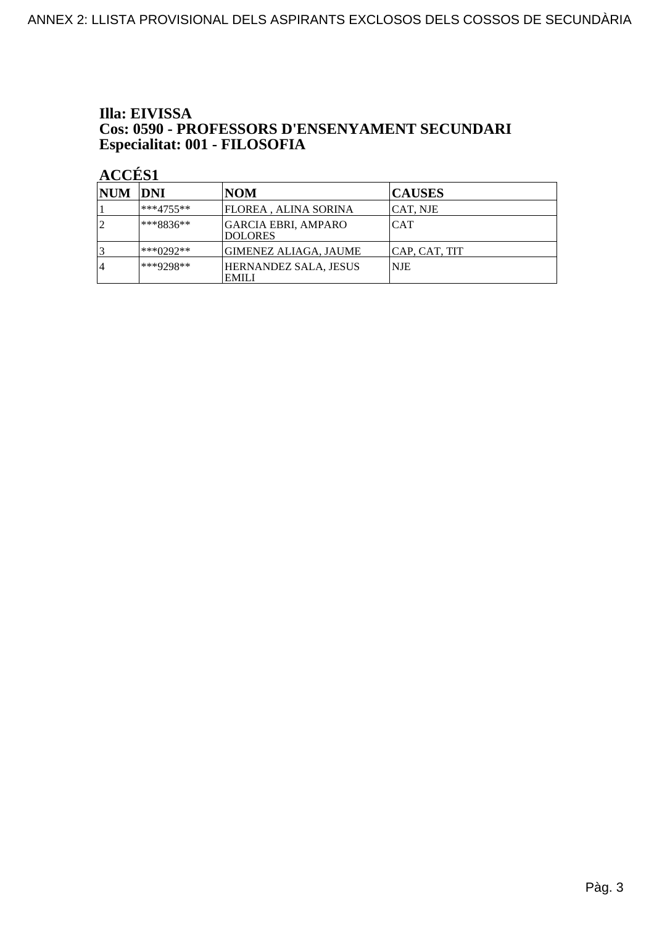#### Illa: EIVISSA Cos: 0590 - PROFESSORS D'ENSENYAMENT SECUNDARI Especialitat: 001 - FILOSOFIA

| NUM DNI |               | <b>NOM</b>                                   | <b>CAUSES</b> |
|---------|---------------|----------------------------------------------|---------------|
|         | $ ***4755***$ | FLOREA , ALINA SORINA                        | CAT, NJE      |
|         | $***8836**$   | <b>GARCIA EBRI, AMPARO</b><br><b>DOLORES</b> | <b>CAT</b>    |
|         | $ ***0292**$  | GIMENEZ ALIAGA, JAUME                        | CAP, CAT, TIT |
| 4       | ***9298**     | <b>HERNANDEZ SALA, JESUS</b><br><b>EMILI</b> | NJE           |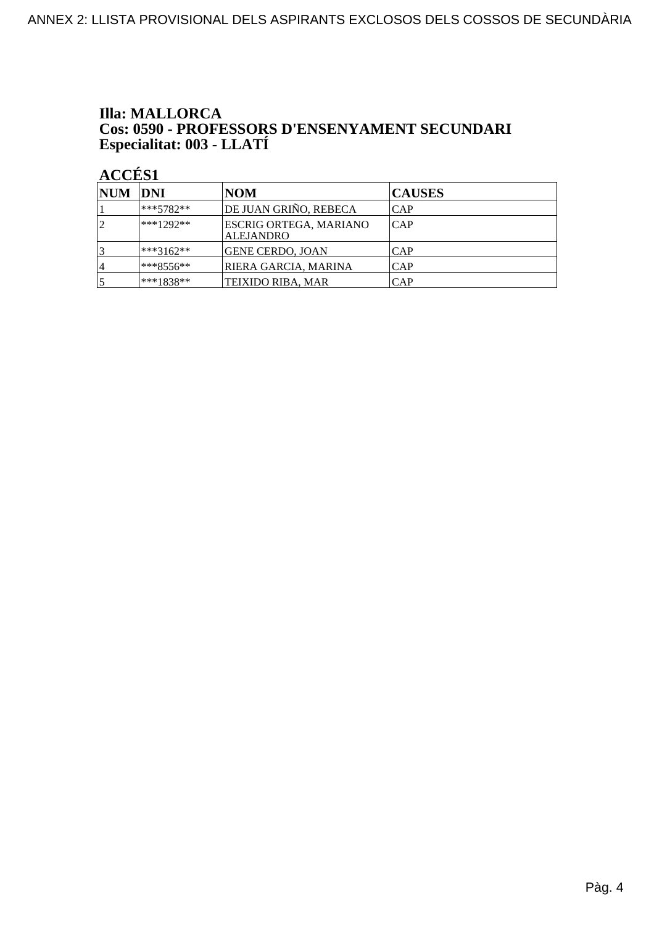## **Illa: MALLORCA Cos: 0590 - PROFESSORS D'ENSENYAMENT SECUNDARI<br>Especialitat: 003 - LLATÍ**

| NUM DNI        |              | NOM                                        | <b>CAUSES</b> |
|----------------|--------------|--------------------------------------------|---------------|
|                | $ ***5782**$ | DE JUAN GRIÑO, REBECA                      | <b>CAP</b>    |
| $\overline{2}$ | $***1292**$  | ESCRIG ORTEGA, MARIANO<br><b>ALEJANDRO</b> | CAP           |
|                | $***3162**$  | GENE CERDO, JOAN                           | <b>CAP</b>    |
| 4              | ***8556**    | RIERA GARCIA, MARINA                       | <b>CAP</b>    |
|                | $***1838**$  | TEIXIDO RIBA, MAR                          | CAP           |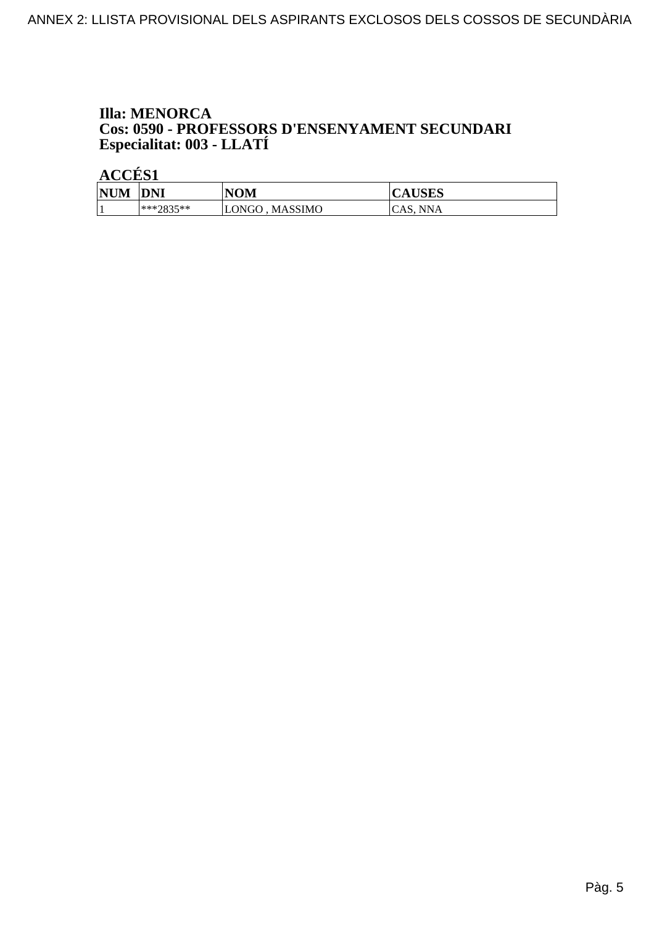## **Illa: MENORCA Cos: 0590 - PROFESSORS D'ENSENYAMENT SECUNDARI<br>Especialitat: 003 - LLATÍ**

| <b>NUM</b> | <b>DNI</b> | NOM                     | <b>CAUSES</b> |
|------------|------------|-------------------------|---------------|
|            | ***?835**  | <b>MASSIMO</b><br>LONGO | CAS. NNA      |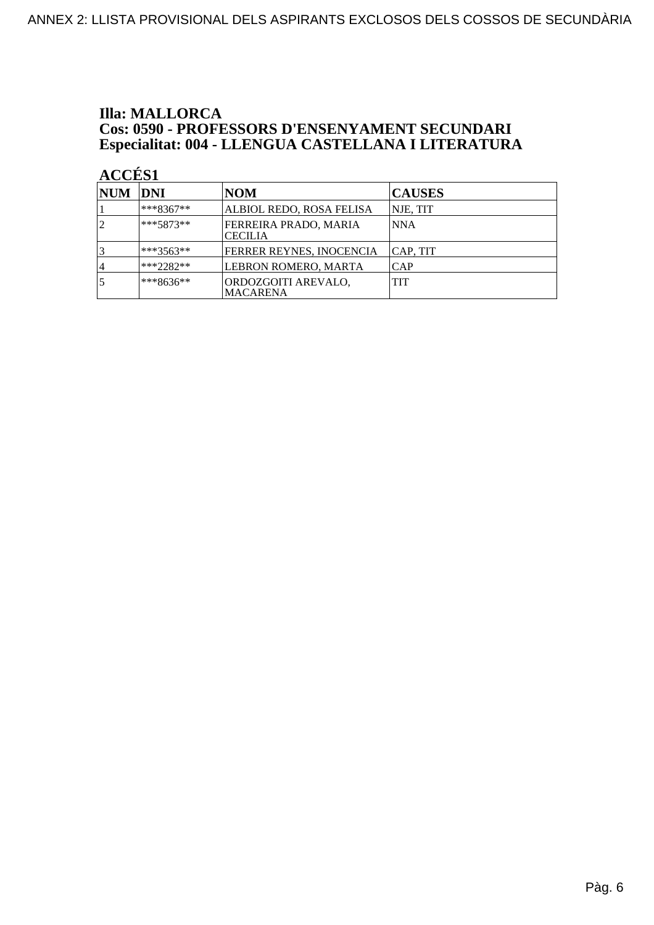### **Illa: MALLORCA Cos: 0590 - PROFESSORS D'ENSENYAMENT SECUNDARI<br>Especialitat: 004 - LLENGUA CASTELLANA I LITERATURA**

| <b>NUM</b> | <b>DNI</b>   | <b>NOM</b>                              | <b>CAUSES</b> |
|------------|--------------|-----------------------------------------|---------------|
|            | $ ***8367**$ | ALBIOL REDO, ROSA FELISA                | NJE, TIT      |
|            | $***5873**$  | FERREIRA PRADO, MARIA<br><b>CECILIA</b> | <b>NNA</b>    |
|            | $***3563**$  | FERRER REYNES, INOCENCIA                | CAP, TIT      |
| 4          | $ ***2282**$ | LEBRON ROMERO, MARTA                    | <b>CAP</b>    |
|            | ***8636**    | ORDOZGOITI AREVALO,<br><b>MACARENA</b>  | <b>TIT</b>    |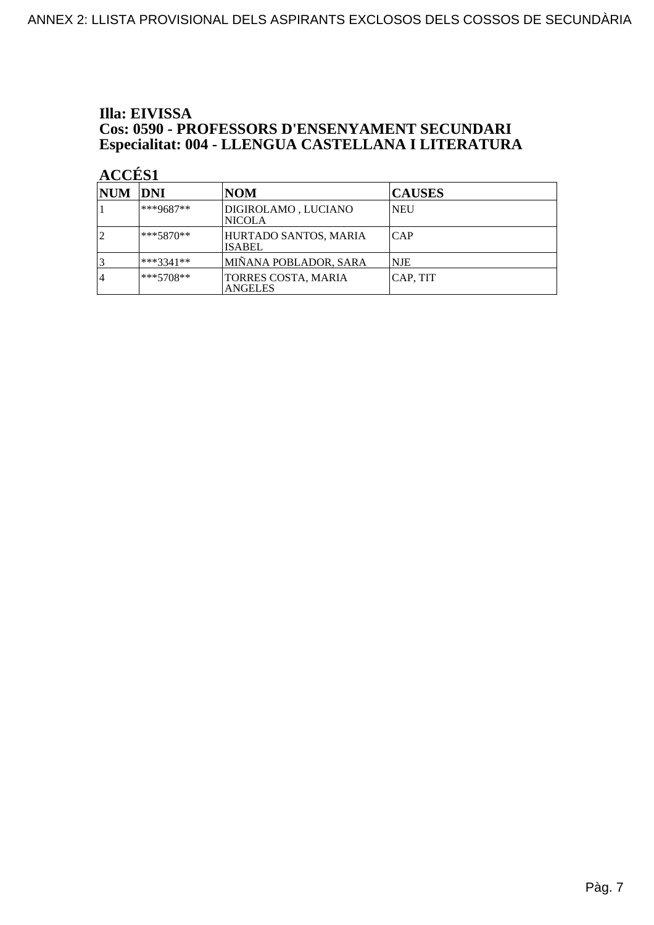#### Illa: EIVISSA **Cos: 0590 - PROFESSORS D'ENSENYAMENT SECUNDARI** Especialitat: 004 - LLENGUA CASTELLANA I LITERATURA

| NUM  DNI |             | <b>NOM</b>                             | <b>CAUSES</b> |
|----------|-------------|----------------------------------------|---------------|
|          | $***9687**$ | DIGIROLAMO, LUCIANO<br><b>NICOLA</b>   | <b>NEU</b>    |
|          | $***5870**$ | HURTADO SANTOS, MARIA<br><b>ISABEL</b> | CAP           |
|          | $***3341**$ | MIÑANA POBLADOR, SARA                  | <b>NJE</b>    |
| 4        | $***5708**$ | TORRES COSTA, MARIA<br><b>ANGELES</b>  | CAP, TIT      |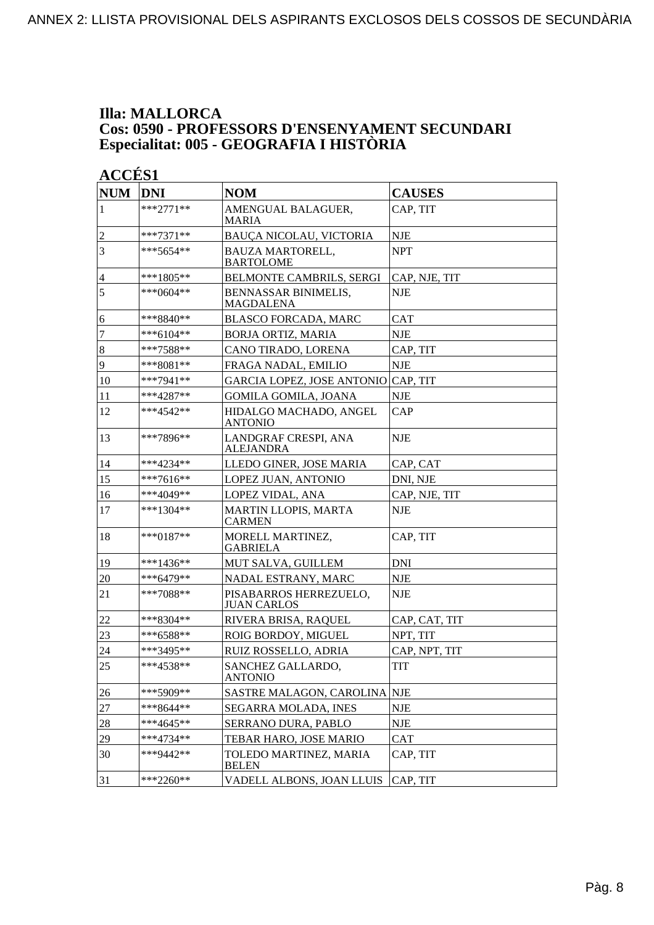#### **Illa: MALLORCA Cos: 0590 - PROFESSORS D'ENSENYAMENT SECUNDARI Especialitat: 005 - GEOGRAFIA I HISTÒRIA**

| <b>NUM</b>       | <b>DNI</b>    | <b>NOM</b>                                   | <b>CAUSES</b> |
|------------------|---------------|----------------------------------------------|---------------|
| 1                | $***2771**$   | AMENGUAL BALAGUER,<br>MARIA                  | CAP, TIT      |
| $\overline{c}$   | $***7371**$   | BAUÇA NICOLAU, VICTORIA                      | <b>NJE</b>    |
| 3                | ***5654**     | <b>BAUZA MARTORELL,</b><br><b>BARTOLOME</b>  | <b>NPT</b>    |
| $\overline{4}$   | ***1805**     | BELMONTE CAMBRILS, SERGI                     | CAP, NJE, TIT |
| 5                | ***0604**     | BENNASSAR BINIMELIS,<br><b>MAGDALENA</b>     | <b>NJE</b>    |
| 6                | ***8840**     | <b>BLASCO FORCADA, MARC</b>                  | <b>CAT</b>    |
| $\boldsymbol{7}$ | $***6104**$   | <b>BORJA ORTIZ, MARIA</b>                    | <b>NJE</b>    |
| $\boldsymbol{8}$ | $***7588**$   | CANO TIRADO, LORENA                          | CAP, TIT      |
| $\overline{9}$   | ***8081**     | FRAGA NADAL, EMILIO                          | <b>NJE</b>    |
| 10               | ***7941**     | GARCIA LOPEZ, JOSE ANTONIO CAP, TIT          |               |
| 11               | $***4287**$   | <b>GOMILA GOMILA, JOANA</b>                  | <b>NJE</b>    |
| 12               | $***4542**$   | HIDALGO MACHADO, ANGEL<br><b>ANTONIO</b>     | CAP           |
| 13               | ***7896**     | LANDGRAF CRESPI, ANA<br><b>ALEJANDRA</b>     | <b>NJE</b>    |
| 14               | ***4234**     | LLEDO GINER, JOSE MARIA                      | CAP, CAT      |
| 15               | ***7616**     | LOPEZ JUAN, ANTONIO                          | DNI, NJE      |
| 16               | ***4049**     | LOPEZ VIDAL, ANA                             | CAP, NJE, TIT |
| 17               | $***1304**$   | <b>MARTIN LLOPIS, MARTA</b><br><b>CARMEN</b> | <b>NJE</b>    |
| 18               | *** $0187$ ** | MORELL MARTINEZ,<br><b>GABRIELA</b>          | CAP, TIT      |
| 19               | ***1436**     | MUT SALVA, GUILLEM                           | <b>DNI</b>    |
| 20               | ***6479**     | NADAL ESTRANY, MARC                          | <b>NJE</b>    |
| 21               | ***7088**     | PISABARROS HERREZUELO,<br><b>JUAN CARLOS</b> | <b>NJE</b>    |
| 22               | $***8304**$   | RIVERA BRISA, RAQUEL                         | CAP, CAT, TIT |
| 23               | ***6588**     | ROIG BORDOY, MIGUEL                          | NPT, TIT      |
| 24               | ***3495**     | <b>RUIZ ROSSELLO, ADRIA</b>                  | CAP, NPT, TIT |
| 25               | ***4538**     | SANCHEZ GALLARDO,<br><b>ANTONIO</b>          | <b>TIT</b>    |
| <b>26</b>        | ***5909**     | SASTRE MALAGON, CAROLINA NJE                 |               |
| 27               | ***8644**     | SEGARRA MOLADA, INES                         | <b>NJE</b>    |
| 28               | ***4645**     | SERRANO DURA, PABLO                          | <b>NJE</b>    |
| 29               | ***4734**     | TEBAR HARO, JOSE MARIO                       | <b>CAT</b>    |
| 30               | ***9442**     | TOLEDO MARTINEZ, MARIA<br><b>BELEN</b>       | CAP, TIT      |
| 31               | $***2260**$   | VADELL ALBONS, JOAN LLUIS                    | CAP, TIT      |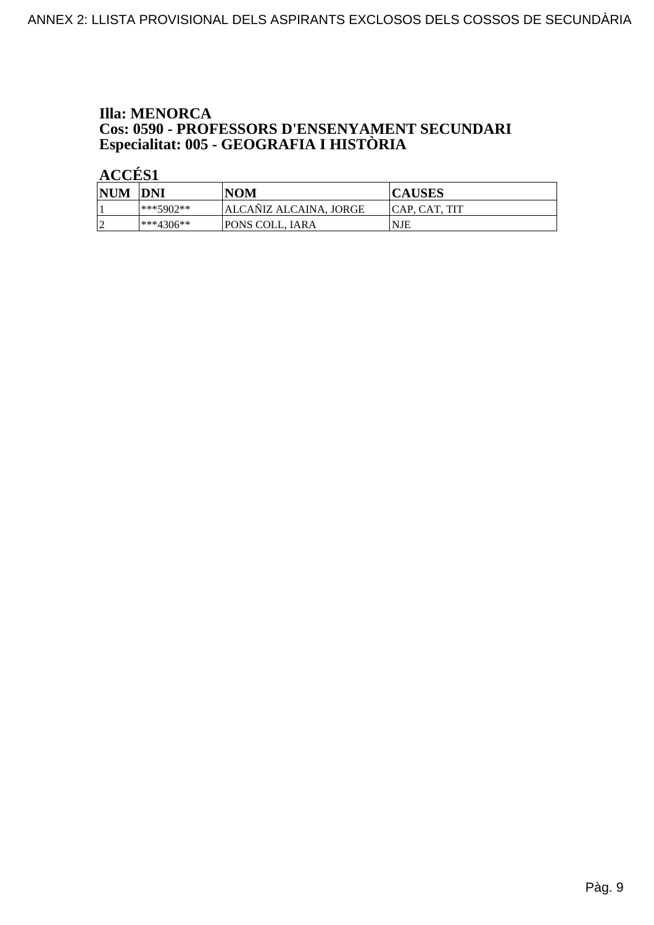### **Illa: MENORCA Cos: 0590 - PROFESSORS D'ENSENYAMENT SECUNDARI<br>Especialitat: 005 - GEOGRAFIA I HISTÒRIA**

| <b>NUM</b> | DNI           | <b>NOM</b>             | <b>CAUSES</b>  |
|------------|---------------|------------------------|----------------|
|            | $***5902**$   | ALCANIZ ALCAINA, JORGE | ICAP. CAT. TIT |
|            | $ ***4306***$ | <b>PONS COLL, IARA</b> | NJE            |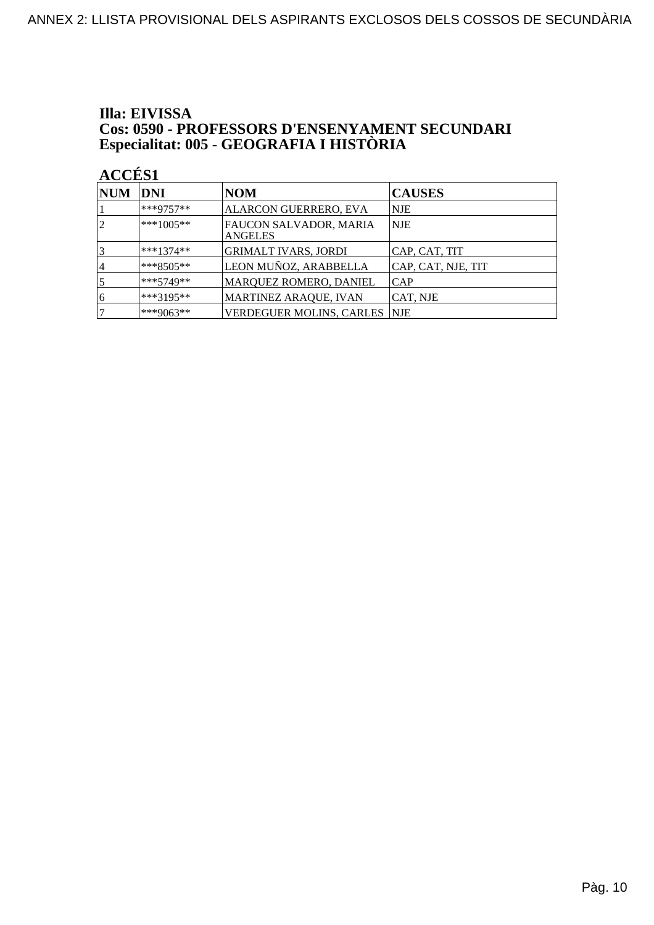### Illa: EIVISSA **Cos: 0590 - PROFESSORS D'ENSENYAMENT SECUNDARI<br>Especialitat: 005 - GEOGRAFIA I HISTÒRIA**

| <b>NUM</b>     | <b>DNI</b>  | NOM                                      | <b>CAUSES</b>      |
|----------------|-------------|------------------------------------------|--------------------|
|                | $***9757**$ | ALARCON GUERRERO, EVA                    | NJE                |
| $\overline{2}$ | $***1005**$ | FAUCON SALVADOR, MARIA<br><b>ANGELES</b> | <b>NJE</b>         |
|                | $***1374**$ | <b>GRIMALT IVARS, JORDI</b>              | CAP, CAT, TIT      |
| 4              | $***8505**$ | LEON MUÑOZ, ARABBELLA                    | CAP, CAT, NJE, TIT |
| 5              | $***5749**$ | MARQUEZ ROMERO, DANIEL                   | <b>CAP</b>         |
| 6              | $***3195**$ | MARTINEZ ARAQUE, IVAN                    | CAT, NJE           |
|                | ***9063**   | <b>VERDEGUER MOLINS, CARLES</b>          | NJE                |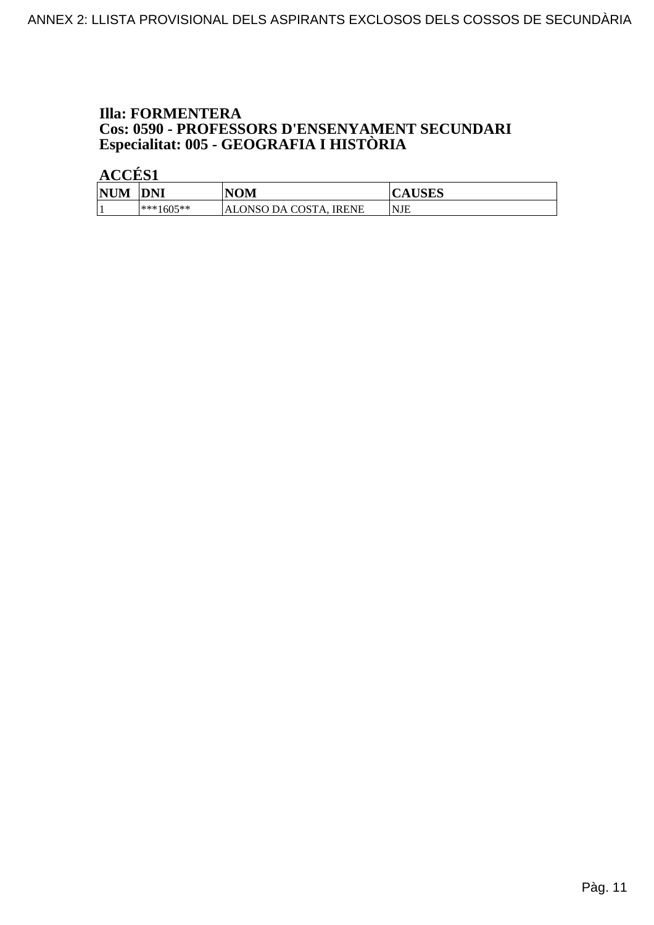### **Illa: FORMENTERA Cos: 0590 - PROFESSORS D'ENSENYAMENT SECUNDARI<br>Especialitat: 005 - GEOGRAFIA I HISTÒRIA**

| <b>NUM</b> | <b>DNI</b>  | <b>NOM</b>                       | <b>CAUSES</b> |
|------------|-------------|----------------------------------|---------------|
|            | $***1605**$ | ALONSO DA COSTA.<br><b>IRENE</b> | NJE           |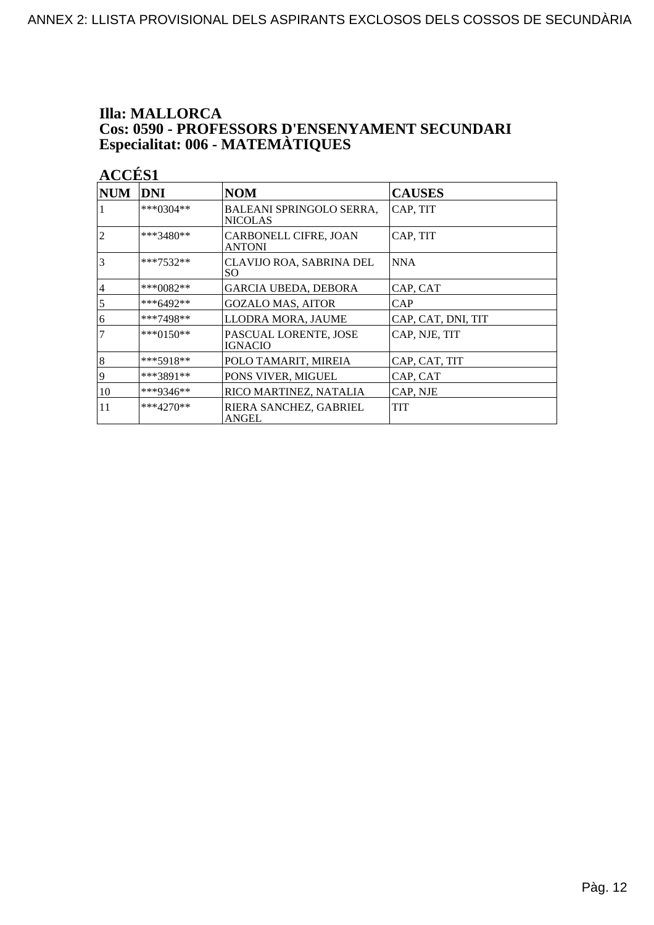### **Illa: MALLORCA Cos: 0590 - PROFESSORS D'ENSENYAMENT SECUNDARI<br>Especialitat: 006 - MATEMÀTIQUES**

| <b>NUM</b>     | <b>DNI</b>  | <b>NOM</b>                                        | <b>CAUSES</b>      |
|----------------|-------------|---------------------------------------------------|--------------------|
|                | ***0304**   | <b>BALEANI SPRINGOLO SERRA,</b><br><b>NICOLAS</b> | CAP, TIT           |
| $\overline{2}$ | ***3480**   | CARBONELL CIFRE, JOAN<br><b>ANTONI</b>            | CAP, TIT           |
| $\overline{3}$ | ***7532**   | CLAVIJO ROA, SABRINA DEL<br>SO.                   | <b>NNA</b>         |
| 4              | ***0082**   | <b>GARCIA UBEDA, DEBORA</b>                       | CAP, CAT           |
| $\overline{5}$ | ***6492**   | <b>GOZALO MAS, AITOR</b>                          | CAP                |
| 6              | ***7498**   | LLODRA MORA, JAUME                                | CAP, CAT, DNI, TIT |
| $\overline{7}$ | $***0150**$ | PASCUAL LORENTE, JOSE<br>IGNACIO                  | CAP, NJE, TIT      |
| $\vert 8$      | ***5918**   | POLO TAMARIT, MIREIA                              | CAP, CAT, TIT      |
| 19             | ***3891**   | PONS VIVER, MIGUEL                                | CAP, CAT           |
| 10             | ***9346**   | RICO MARTINEZ, NATALIA                            | CAP, NJE           |
| 11             | $***4270**$ | RIERA SANCHEZ, GABRIEL<br>ANGEL                   | <b>TIT</b>         |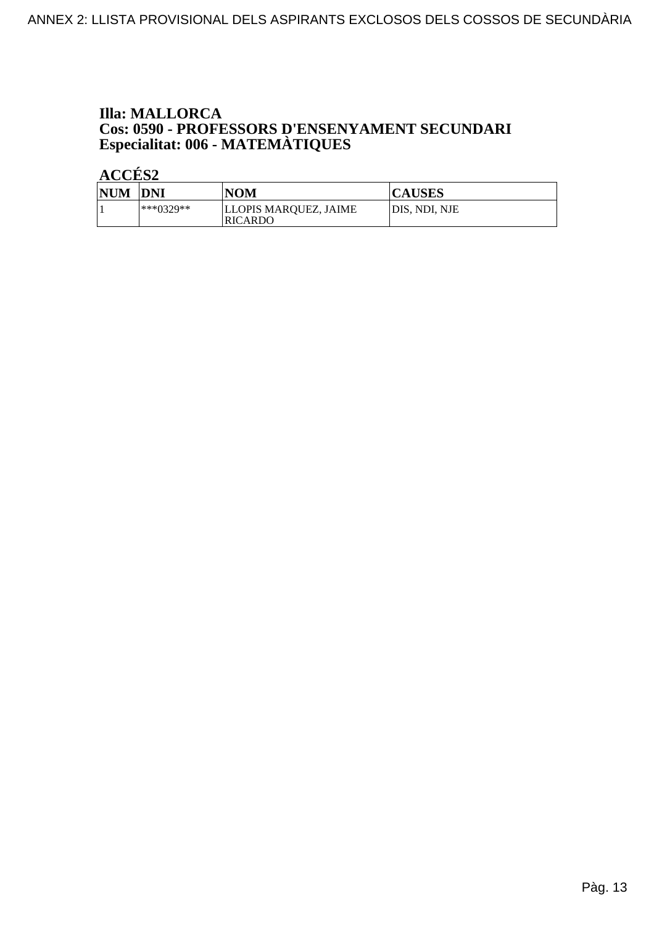### **Illa: MALLORCA Cos: 0590 - PROFESSORS D'ENSENYAMENT SECUNDARI<br>Especialitat: 006 - MATEMÀTIQUES**

| NUM DNI |             | <b>NOM</b>                              | <b>CAUSES</b> |
|---------|-------------|-----------------------------------------|---------------|
|         | $***0329**$ | LLOPIS MARQUEZ, JAIME<br><b>RICARDO</b> | DIS, NDI, NJE |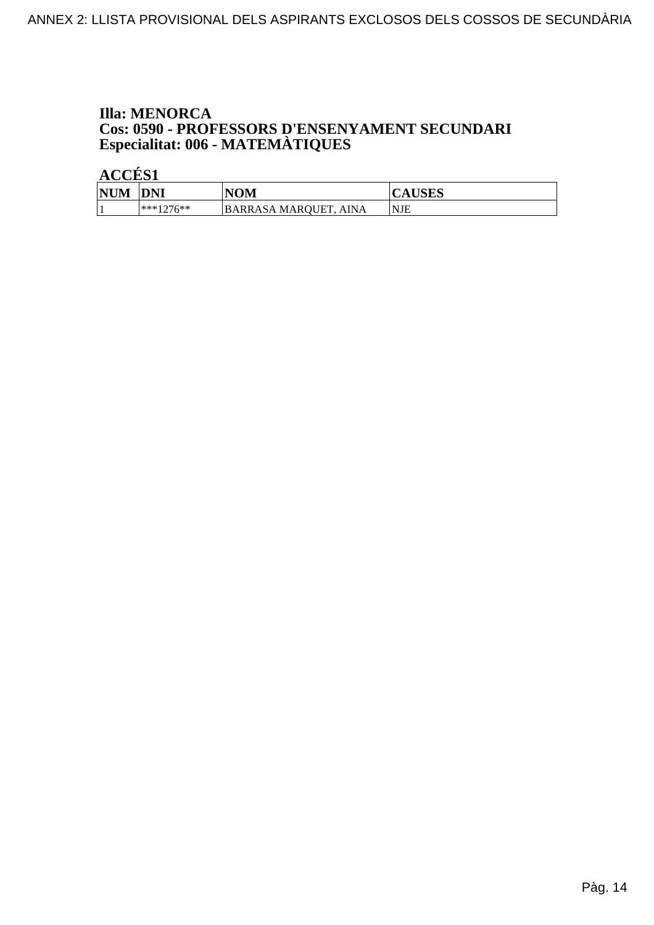# **Illa: MENORCA Cos: 0590 - PROFESSORS D'ENSENYAMENT SECUNDARI<br>Especialitat: 006 - MATEMÀTIQUES**

| <b>NUM</b> | <b>DNI</b> | <b>NOM</b>                             | <b>CAUSES</b> |
|------------|------------|----------------------------------------|---------------|
|            | ***1076**  | <b>BARRASA MAROUET.</b><br><b>AINA</b> | 'NJE          |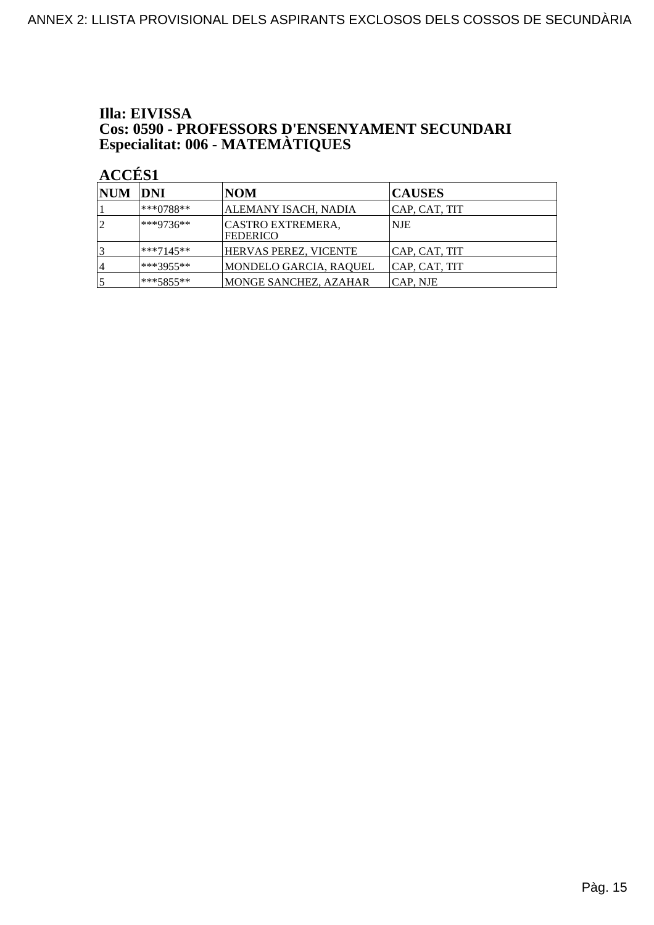### Illa: EIVISSA **Cos: 0590 - PROFESSORS D'ENSENYAMENT SECUNDARI<br>Especialitat: 006 - MATEMÀTIQUES**

| NUM DNI |              | NOM                                  | <b>CAUSES</b> |
|---------|--------------|--------------------------------------|---------------|
|         | ***0788**    | ALEMANY ISACH, NADIA                 | CAP, CAT, TIT |
| 12      | $ ***9736**$ | CASTRO EXTREMERA,<br><b>FEDERICO</b> | <b>NJE</b>    |
| 3       | $**7145**$   | HERVAS PEREZ, VICENTE                | CAP, CAT, TIT |
| 14      | ***3955**    | MONDELO GARCIA, RAQUEL               | CAP, CAT, TIT |
| 5       | $***5855***$ | MONGE SANCHEZ, AZAHAR                | CAP. NJE      |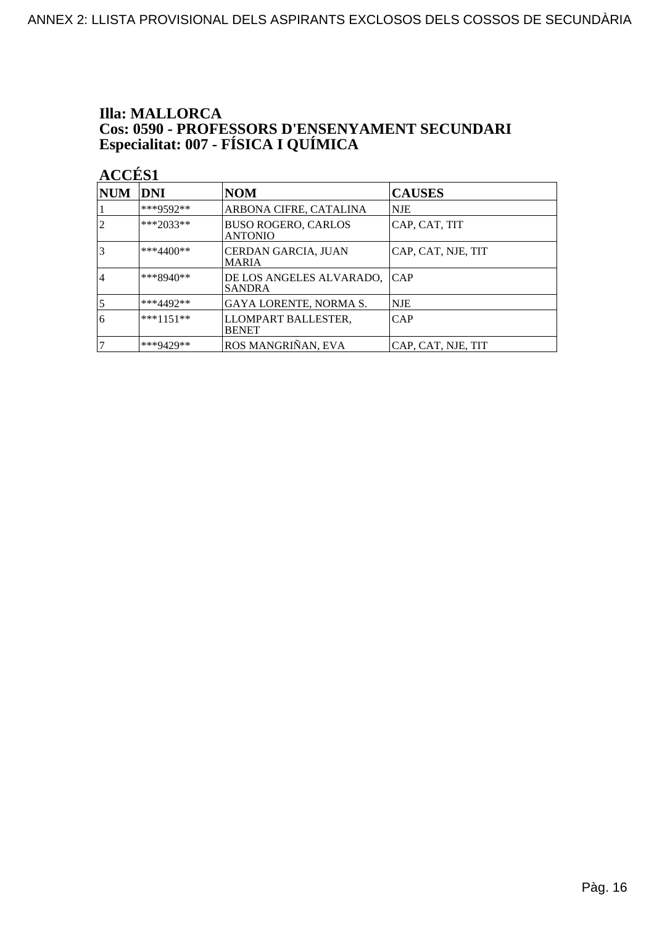# **Illa: MALLORCA Cos: 0590 - PROFESSORS D'ENSENYAMENT SECUNDARI<br>Especialitat: 007 - FÍSICA I QUÍMICA**

| <b>NUM</b>     | <b>DNI</b>  | <b>NOM</b>                                   | <b>CAUSES</b>      |
|----------------|-------------|----------------------------------------------|--------------------|
|                | ***9592**   | ARBONA CIFRE, CATALINA                       | NJE                |
| 2              | ***2033**   | <b>BUSO ROGERO, CARLOS</b><br><b>ANTONIO</b> | CAP, CAT, TIT      |
| 3              | ***4400**   | CERDAN GARCIA, JUAN<br><b>MARIA</b>          | CAP, CAT, NJE, TIT |
| 14             | $***8940**$ | DE LOS ANGELES ALVARADO,<br><b>SANDRA</b>    | <b>CAP</b>         |
| $\overline{5}$ | ***4492**   | GAYA LORENTE, NORMA S.                       | <b>NJE</b>         |
| 6              | $***1151**$ | LLOMPART BALLESTER,<br><b>BENET</b>          | CAP                |
| 7              | ***9429**   | ROS MANGRIÑAN, EVA                           | CAP, CAT, NJE, TIT |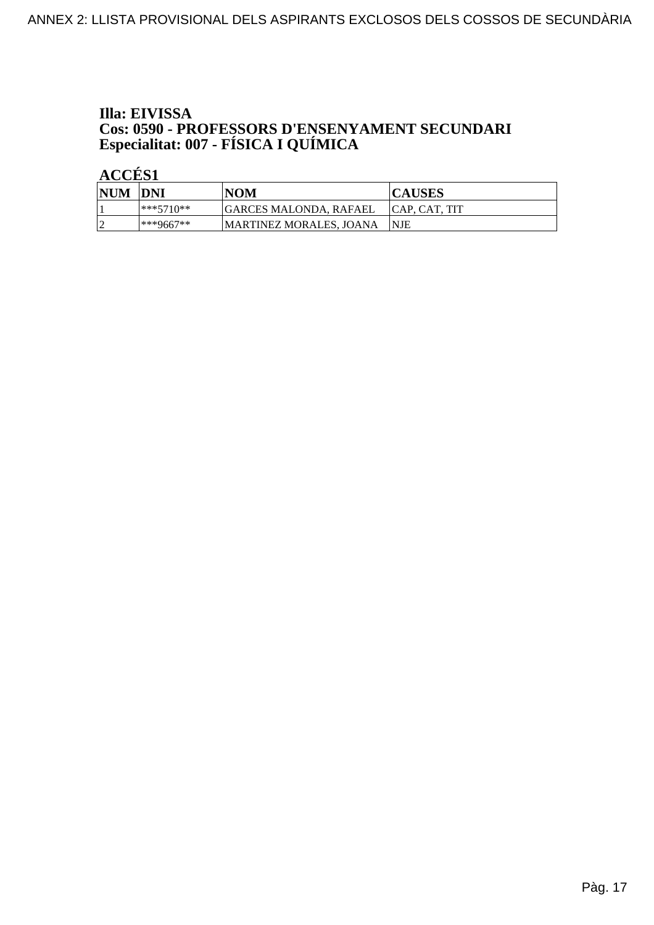## Illa: EIVISSA **Cos: 0590 - PROFESSORS D'ENSENYAMENT SECUNDARI<br>Especialitat: 007 - FÍSICA I QUÍMICA**

| <b>NUM</b> | <b>IDNI</b>   | NOM                     | <b>CAUSES</b>  |
|------------|---------------|-------------------------|----------------|
|            | ***571∩**     | GARCES MALONDA. RAFAEL  | ICAP. CAT. TIT |
|            | $ ***9667***$ | MARTINEZ MORALES. JOANA | <b>INJE</b>    |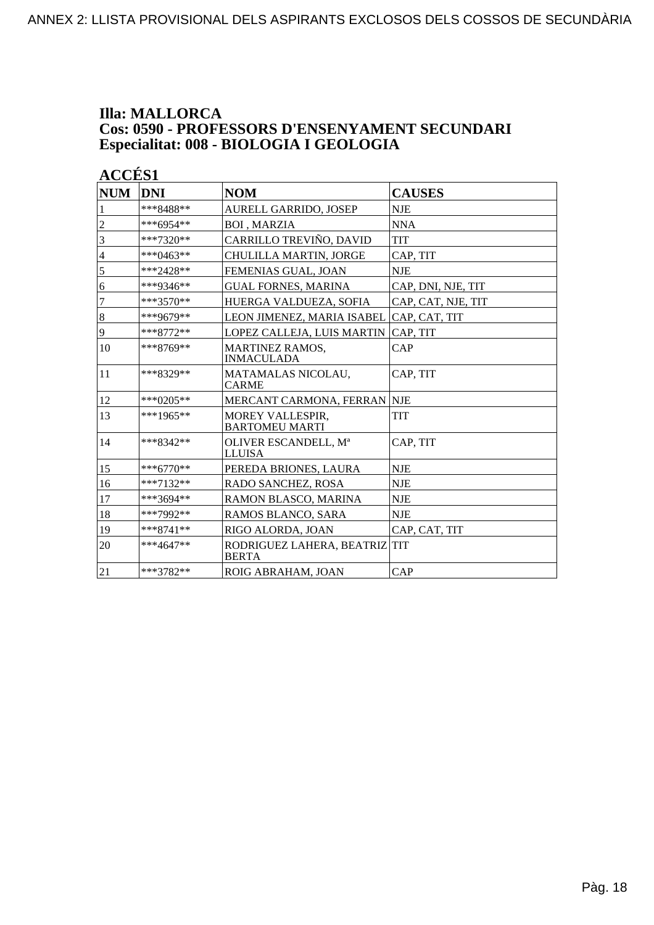#### **Illa: MALLORCA Cos: 0590 - PROFESSORS D'ENSENYAMENT SECUNDARI Especialitat: 008 - BIOLOGIA I GEOLOGIA**

| <b>NUM</b>     | <b>DNI</b>  | <b>NOM</b>                                       | <b>CAUSES</b>      |
|----------------|-------------|--------------------------------------------------|--------------------|
| 1              | ***8488**   | <b>AURELL GARRIDO, JOSEP</b>                     | <b>NJE</b>         |
| $\overline{c}$ | ***6954**   | <b>BOI, MARZIA</b>                               | <b>NNA</b>         |
| $\overline{3}$ | $***7320**$ | CARRILLO TREVIÑO, DAVID                          | TIT                |
| $\overline{4}$ | ***0463**   | CHULILLA MARTIN, JORGE                           | CAP, TIT           |
| 5              | ***2428**   | FEMENIAS GUAL, JOAN                              | <b>NJE</b>         |
| 6              | ***9346**   | <b>GUAL FORNES, MARINA</b>                       | CAP, DNI, NJE, TIT |
| $\overline{7}$ | $***3570**$ | HUERGA VALDUEZA, SOFIA                           | CAP, CAT, NJE, TIT |
| $\bf 8$        | ***9679**   | LEON JIMENEZ, MARIA ISABEL                       | CAP, CAT, TIT      |
| 9              | ***8772**   | LOPEZ CALLEJA, LUIS MARTIN                       | CAP, TIT           |
| 10             | ***8769**   | <b>MARTINEZ RAMOS,</b><br><b>INMACULADA</b>      | CAP                |
| 11             | ***8329**   | MATAMALAS NICOLAU,<br><b>CARME</b>               | CAP, TIT           |
| 12             | ***0205**   | MERCANT CARMONA, FERRAN NJE                      |                    |
| 13             | ***1965**   | <b>MOREY VALLESPIR,</b><br><b>BARTOMEU MARTI</b> | <b>TIT</b>         |
| 14             | ***8342**   | OLIVER ESCANDELL, Mª<br><b>LLUISA</b>            | CAP, TIT           |
| 15             | $***6770**$ | PEREDA BRIONES, LAURA                            | <b>NJE</b>         |
| 16             | $***7132**$ | RADO SANCHEZ, ROSA                               | <b>NJE</b>         |
| 17             | ***3694**   | RAMON BLASCO, MARINA                             | <b>NJE</b>         |
| 18             | ***7992**   | RAMOS BLANCO, SARA                               | <b>NJE</b>         |
| 19             | $***8741**$ | RIGO ALORDA, JOAN                                | CAP, CAT, TIT      |
| 20             | $***4647**$ | RODRIGUEZ LAHERA, BEATRIZ TIT<br><b>BERTA</b>    |                    |
| 21             | ***3782**   | ROIG ABRAHAM, JOAN                               | CAP                |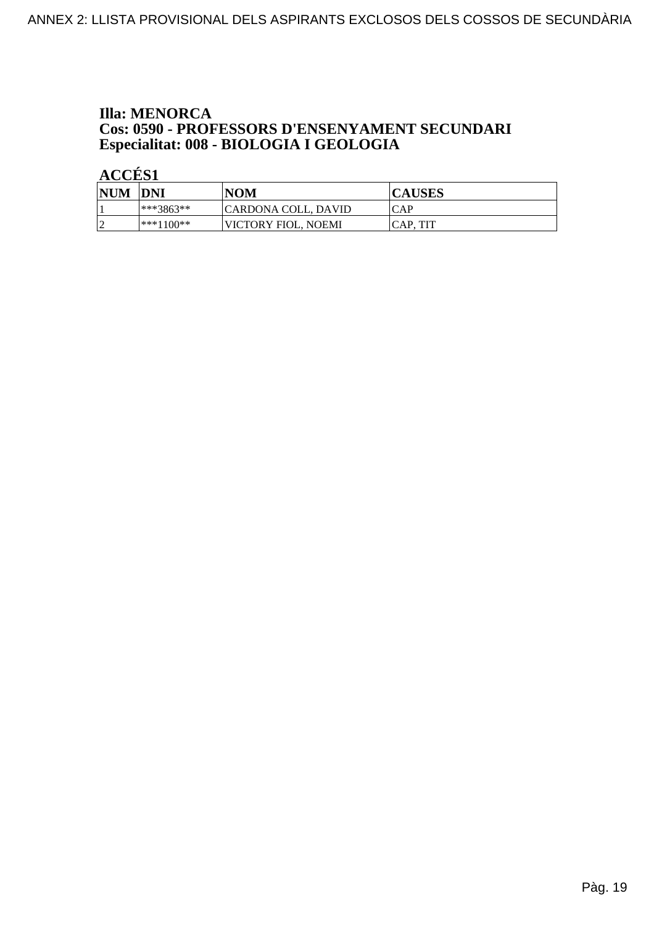### **Illa: MENORCA Cos: 0590 - PROFESSORS D'ENSENYAMENT SECUNDARI<br>Especialitat: 008 - BIOLOGIA I GEOLOGIA**

| <b>NUM</b> | DNI          | <b>NOM</b>          | <b>CAUSES</b> |
|------------|--------------|---------------------|---------------|
|            | $ ***3863**$ | CARDONA COLL, DAVID | ICAP          |
| l q<br>∼   | $ ***1100**$ | VICTORY FIOL. NOEMI | ICAP. TIT     |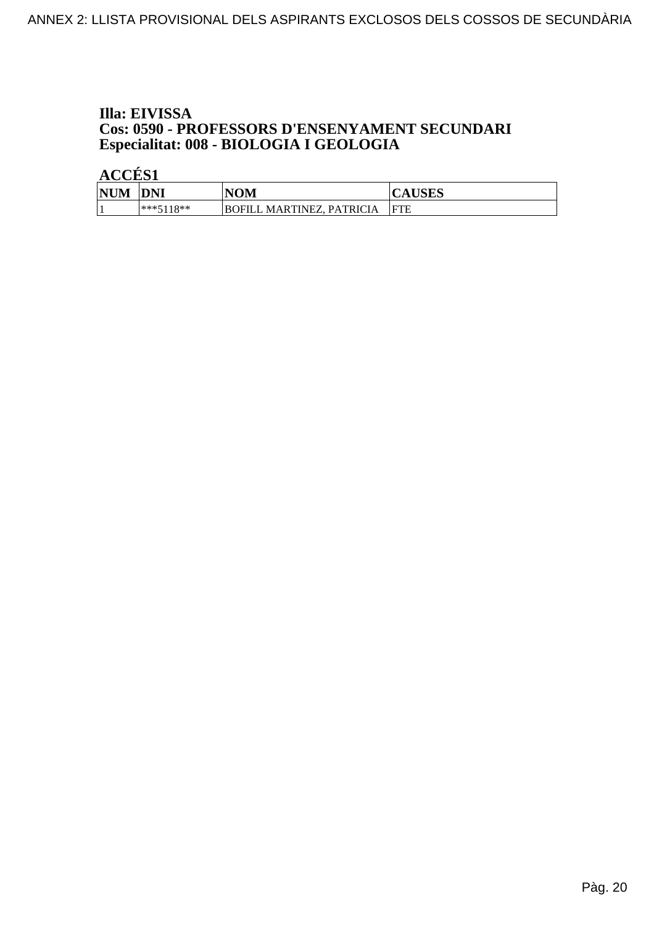## Illa: EIVISSA **Cos: 0590 - PROFESSORS D'ENSENYAMENT SECUNDARI<br>Especialitat: 008 - BIOLOGIA I GEOLOGIA**

| <b>NUM</b> | <b>DNI</b>  | <b>NOM</b>                                    | <b>CAUSES</b> |
|------------|-------------|-----------------------------------------------|---------------|
|            | $***5118**$ | <b>PATRICIA</b><br>MARTINEZ.<br><b>BOFILL</b> | IFTE          |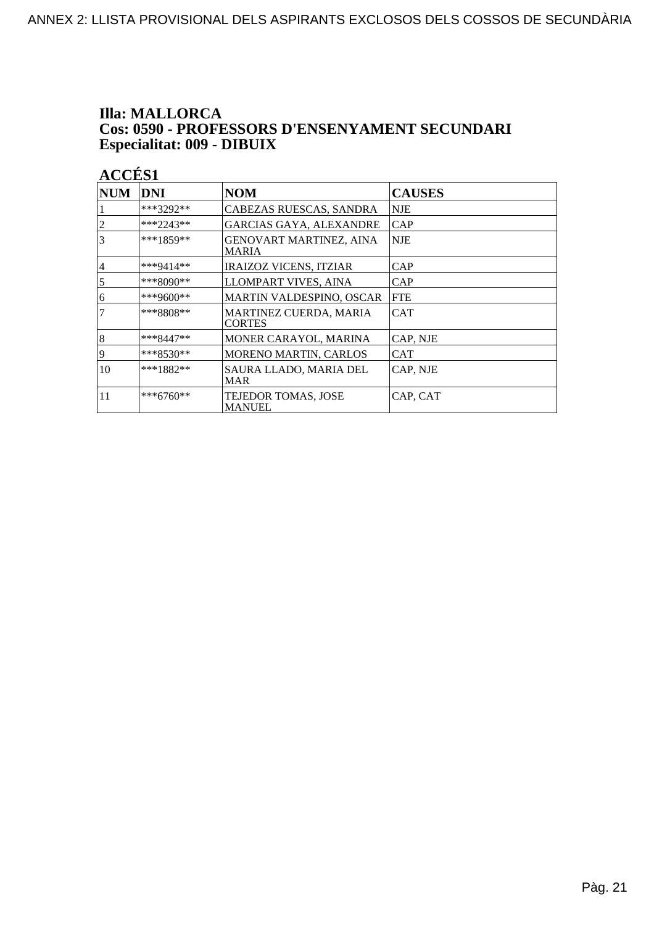## **Illa: MALLORCA Cos: 0590 - PROFESSORS D'ENSENYAMENT SECUNDARI<br>Especialitat: 009 - DIBUIX**

| <b>NUM</b>      | DNI         | <b>NOM</b>                                     | <b>CAUSES</b> |
|-----------------|-------------|------------------------------------------------|---------------|
|                 | ***3292**   | CABEZAS RUESCAS, SANDRA                        | <b>NJE</b>    |
| 2               | $***2243**$ | <b>GARCIAS GAYA, ALEXANDRE</b>                 | CAP           |
| 3               | $***1859**$ | <b>GENOVART MARTINEZ, AINA</b><br><b>MARIA</b> | NJE           |
| $\overline{4}$  | ***9414**   | <b>IRAIZOZ VICENS, ITZIAR</b>                  | CAP           |
| $5\overline{)}$ | ***8090**   | LLOMPART VIVES, AINA                           | CAP           |
| 6               | ***9600**   | <b>MARTIN VALDESPINO, OSCAR</b>                | <b>FTE</b>    |
| 7               | ***8808**   | <b>MARTINEZ CUERDA, MARIA</b><br><b>CORTES</b> | <b>CAT</b>    |
| 8               | $***8447**$ | <b>MONER CARAYOL, MARINA</b>                   | CAP, NJE      |
| 9               | $***8530**$ | MORENO MARTIN, CARLOS                          | <b>CAT</b>    |
| 10              | $***1882**$ | SAURA LLADO, MARIA DEL<br><b>MAR</b>           | CAP, NJE      |
| 11              | ***6760**   | TEJEDOR TOMAS, JOSE<br><b>MANUEL</b>           | CAP, CAT      |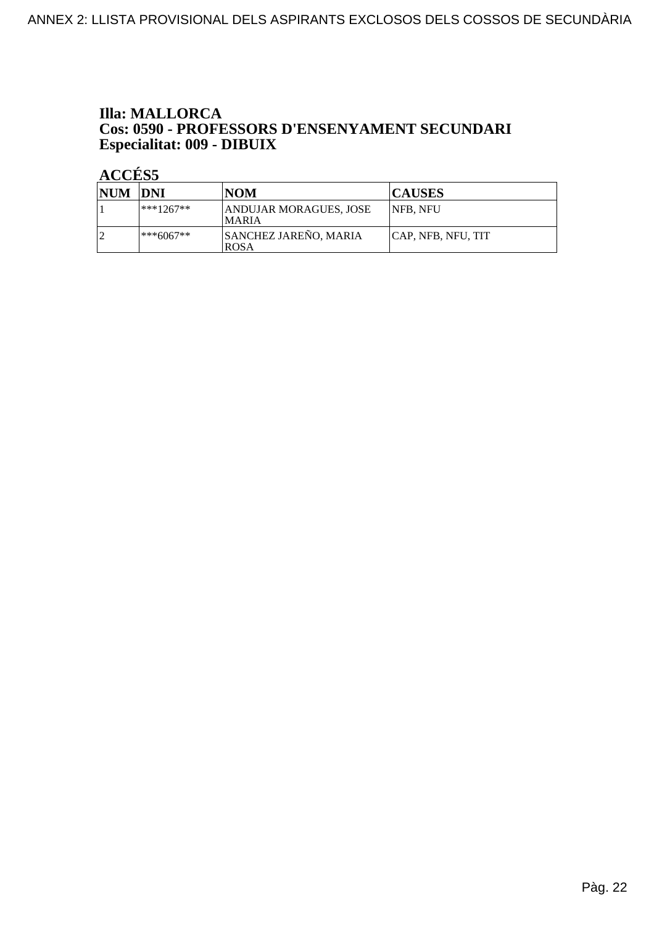#### **Illa: MALLORCA** Cos: 0590 - PROFESSORS D'ENSENYAMENT SECUNDARI Especialitat: 009 - DIBUIX

| <b>NUM DNI</b> |              | <b>NOM</b>                                  | <b>CAUSES</b>      |
|----------------|--------------|---------------------------------------------|--------------------|
|                | $***1267**$  | ANDUJAR MORAGUES, JOSE<br><b>MARIA</b>      | <b>INFB. NFU</b>   |
|                | $ ***6067**$ | <b>SANCHEZ JAREÑO, MARIA</b><br><b>ROSA</b> | CAP, NFB, NFU, TIT |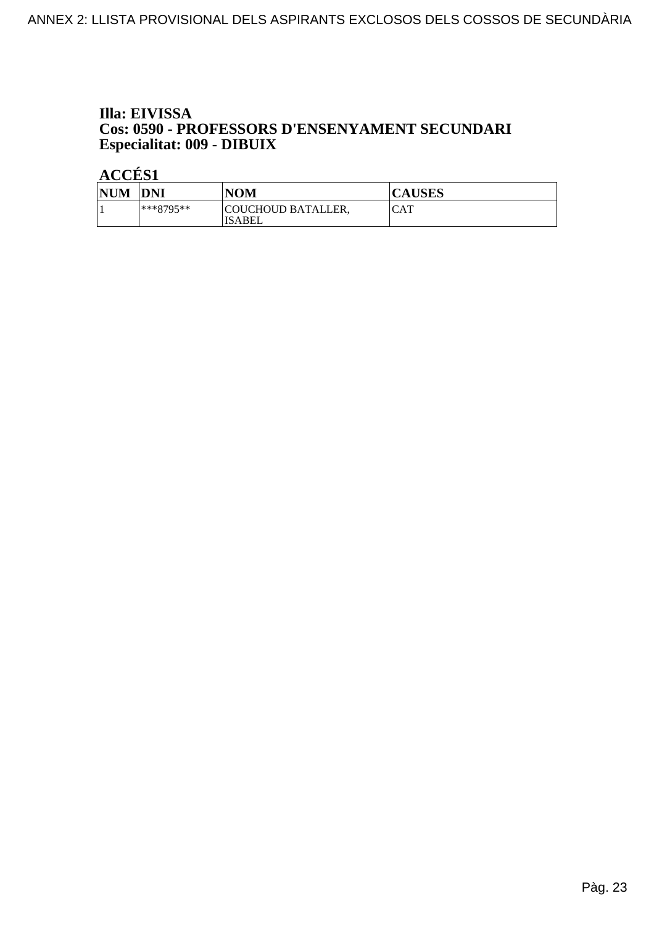#### Illa: EIVISSA Cos: 0590 - PROFESSORS D'ENSENYAMENT SECUNDARI Especialitat: 009 - DIBUIX

| <b>NUM</b> | DNI         | NOM                          | <b>CAUSES</b> |
|------------|-------------|------------------------------|---------------|
|            | $***8795**$ | COUCHOUD BATALLER,<br>ISABEL | CAT           |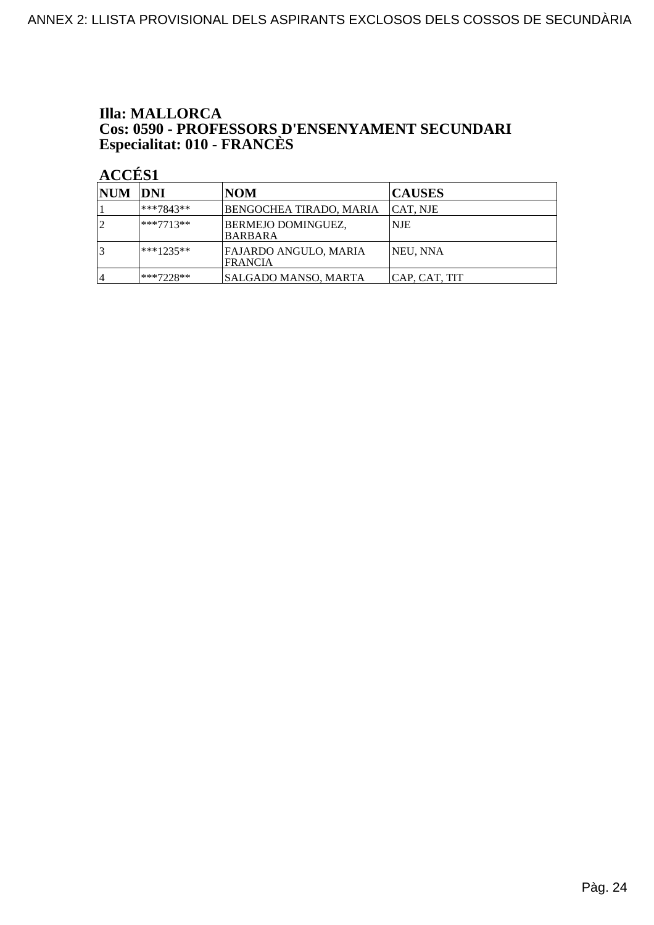## **Illa: MALLORCA Cos: 0590 - PROFESSORS D'ENSENYAMENT SECUNDARI<br>Especialitat: 010 - FRANCÈS**

| NUM DNI |              | NOM                                         | <b>CAUSES</b>    |
|---------|--------------|---------------------------------------------|------------------|
|         | ***7843**    | BENGOCHEA TIRADO, MARIA                     | <b>CAT, NJE</b>  |
| 12      | $ ***7713**$ | <b>BERMEJO DOMINGUEZ,</b><br><b>BARBARA</b> | NJE              |
|         | $***1235**$  | FAJARDO ANGULO, MARIA<br>FRANCIA            | <b>INEU, NNA</b> |
| 4       | ***7228**    | SALGADO MANSO, MARTA                        | CAP, CAT, TIT    |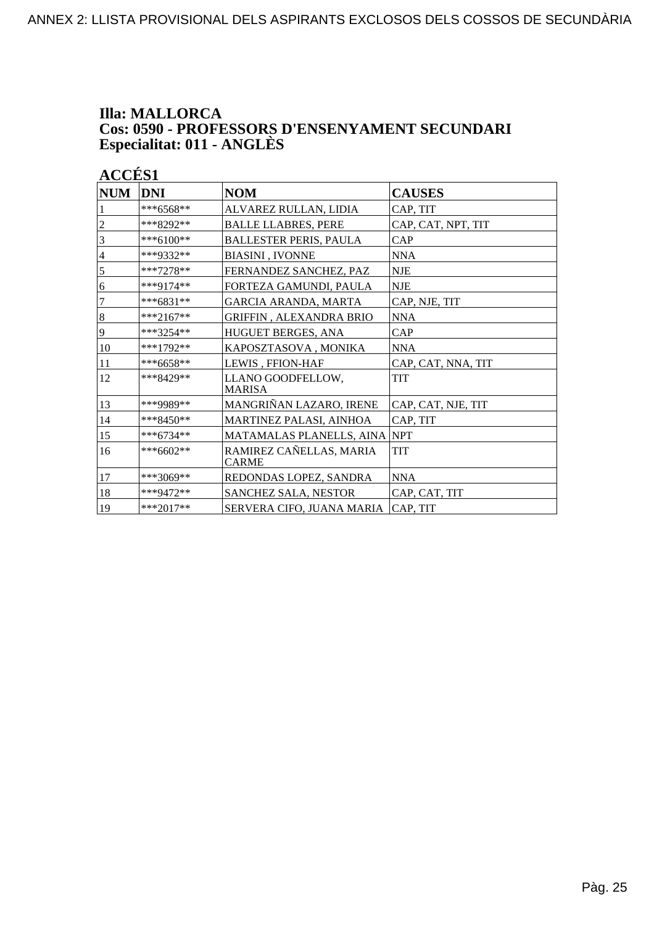#### **Illa: MALLORCA Cos: 0590 - PROFESSORS D'ENSENYAMENT SECUNDARI Especialitat: 011 - ANGLÈS**

| <b>NUM</b>     | DNI         | <b>NOM</b>                              | <b>CAUSES</b>      |
|----------------|-------------|-----------------------------------------|--------------------|
|                | $***6568**$ | ALVAREZ RULLAN, LIDIA                   | CAP, TIT           |
| $\overline{2}$ | ***8292**   | <b>BALLE LLABRES, PERE</b>              | CAP, CAT, NPT, TIT |
| 3              | ***6100**   | <b>BALLESTER PERIS, PAULA</b>           | CAP                |
| $\overline{4}$ | ***9332**   | <b>BIASINI, IVONNE</b>                  | <b>NNA</b>         |
| $\sqrt{5}$     | $***7278**$ | FERNANDEZ SANCHEZ, PAZ                  | <b>NJE</b>         |
| 6              | $***9174**$ | FORTEZA GAMUNDI, PAULA                  | <b>NJE</b>         |
| $\tau$         | ***6831**   | GARCIA ARANDA, MARTA                    | CAP, NJE, TIT      |
| $\bf 8$        | ***2167**   | <b>GRIFFIN, ALEXANDRA BRIO</b>          | <b>NNA</b>         |
| 9              | $***3254**$ | HUGUET BERGES, ANA                      | CAP                |
| 10             | ***1792**   | KAPOSZTASOVA, MONIKA                    | <b>NNA</b>         |
| 11             | $***6658**$ | LEWIS, FFION-HAF                        | CAP, CAT, NNA, TIT |
| 12             | ***8429**   | LLANO GOODFELLOW,<br><b>MARISA</b>      | TIT                |
| 13             | ***9989**   | MANGRIÑAN LAZARO, IRENE                 | CAP, CAT, NJE, TIT |
| 14             | $***8450**$ | MARTINEZ PALASI, AINHOA                 | CAP, TIT           |
| 15             | ***6734**   | MATAMALAS PLANELLS, AINA                | <b>NPT</b>         |
| 16             | ***6602**   | RAMIREZ CAÑELLAS, MARIA<br><b>CARME</b> | TIT                |
| 17             | $***3069**$ | REDONDAS LOPEZ, SANDRA                  | <b>NNA</b>         |
| 18             | ***9472**   | SANCHEZ SALA, NESTOR                    | CAP, CAT, TIT      |
| 19             | $***2017**$ | SERVERA CIFO, JUANA MARIA               | CAP, TIT           |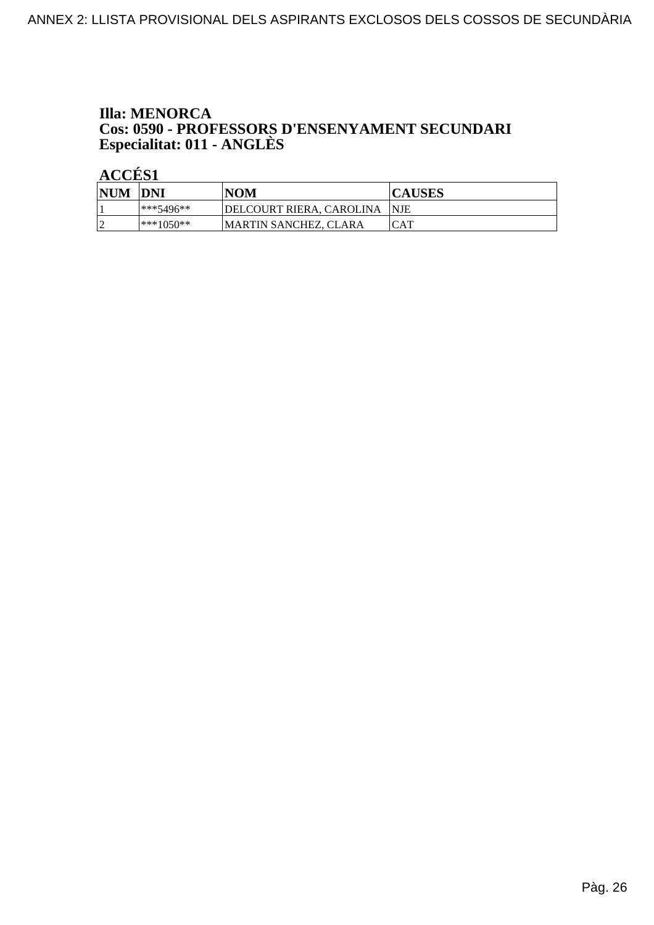## **Illa: MENORCA Cos: 0590 - PROFESSORS D'ENSENYAMENT SECUNDARI<br>Especialitat: 011 - ANGLÈS**

| <b>NUM</b> | <b>DNI</b>    | NOM                       | <b>CAUSES</b> |
|------------|---------------|---------------------------|---------------|
|            | $ ***5496***$ | 'DELCOURT RIERA, CAROLINA | <b>INJE</b>   |
| ∼          | $ ***1050**$  | MARTIN SANCHEZ. CLARA     | CAT           |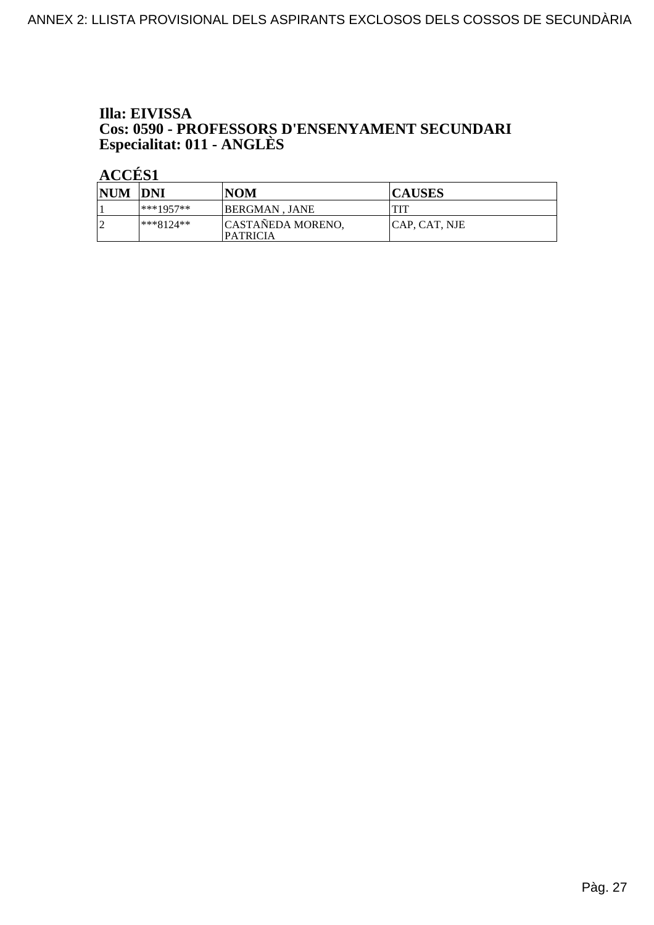### Illa: EIVISSA **Cos: 0590 - PROFESSORS D'ENSENYAMENT SECUNDARI<br>Especialitat: 011 - ANGLÈS**

| <b>NUM</b> | <b>DNI</b>   | <b>NOM</b>                           | <b>CAUSES</b> |
|------------|--------------|--------------------------------------|---------------|
|            | $ ***1957**$ | BERGMAN . JANE                       | TIT           |
| n          | $ ***8124**$ | CASTAÑEDA MORENO,<br><b>PATRICIA</b> | CAP, CAT, NJE |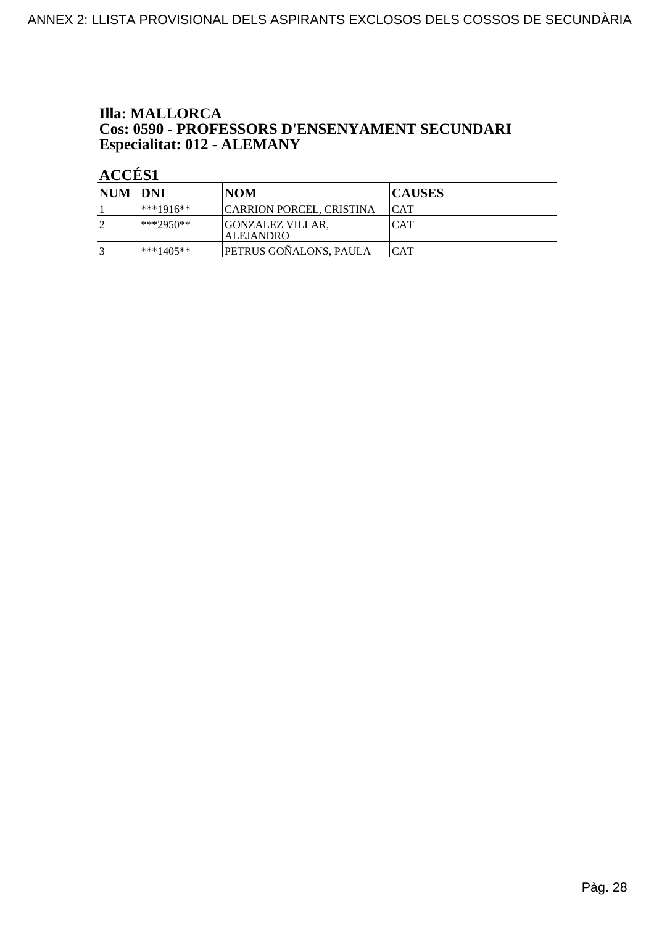#### **Illa: MALLORCA** Cos: 0590 - PROFESSORS D'ENSENYAMENT SECUNDARI Especialitat: 012 - ALEMANY

| NUM DNI |             | NOM                                         | <b>CAUSES</b> |
|---------|-------------|---------------------------------------------|---------------|
|         | $***1916**$ | <b>CARRION PORCEL, CRISTINA</b>             | ICAT          |
| l J     | $**2950**$  | <b>GONZALEZ VILLAR.</b><br><b>ALEJANDRO</b> | <b>CAT</b>    |
|         | $***1405**$ | PETRUS GOÑALONS, PAULA                      | CAT           |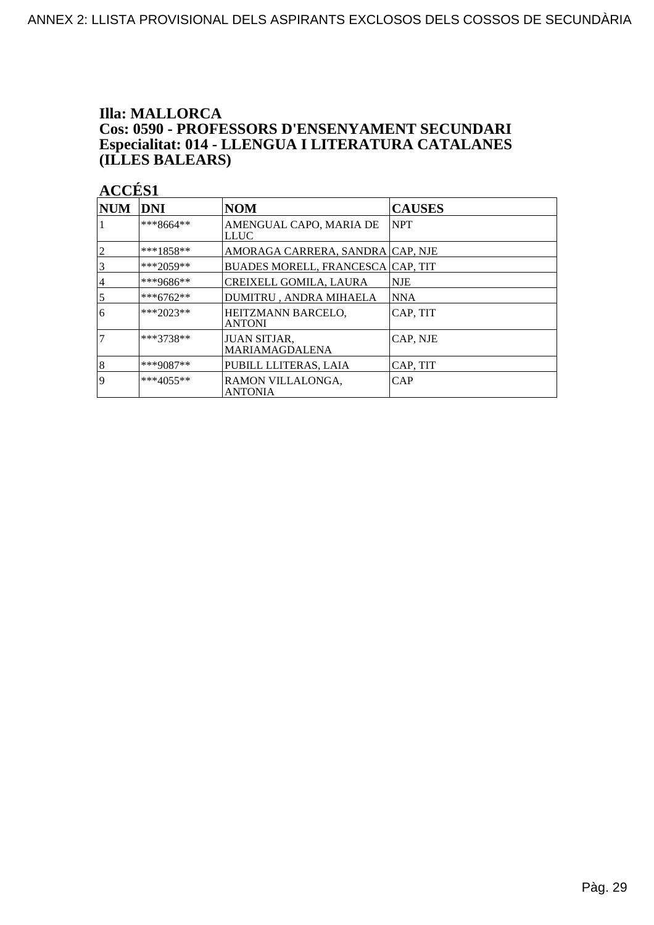#### **Illa: MALLORCA** Cos: 0590 - PROFESSORS D'ENSENYAMENT SECUNDARI Especialitat: 014 - LLENGUA I LITERATURA CATALANES (ILLES BALEARS)

| <b>NUM</b>     | <b>DNI</b>  | <b>NOM</b>                                   | <b>CAUSES</b> |
|----------------|-------------|----------------------------------------------|---------------|
|                | ***8664**   | AMENGUAL CAPO, MARIA DE<br><b>LLUC</b>       | <b>NPT</b>    |
| $ 2 \>$        | $***1858**$ | AMORAGA CARRERA, SANDRA CAP, NJE             |               |
| $\overline{3}$ | ***2059**   | BUADES MORELL, FRANCESCA CAP, TIT            |               |
| 4              | ***9686**   | CREIXELL GOMILA, LAURA                       | <b>NJE</b>    |
| $\overline{5}$ | ***6762**   | DUMITRU, ANDRA MIHAELA                       | <b>NNA</b>    |
| 16             | $***2023**$ | HEITZMANN BARCELO,<br><b>ANTONI</b>          | CAP, TIT      |
| $\overline{7}$ | ***3738**   | <b>JUAN SITJAR,</b><br><b>MARIAMAGDALENA</b> | CAP, NJE      |
| $\vert 8$      | ***9087**   | PUBILL LLITERAS, LAIA                        | CAP, TIT      |
| <b>9</b>       | $***4055**$ | RAMON VILLALONGA,<br><b>ANTONIA</b>          | CAP           |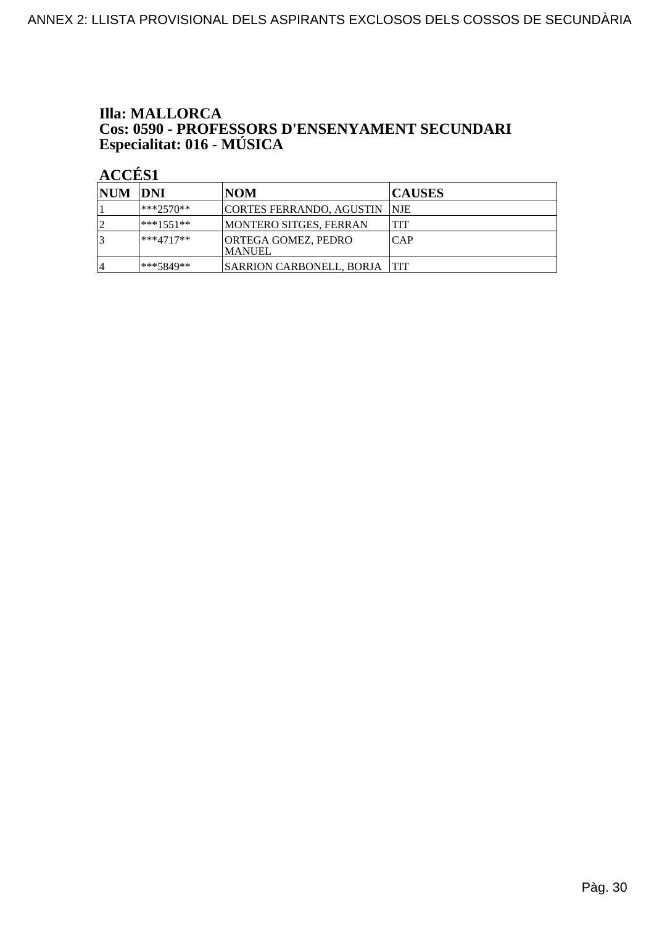### **Illa: MALLORCA Cos: 0590 - PROFESSORS D'ENSENYAMENT SECUNDARI<br>Especialitat: 016 - MÚSICA**

| <b>NUM DNI</b> |              | <b>NOM</b>                            | <b>CAUSES</b> |
|----------------|--------------|---------------------------------------|---------------|
|                | $1***2570**$ | CORTES FERRANDO, AGUSTIN  NJE         |               |
|                | ***1551**    | <b>MONTERO SITGES, FERRAN</b>         | <b>TIT</b>    |
|                | $ ***4717**$ | <b>ORTEGA GOMEZ, PEDRO</b><br>IMANUEL | ICAP          |
|                | ***5849**    | SARRION CARBONELL, BORJA   TIT        |               |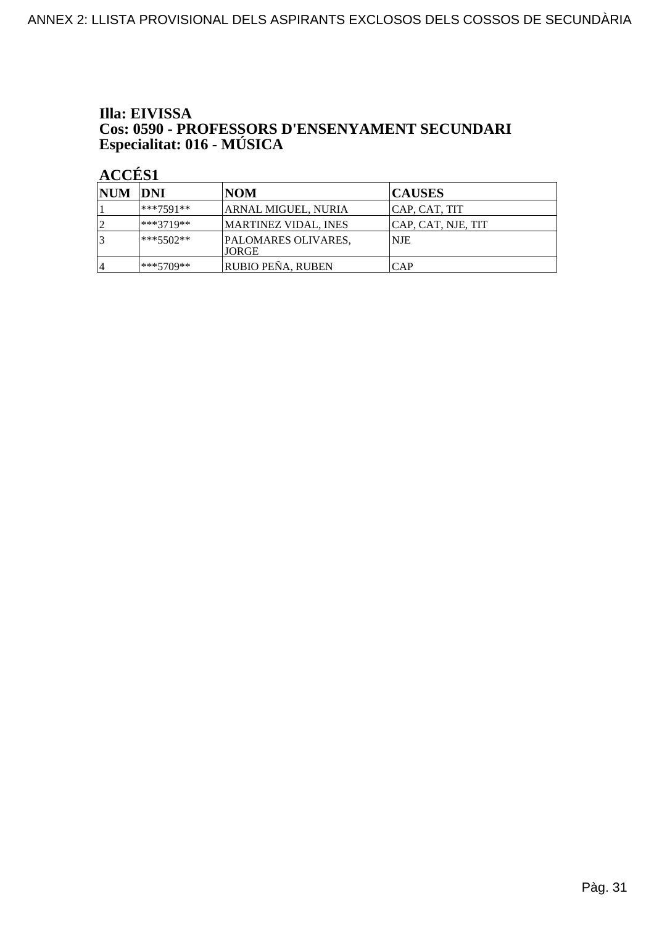## Illa: EIVISSA **Cos: 0590 - PROFESSORS D'ENSENYAMENT SECUNDARI<br>Especialitat: 016 - MÚSICA**

| <b>NUM DNI</b> |              | NOM                          | <b>CAUSES</b>      |
|----------------|--------------|------------------------------|--------------------|
|                | ***7591**    | ARNAL MIGUEL, NURIA          | CAP, CAT, TIT      |
|                | ***3719**    | MARTINEZ VIDAL, INES         | CAP, CAT, NJE, TIT |
|                | $1***5502**$ | PALOMARES OLIVARES,<br>JORGE | NJE                |
| 14             | ***5709**    | <b>RUBIO PEÑA, RUBEN</b>     | CAP                |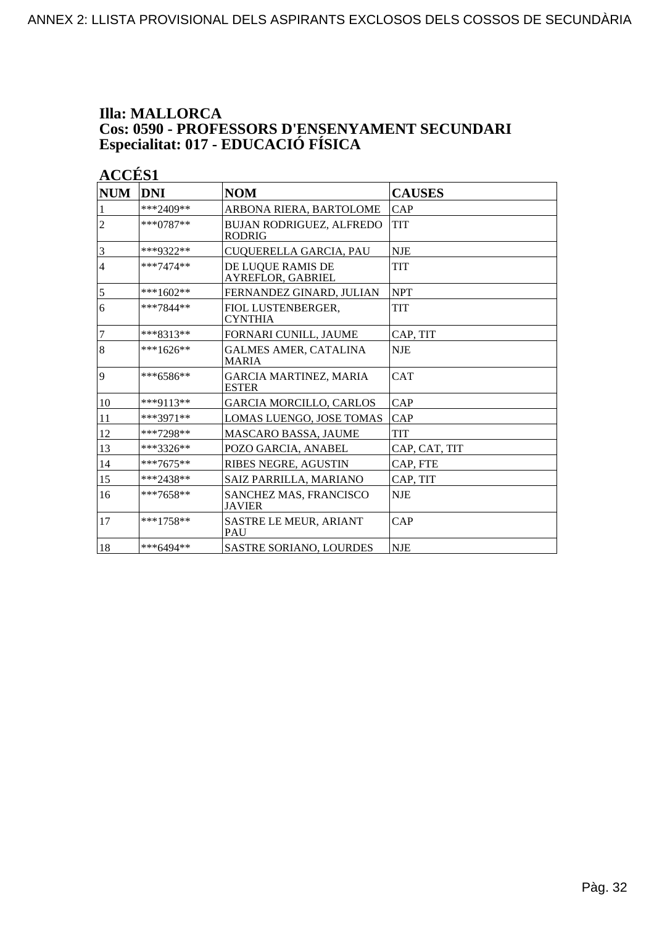#### **Illa: MALLORCA Cos: 0590 - PROFESSORS D'ENSENYAMENT SECUNDARI Especialitat: 017 - EDUCACIÓ FÍSICA**

| <b>NUM</b>              | <b>DNI</b>  | <b>NOM</b>                                       | <b>CAUSES</b> |
|-------------------------|-------------|--------------------------------------------------|---------------|
|                         | $***2409**$ | ARBONA RIERA, BARTOLOME                          | CAP           |
| $\overline{c}$          | $***0787**$ | <b>BUJAN RODRIGUEZ, ALFREDO</b><br><b>RODRIG</b> | <b>TIT</b>    |
| $\overline{\mathbf{3}}$ | ***9322**   | CUQUERELLA GARCIA, PAU                           | <b>NJE</b>    |
| $\overline{4}$          | $***7474**$ | DE LUQUE RAMIS DE<br>AYREFLOR, GABRIEL           | TIT           |
| 5                       | ***1602**   | FERNANDEZ GINARD. JULIAN                         | <b>NPT</b>    |
| 6                       | $***7844**$ | FIOL LUSTENBERGER,<br><b>CYNTHIA</b>             | <b>TIT</b>    |
| $\overline{7}$          | ***8313**   | FORNARI CUNILL, JAUME                            | CAP. TIT      |
| $\overline{8}$          | $***1626**$ | <b>GALMES AMER, CATALINA</b><br><b>MARIA</b>     | <b>NJE</b>    |
| 9                       | $***6586**$ | <b>GARCIA MARTINEZ, MARIA</b><br><b>ESTER</b>    | <b>CAT</b>    |
| 10                      | ***9113**   | <b>GARCIA MORCILLO, CARLOS</b>                   | CAP           |
| 11                      | $***3971**$ | LOMAS LUENGO, JOSE TOMAS                         | CAP           |
| 12                      | ***7298**   | <b>MASCARO BASSA, JAUME</b>                      | <b>TIT</b>    |
| 13                      | $***3326**$ | POZO GARCIA, ANABEL                              | CAP, CAT, TIT |
| 14                      | $***7675**$ | RIBES NEGRE, AGUSTIN                             | CAP, FTE      |
| 15                      | ***2438**   | SAIZ PARRILLA, MARIANO                           | CAP, TIT      |
| 16                      | $***7658**$ | <b>SANCHEZ MAS, FRANCISCO</b><br><b>JAVIER</b>   | <b>NJE</b>    |
| 17                      | $***1758**$ | <b>SASTRE LE MEUR, ARIANT</b><br>PAU             | CAP           |
| 18                      | ***6494**   | <b>SASTRE SORIANO, LOURDES</b>                   | <b>NJE</b>    |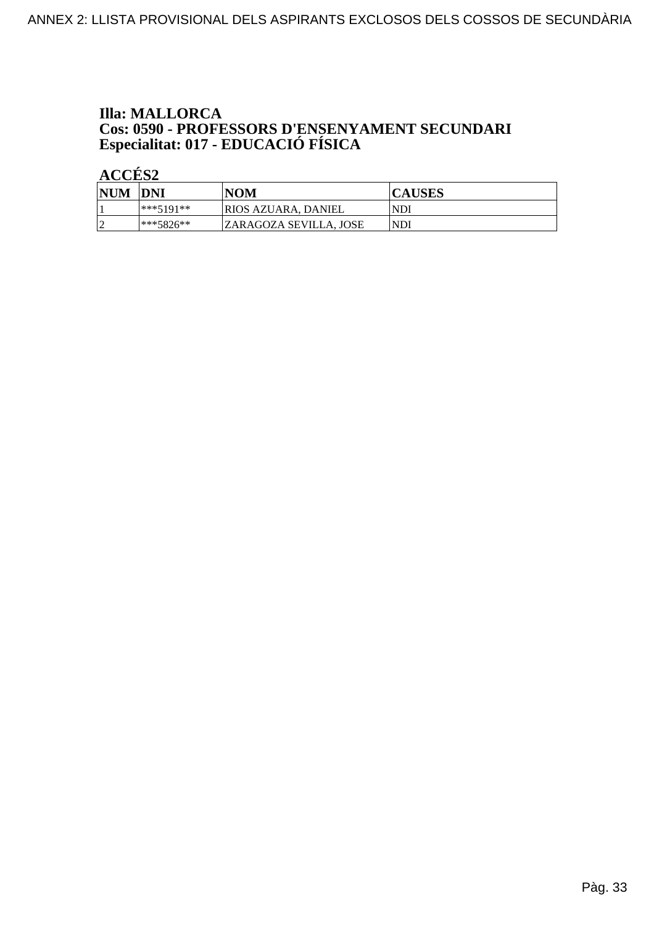### **Illa: MALLORCA** Cos: 0590 - PROFESSORS D'ENSENYAMENT SECUNDARI<br>Especialitat: 017 - EDUCACIÓ FÍSICA

| <b>NUM</b> | DNI         | <b>NOM</b>             | <b>CAUSES</b> |
|------------|-------------|------------------------|---------------|
|            | ***5101**   | RIOS AZUARA. DANIEL    | <b>NDI</b>    |
| ∼          | $***5876**$ | ZARAGOZA SEVILLA. JOSE | <b>NDI</b>    |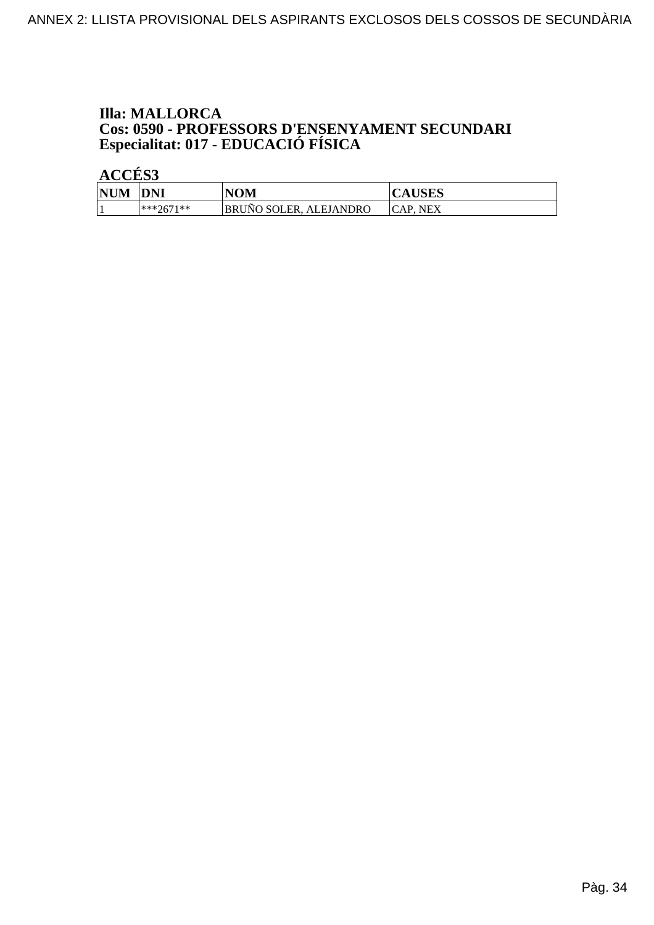### **Illa: MALLORCA** Cos: 0590 - PROFESSORS D'ENSENYAMENT SECUNDARI<br>Especialitat: 017 - EDUCACIÓ FÍSICA

| <b>NUM</b> | <b>DNI</b>    | NOM                           | <b>CAUSES</b>     |
|------------|---------------|-------------------------------|-------------------|
|            | $ ***2671***$ | <b>BRUNO SOLER, ALEJANDRO</b> | CAP. NEX<br>"CAF. |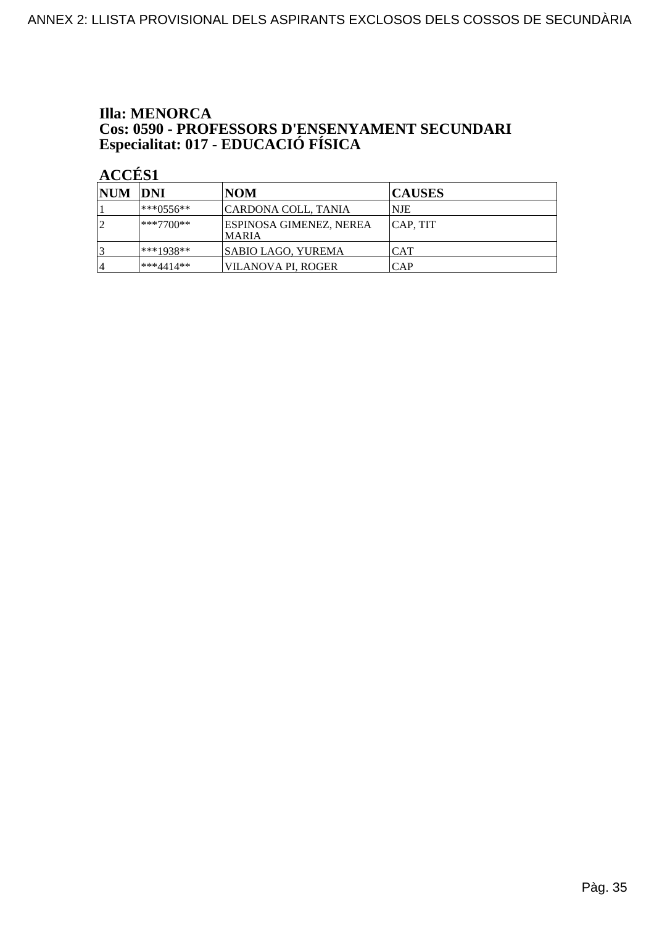### **Illa: MENORCA Cos: 0590 - PROFESSORS D'ENSENYAMENT SECUNDARI<br>Especialitat: 017 - EDUCACIÓ FÍSICA**

| NUM DNI        |             | <b>NOM</b>                              | <b>CAUSES</b> |
|----------------|-------------|-----------------------------------------|---------------|
|                | l***0556**  | CARDONA COLL, TANIA                     | INJE          |
| $\overline{2}$ | $***7700**$ | ESPINOSA GIMENEZ, NEREA<br><b>MARIA</b> | CAP, TIT      |
|                | ***1938**   | SABIO LAGO, YUREMA                      | <b>CAT</b>    |
| $\overline{4}$ | ***4414**   | VILANOVA PI, ROGER                      | <b>CAP</b>    |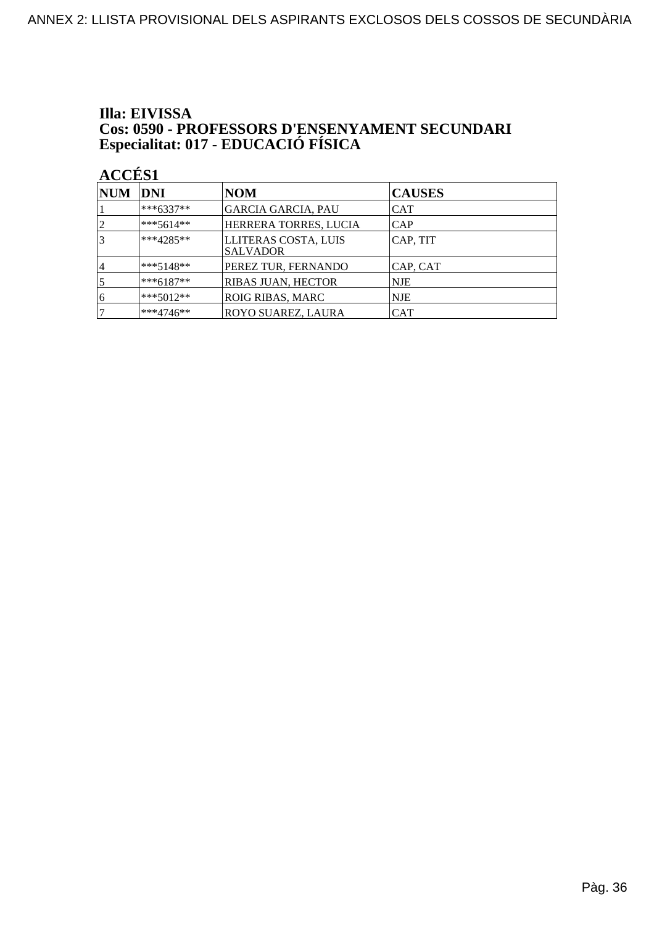# Illa: EIVISSA **Cos: 0590 - PROFESSORS D'ENSENYAMENT SECUNDARI<br>Especialitat: 017 - EDUCACIÓ FÍSICA**

| NUM DNI        |             | <b>NOM</b>                              | <b>CAUSES</b> |
|----------------|-------------|-----------------------------------------|---------------|
|                | ***6337**   | <b>GARCIA GARCIA, PAU</b>               | <b>CAT</b>    |
| $\overline{2}$ | ***5614**   | HERRERA TORRES, LUCIA                   | <b>CAP</b>    |
|                | $***4285**$ | LLITERAS COSTA, LUIS<br><b>SALVADOR</b> | CAP, TIT      |
| 4              | $***5148**$ | PEREZ TUR, FERNANDO                     | CAP, CAT      |
|                | $***6187**$ | RIBAS JUAN, HECTOR                      | <b>NJE</b>    |
| 6              | $***5012**$ | <b>ROIG RIBAS, MARC</b>                 | <b>NJE</b>    |
|                | $***4746**$ | ROYO SUAREZ, LAURA                      | <b>CAT</b>    |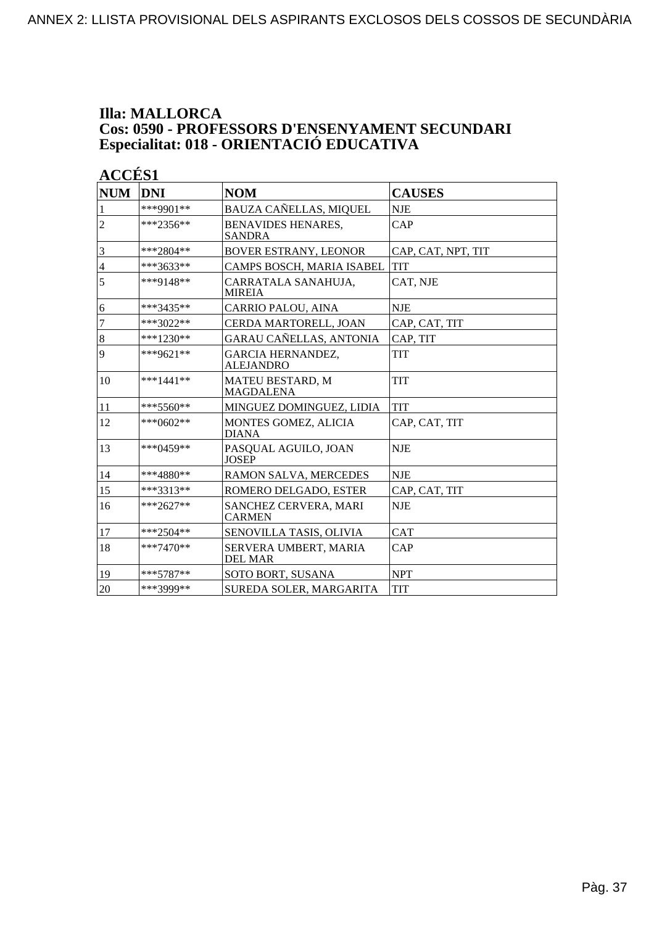### **Illa: MALLORCA Cos: 0590 - PROFESSORS D'ENSENYAMENT SECUNDARI Especialitat: 018 - ORIENTACIÓ EDUCATIVA**

| <b>NUM</b>       | <b>DNI</b>  | <b>NOM</b>                                   | <b>CAUSES</b>      |
|------------------|-------------|----------------------------------------------|--------------------|
| $\mathbf{1}$     | ***9901**   | BAUZA CAÑELLAS, MIQUEL                       | <b>NJE</b>         |
| $\overline{2}$   | $***2356**$ | <b>BENAVIDES HENARES,</b><br><b>SANDRA</b>   | CAP                |
| 3                | $***2804**$ | <b>BOVER ESTRANY, LEONOR</b>                 | CAP, CAT, NPT, TIT |
| $\overline{4}$   | $***3633**$ | CAMPS BOSCH, MARIA ISABEL                    | <b>TIT</b>         |
| 5                | ***9148**   | CARRATALA SANAHUJA,<br><b>MIREIA</b>         | CAT, NJE           |
| 6                | $***3435**$ | CARRIO PALOU, AINA                           | <b>NJE</b>         |
| $\overline{7}$   | $***3022**$ | CERDA MARTORELL, JOAN                        | CAP, CAT, TIT      |
| $\boldsymbol{8}$ | $***1230**$ | GARAU CAÑELLAS, ANTONIA                      | CAP, TIT           |
| 9                | $***9621**$ | <b>GARCIA HERNANDEZ,</b><br><b>ALEJANDRO</b> | TIT                |
| 10               | ***1441**   | MATEU BESTARD, M<br><b>MAGDALENA</b>         | <b>TIT</b>         |
| 11               | $***5560**$ | MINGUEZ DOMINGUEZ, LIDIA                     | <b>TIT</b>         |
| 12               | $***0602**$ | <b>MONTES GOMEZ, ALICIA</b><br><b>DIANA</b>  | CAP, CAT, TIT      |
| 13               | $***0459**$ | PASQUAL AGUILO, JOAN<br><b>JOSEP</b>         | <b>NJE</b>         |
| 14               | ***4880**   | RAMON SALVA, MERCEDES                        | <b>NJE</b>         |
| 15               | ***3313**   | ROMERO DELGADO, ESTER                        | CAP, CAT, TIT      |
| 16               | $***2627**$ | SANCHEZ CERVERA, MARI<br><b>CARMEN</b>       | <b>NJE</b>         |
| 17               | $***2504**$ | SENOVILLA TASIS, OLIVIA                      | <b>CAT</b>         |
| 18               | $***7470**$ | SERVERA UMBERT, MARIA<br><b>DEL MAR</b>      | CAP                |
| 19               | $***5787**$ | <b>SOTO BORT, SUSANA</b>                     | <b>NPT</b>         |
| 20               | ***3999**   | SUREDA SOLER, MARGARITA                      | <b>TIT</b>         |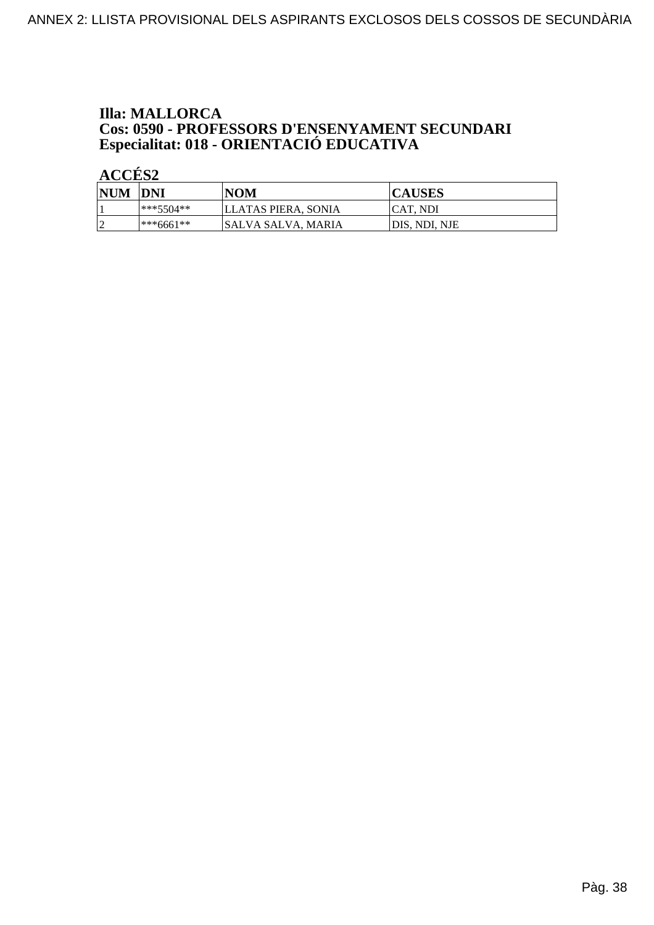# **Illa: MALLORCA Cos: 0590 - PROFESSORS D'ENSENYAMENT SECUNDARI<br>Especialitat: 018 - ORIENTACIÓ EDUCATIVA**

| <b>NUM</b>               | <b>DNI</b> | <b>NOM</b>          | <b>CAUSES</b>  |
|--------------------------|------------|---------------------|----------------|
|                          | ***5504**  | LLATAS PIERA. SONIA | CAT. NDI       |
| $\overline{\phantom{a}}$ | ***6661**  | ISALVA SALVA. MARIA | IDIS. NDI. NJE |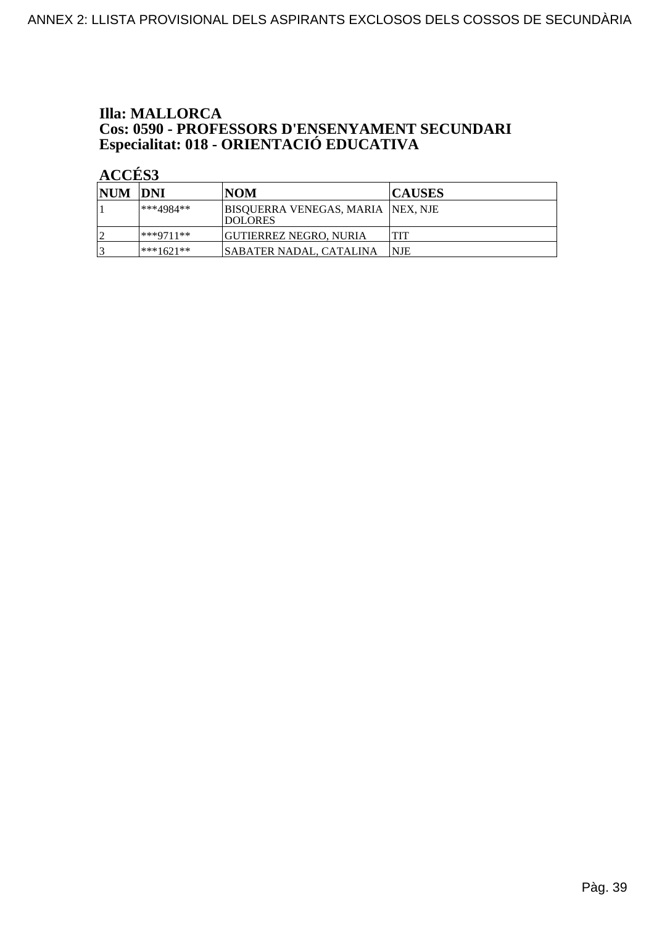# **Illa: MALLORCA Cos: 0590 - PROFESSORS D'ENSENYAMENT SECUNDARI<br>Especialitat: 018 - ORIENTACIÓ EDUCATIVA**

| NUM DNI |             | <b>NOM</b>                                           | <b>CAUSES</b> |
|---------|-------------|------------------------------------------------------|---------------|
|         | ***4984**   | BISOUERRA VENEGAS, MARIA  NEX, NJE<br><b>DOLORES</b> |               |
|         | $***9711**$ | GUTIERREZ NEGRO. NURIA                               | TIT           |
| 2       | $***1621**$ | SABATER NADAL. CATALINA                              | <b>NJE</b>    |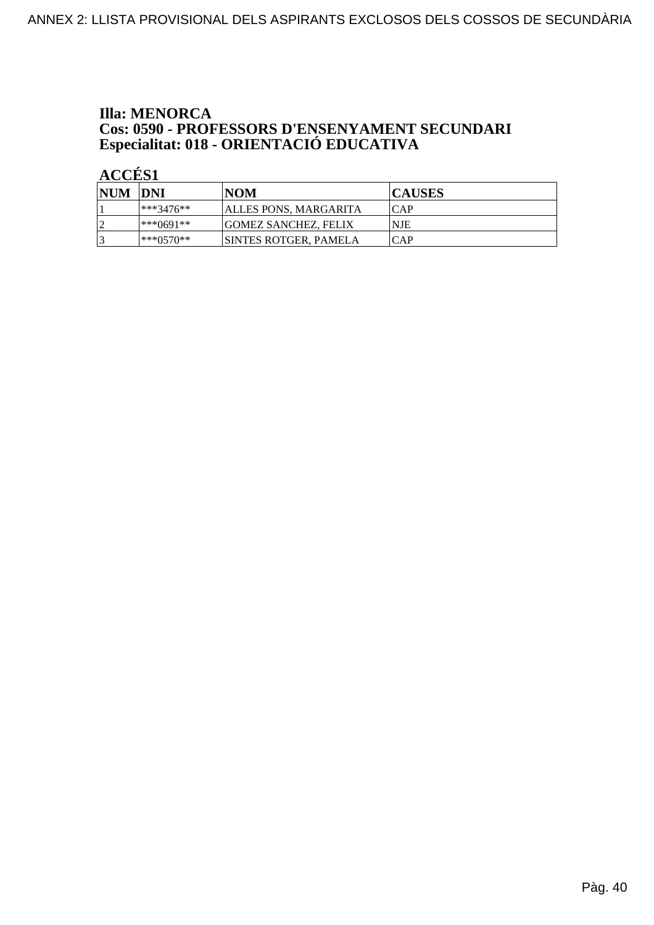# **Illa: MENORCA Cos: 0590 - PROFESSORS D'ENSENYAMENT SECUNDARI<br>Especialitat: 018 - ORIENTACIÓ EDUCATIVA**

| NUM DNI |             | INOM                         | <b>CAUSES</b> |
|---------|-------------|------------------------------|---------------|
|         | $***3476**$ | ALLES PONS, MARGARITA        | <b>CAP</b>    |
| $\cap$  | l***()691** | <b>GOMEZ SANCHEZ, FELIX</b>  | <b>NJE</b>    |
|         | ***()57()** | <b>SINTES ROTGER, PAMELA</b> | <b>CAP</b>    |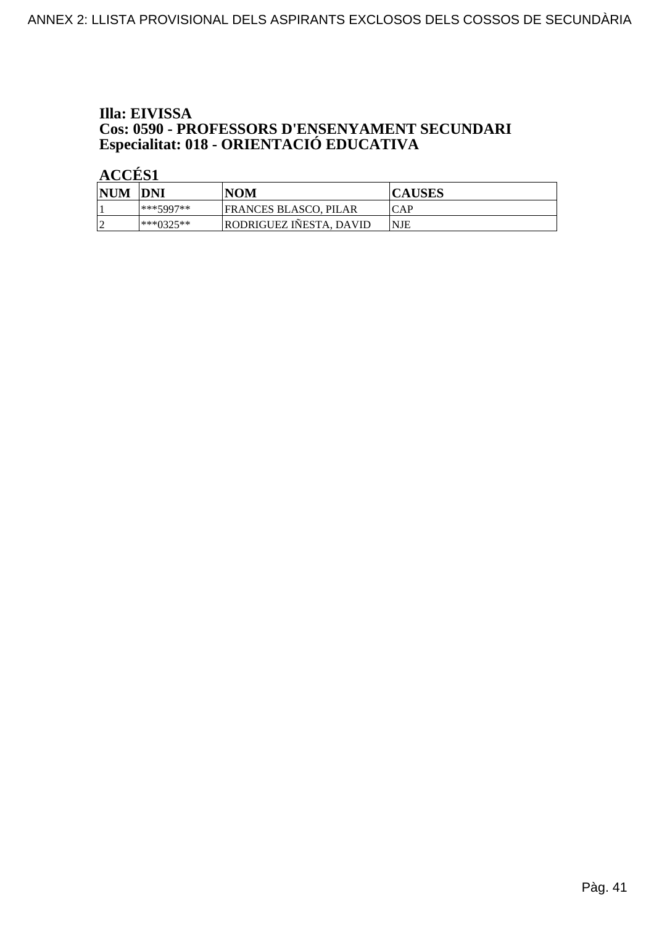# Illa: EIVISSA **Cos: 0590 - PROFESSORS D'ENSENYAMENT SECUNDARI<br>Especialitat: 018 - ORIENTACIÓ EDUCATIVA**

| <b>NUM</b> | <b>IDNI</b> | NOM                     | <b>CAUSES</b> |
|------------|-------------|-------------------------|---------------|
|            | ***5997**   | FRANCES BLASCO, PILAR   | <b>ICAP</b>   |
| ∼          | ***∩325**   | RODRIGUEZ INESTA. DAVID | <b>NJE</b>    |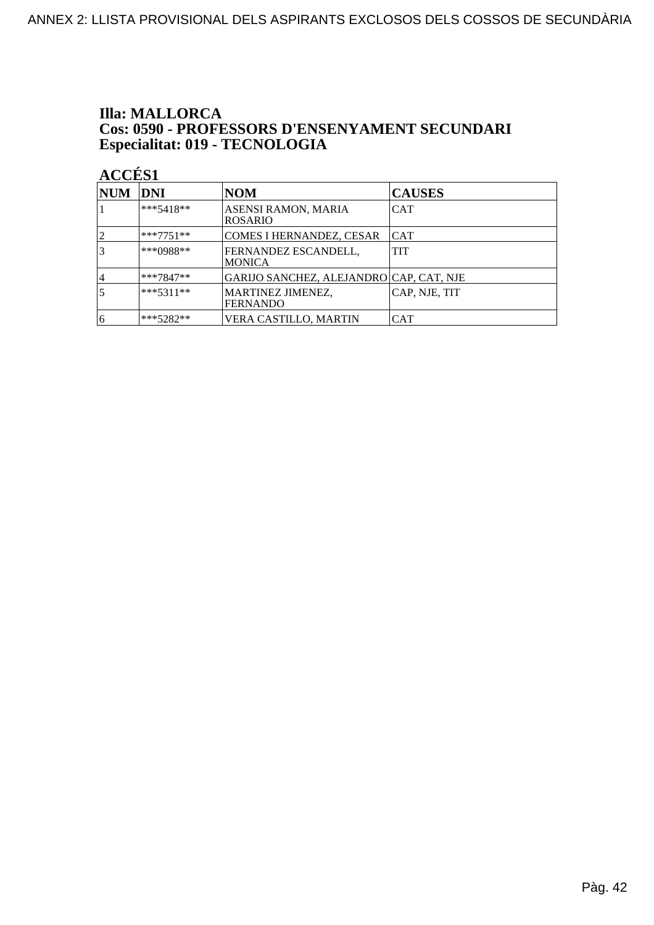### **Illa: MALLORCA** Cos: 0590 - PROFESSORS D'ENSENYAMENT SECUNDARI Especialitat: 019 - TECNOLOGIA

| NUM DNI |             | NOM                                          | <b>CAUSES</b> |
|---------|-------------|----------------------------------------------|---------------|
|         | $***5418**$ | <b>ASENSI RAMON, MARIA</b><br><b>ROSARIO</b> | <b>CAT</b>    |
|         | ***7751**   | COMES I HERNANDEZ, CESAR                     | <b>CAT</b>    |
|         | $***0988**$ | FERNANDEZ ESCANDELL.<br>IMONICA              | TIT           |
| 14      | $***7847**$ | GARIJO SANCHEZ, ALEJANDRO   CAP, CAT, NJE    |               |
| 5       | $***5311**$ | MARTINEZ JIMENEZ,<br><b>FERNANDO</b>         | CAP, NJE, TIT |
| 16      | ***5282**   | VERA CASTILLO. MARTIN                        | <b>CAT</b>    |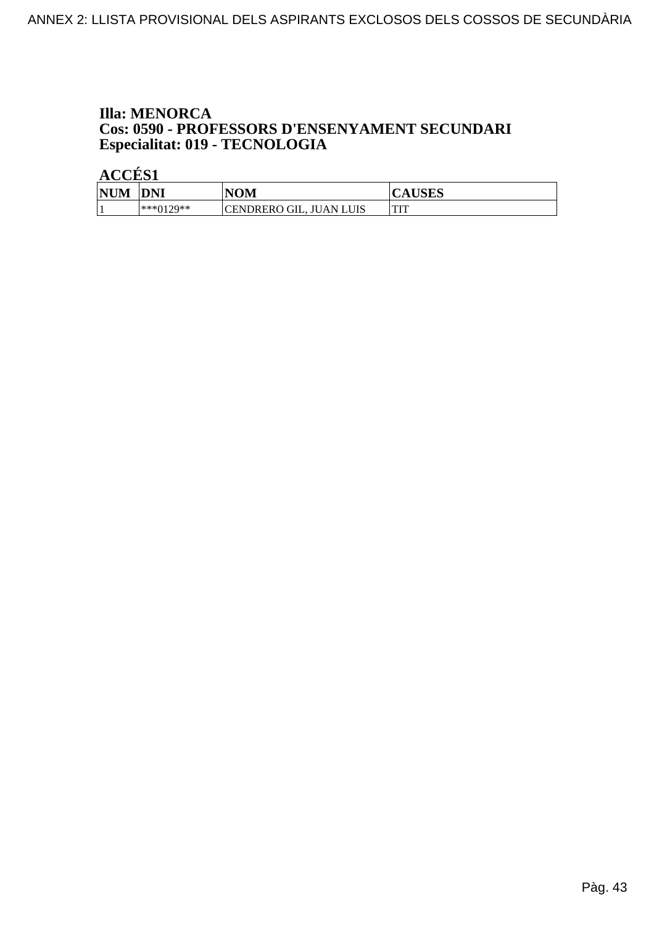### **Illa: MENORCA** Cos: 0590 - PROFESSORS D'ENSENYAMENT SECUNDARI Especialitat: 019 - TECNOLOGIA

| <b>NUM</b> | <b>DNI</b> | <b>NOM</b>              | <b>CAUSES</b> |
|------------|------------|-------------------------|---------------|
|            | ***0129**  | CENDRERO GIL, JUAN LUIS | TIT<br>       |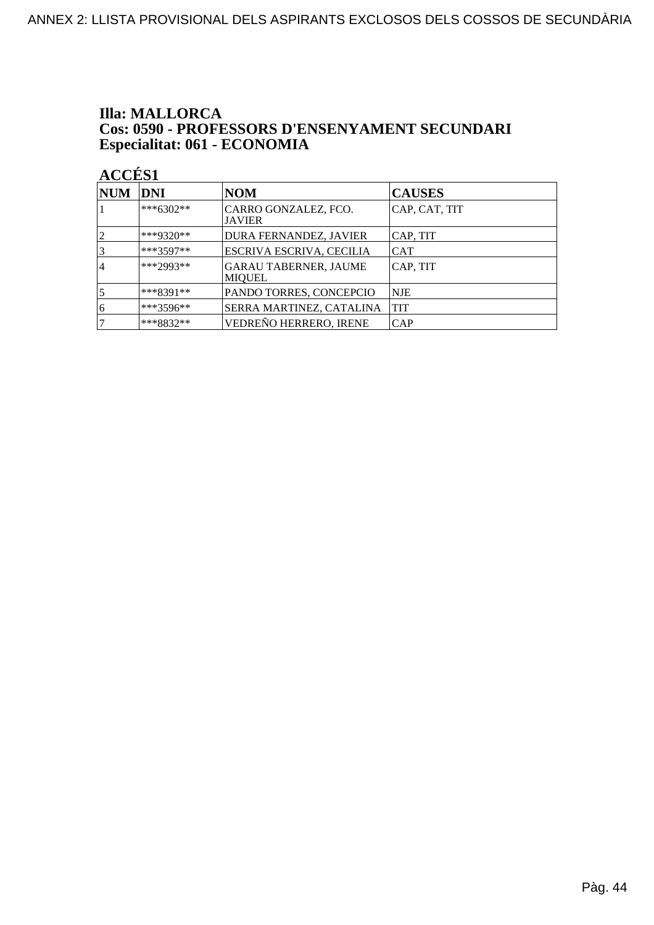### **Illa: MALLORCA** Cos: 0590 - PROFESSORS D'ENSENYAMENT SECUNDARI Especialitat: 061 - ECONOMIA

| <b>NUM</b>     | <b>DNI</b>  | <b>NOM</b>                                    | <b>CAUSES</b> |
|----------------|-------------|-----------------------------------------------|---------------|
|                | $***6302**$ | CARRO GONZALEZ, FCO.<br><b>JAVIER</b>         | CAP, CAT, TIT |
|                | ***9320**   | DURA FERNANDEZ, JAVIER                        | CAP, TIT      |
|                | $***3597**$ | ESCRIVA ESCRIVA, CECILIA                      | <b>CAT</b>    |
| $\overline{4}$ | ***2993**   | <b>GARAU TABERNER, JAUME</b><br><b>MIOUEL</b> | CAP, TIT      |
|                | $***8391**$ | PANDO TORRES, CONCEPCIO                       | NJE           |
| 6              | $***3596**$ | SERRA MARTINEZ, CATALINA                      | TIT           |
|                | ***8832**   | VEDREÑO HERRERO, IRENE                        | CAP           |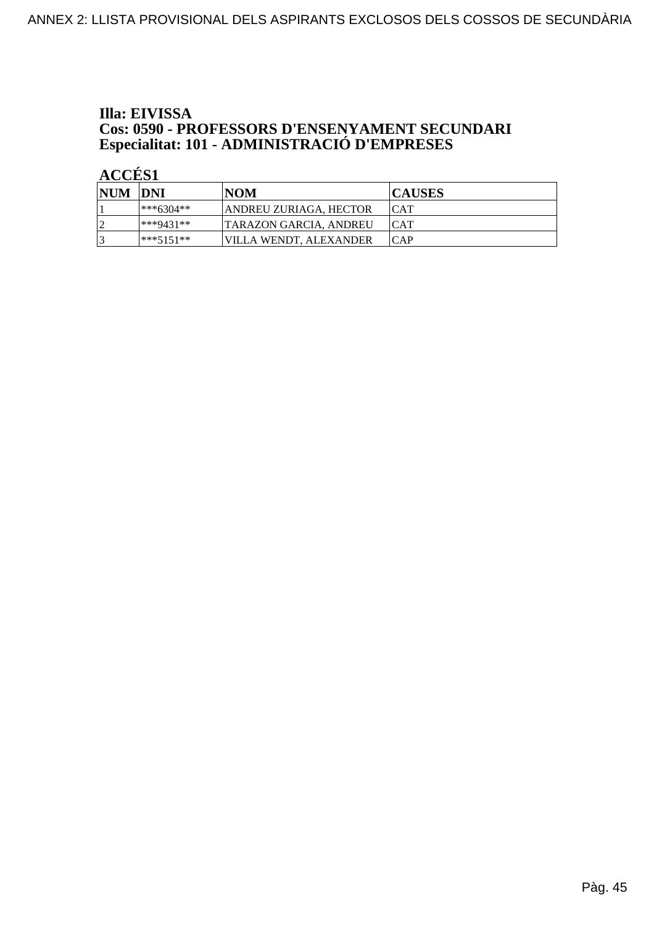# Illa: EIVISSA **Cos: 0590 - PROFESSORS D'ENSENYAMENT SECUNDARI<br>Especialitat: 101 - ADMINISTRACIÓ D'EMPRESES**

| NUM DNI |             | INOM                   | <b>CAUSES</b> |
|---------|-------------|------------------------|---------------|
|         | ***6304**   | ANDREU ZURIAGA, HECTOR | ICAT          |
| l J     | ***9431**   | TARAZON GARCIA. ANDREU | <b>CAT</b>    |
|         | $***5151**$ | VILLA WENDT, ALEXANDER | ICAP          |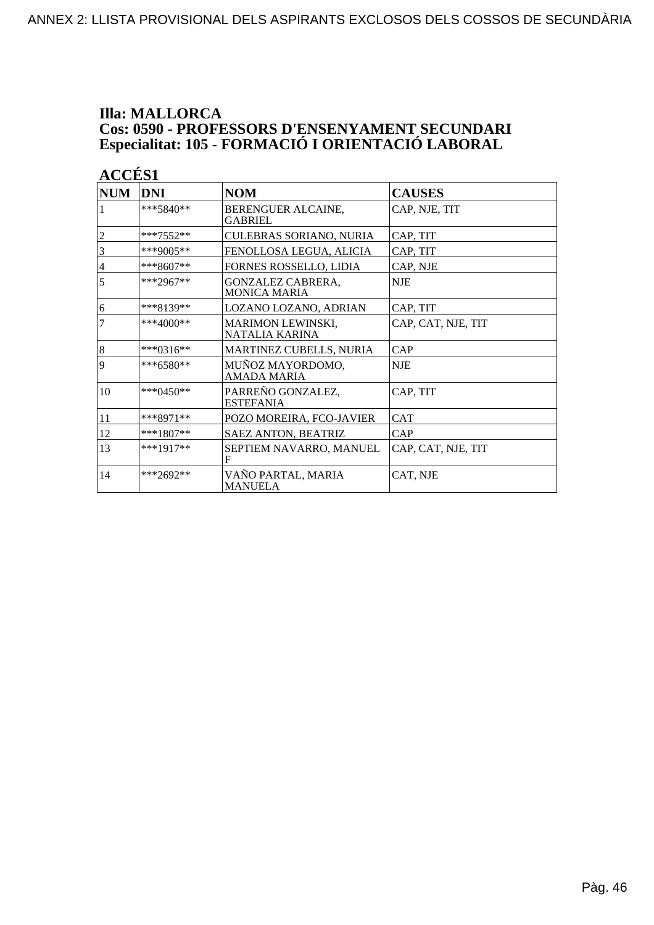# **Illa: MALLORCA Cos: 0590 - PROFESSORS D'ENSENYAMENT SECUNDARI<br>Especialitat: 105 - FORMACIÓ I ORIENTACIÓ LABORAL**

| ı. |
|----|
|    |

| <b>NUM</b>       | <b>DNI</b>   | <b>NOM</b>                                      | <b>CAUSES</b>      |
|------------------|--------------|-------------------------------------------------|--------------------|
| 1                | $***5840**$  | BERENGUER ALCAINE,<br><b>GABRIEL</b>            | CAP, NJE, TIT      |
| $\overline{c}$   | $***7552**$  | CULEBRAS SORIANO, NURIA                         | CAP, TIT           |
| 3                | ***9005**    | FENOLLOSA LEGUA, ALICIA                         | CAP, TIT           |
| $\overline{4}$   | $***8607**$  | FORNES ROSSELLO, LIDIA                          | CAP, NJE           |
| 5                | ***2967**    | <b>GONZALEZ CABRERA,</b><br><b>MONICA MARIA</b> | <b>NJE</b>         |
| 6                | $***8139**$  | LOZANO LOZANO, ADRIAN                           | CAP, TIT           |
| 7                | ***4000**    | <b>MARIMON LEWINSKI,</b><br>NATALIA KARINA      | CAP, CAT, NJE, TIT |
| $\boldsymbol{8}$ | $***0316**$  | MARTINEZ CUBELLS, NURIA                         | CAP                |
| 9                | ***6580**    | MUNOZ MAYORDOMO,<br>AMADA MARIA                 | <b>NJE</b>         |
| 10               | *** $0450**$ | PARREÑO GONZALEZ,<br><b>ESTEFANIA</b>           | CAP, TIT           |
| 11               | $***8971**$  | POZO MOREIRA, FCO-JAVIER                        | CAT                |
| 12               | $***1807**$  | <b>SAEZ ANTON, BEATRIZ</b>                      | CAP                |
| 13               | $***1917**$  | SEPTIEM NAVARRO, MANUEL<br>F                    | CAP, CAT, NJE, TIT |
| 14               | $***2692**$  | VAÑO PARTAL, MARIA<br>MANUELA                   | CAT, NJE           |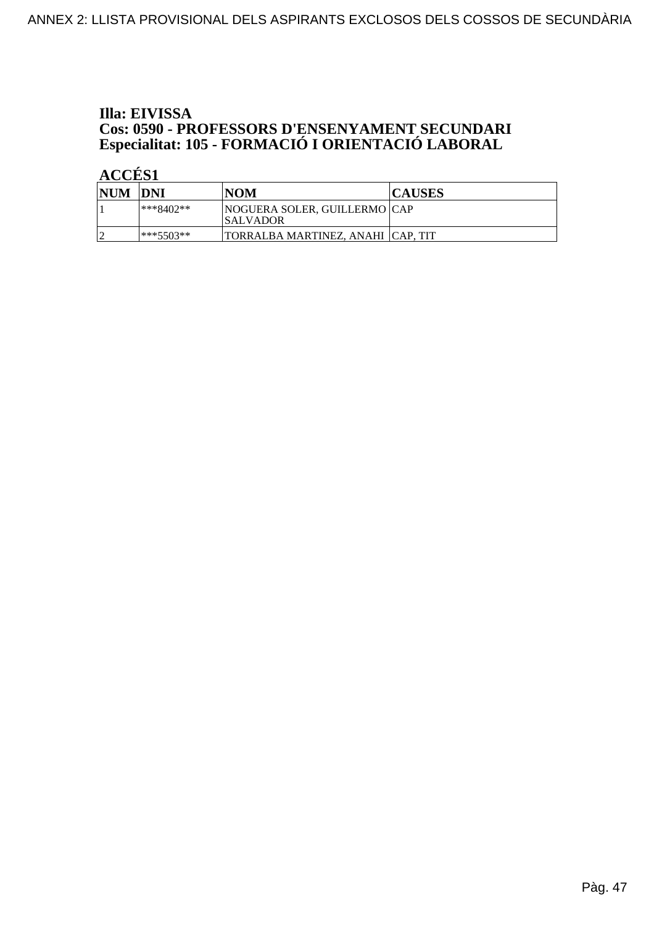# Illa: EIVISSA **Cos: 0590 - PROFESSORS D'ENSENYAMENT SECUNDARI<br>Especialitat: 105 - FORMACIÓ I ORIENTACIÓ LABORAL**

| <b>NUM</b> | <b>IDNI</b>  | <b>NOM</b>                                       | <b>CAUSES</b> |
|------------|--------------|--------------------------------------------------|---------------|
|            | $***8402**$  | <b>NOGUERA SOLER, GUILLERMO CAP</b><br>ISALVADOR |               |
|            | $ ***5503**$ | TORRALBA MARTINEZ. ANAHI  CAP. TIT               |               |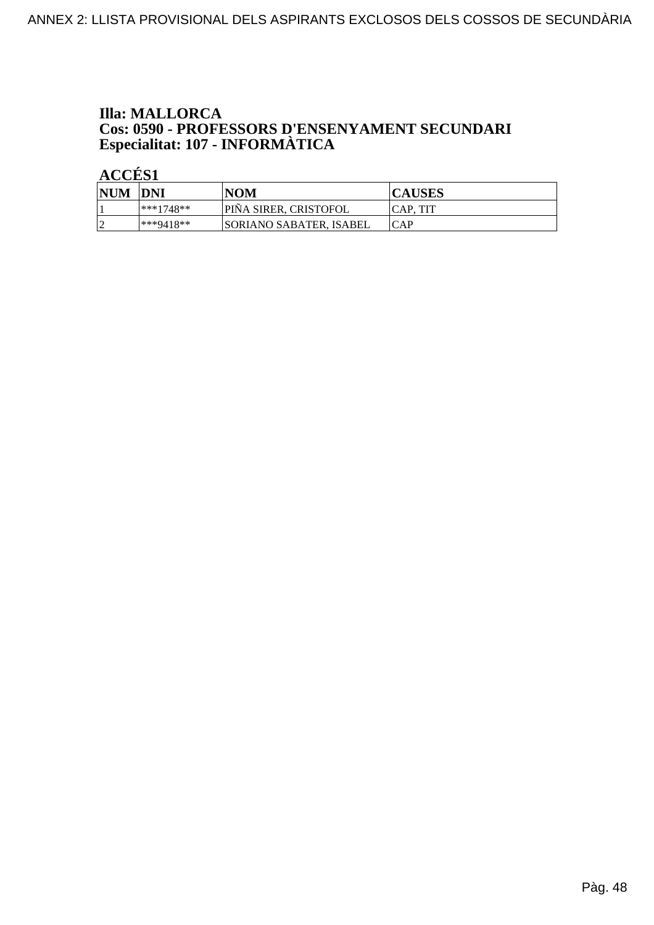# **Illa: MALLORCA Cos: 0590 - PROFESSORS D'ENSENYAMENT SECUNDARI<br>Especialitat: 107 - INFORMÀTICA**

| <b>NUM</b> | <b>DNI</b>   | <b>NOM</b>                     | <b>CAUSES</b> |
|------------|--------------|--------------------------------|---------------|
|            | $ ***1748**$ | <b>PINA SIRER, CRISTOFOL</b>   | CAP. TIT      |
|            | ***9418**    | <b>SORIANO SABATER. ISABEL</b> | ICAP          |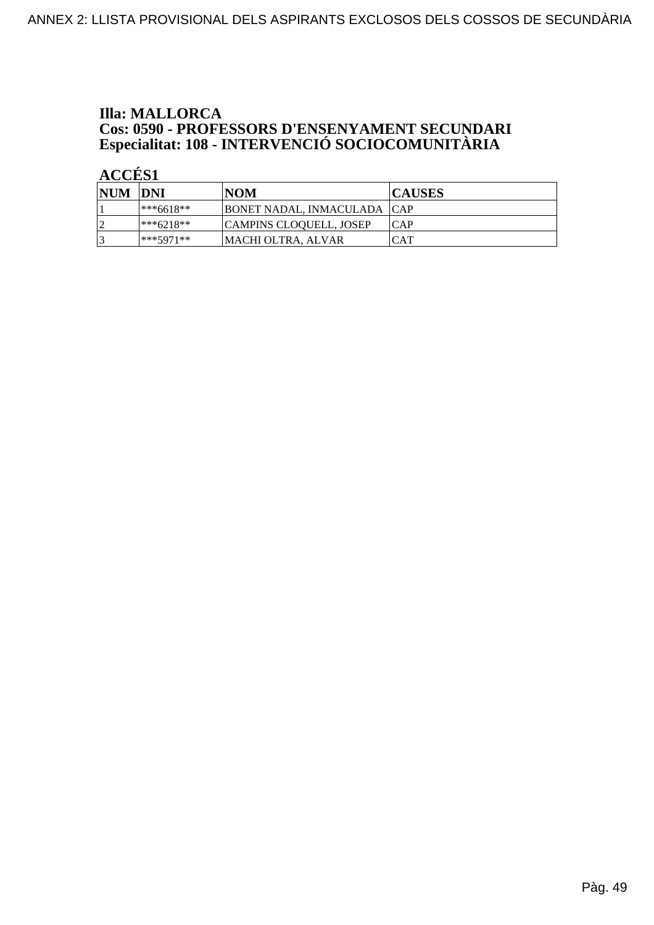# **Illa: MALLORCA Cos: 0590 - PROFESSORS D'ENSENYAMENT SECUNDARI<br>Especialitat: 108 - INTERVENCIÓ SOCIOCOMUNITÀRIA**

| NUM DNI |           | <b>NOM</b>                    | <b>CAUSES</b> |
|---------|-----------|-------------------------------|---------------|
|         | ***6618** | BONET NADAL, INMACULADA   CAP |               |
| ∣ኅ      | ***6218** | CAMPINS CLOQUELL, JOSEP       | ICAP          |
|         | ***5971** | <b>MACHI OLTRA, ALVAR</b>     | CAT           |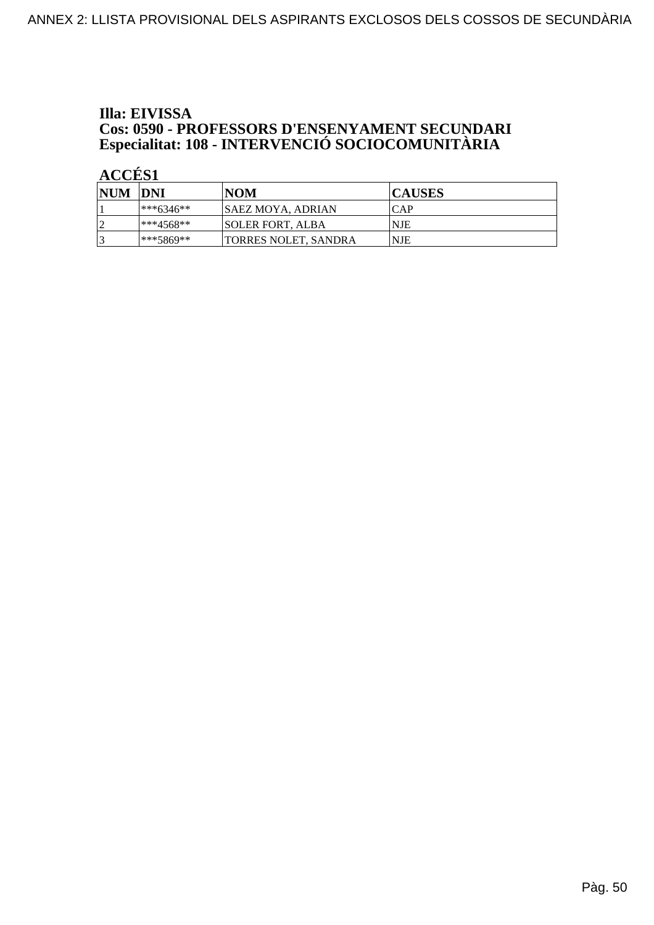# Illa: EIVISSA **Cos: 0590 - PROFESSORS D'ENSENYAMENT SECUNDARI<br>Especialitat: 108 - INTERVENCIÓ SOCIOCOMUNITÀRIA**

| NUM DNI   |              | <b>NOM</b>               | <b>CAUSES</b> |
|-----------|--------------|--------------------------|---------------|
|           | $ ***6346**$ | <b>SAEZ MOYA, ADRIAN</b> | ICAP          |
| $\bigcap$ | $**4568**$   | <b>SOLER FORT, ALBA</b>  | NJE           |
| 2         | ***5869**    | TORRES NOLET, SANDRA     | NJE           |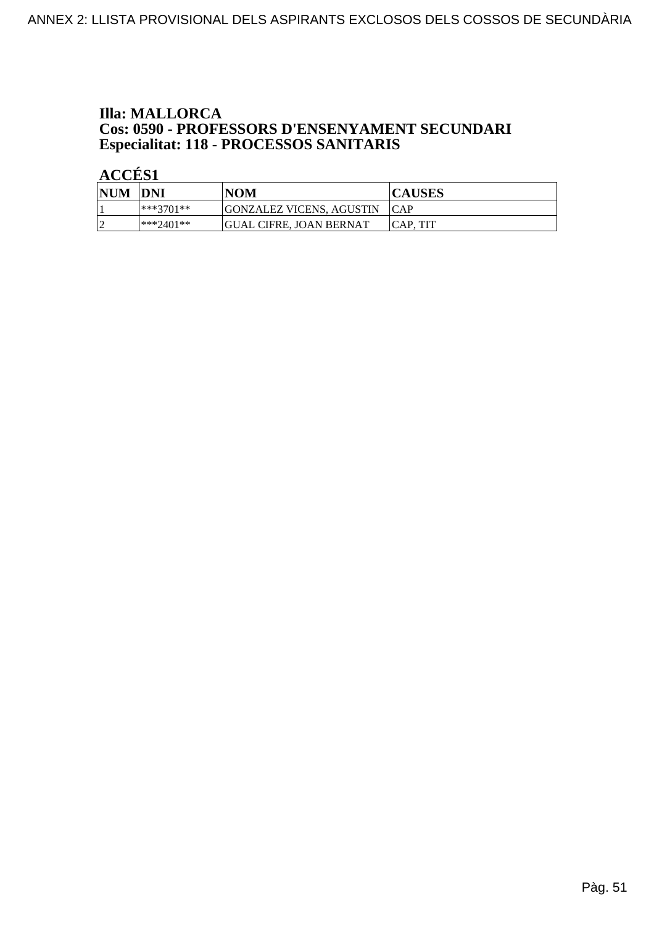# **Illa: MALLORCA Cos: 0590 - PROFESSORS D'ENSENYAMENT SECUNDARI<br>Especialitat: 118 - PROCESSOS SANITARIS**

| <b>NUM</b> | <b>DNI</b>   | <b>NOM</b>               | <b>CAUSES</b>    |
|------------|--------------|--------------------------|------------------|
|            | $ ***3701**$ | GONZALEZ VICENS, AGUSTIN | <b>ICAP</b>      |
| ∼          | $**2401**$   | GUAL CIFRE. JOAN BERNAT  | <b>ICAP. TIT</b> |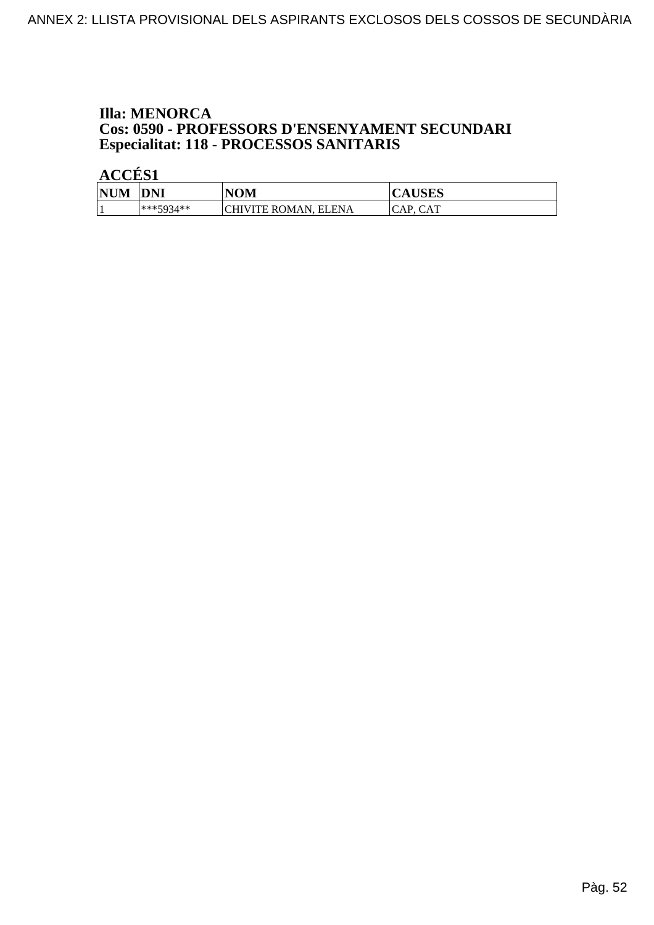# **Illa: MENORCA Cos: 0590 - PROFESSORS D'ENSENYAMENT SECUNDARI<br>Especialitat: 118 - PROCESSOS SANITARIS**

| <b>NUM</b> | <b>DNI</b> | <b>NOM</b>           | <b>CAUSES</b>             |
|------------|------------|----------------------|---------------------------|
|            | ***5934**  | CHIVITE ROMAN, ELENA | <b>CAT</b><br>' A P<br>◡▴ |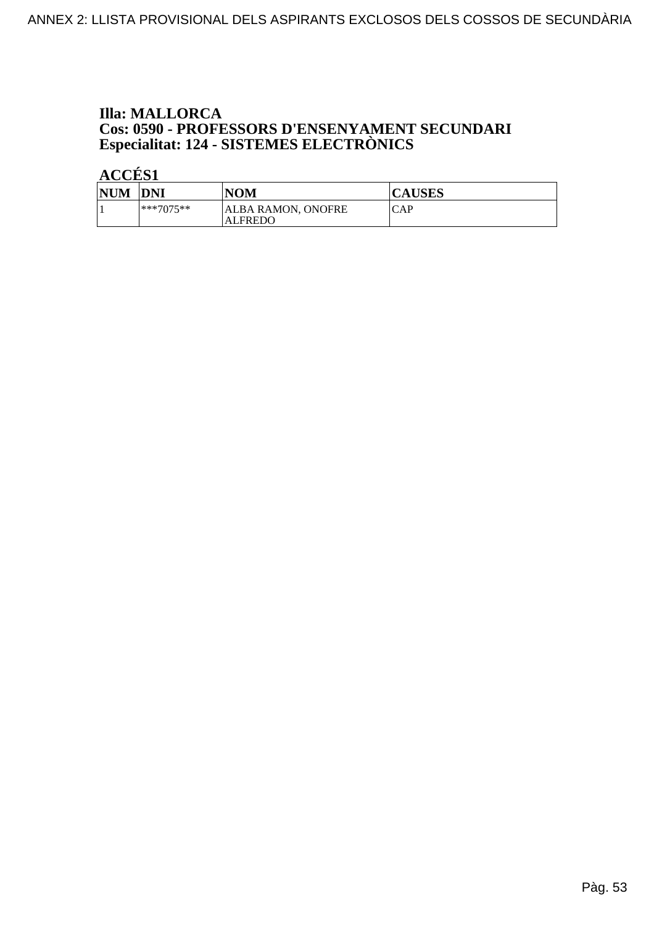# **Illa: MALLORCA Cos: 0590 - PROFESSORS D'ENSENYAMENT SECUNDARI<br>Especialitat: 124 - SISTEMES ELECTRÒNICS**

| <b>NUM</b> | <b>DNI</b>  | <b>NOM</b>                    | <b>CAUSES</b> |
|------------|-------------|-------------------------------|---------------|
|            | $***7075**$ | ALBA RAMON, ONOFRE<br>ALFREDO | CAP           |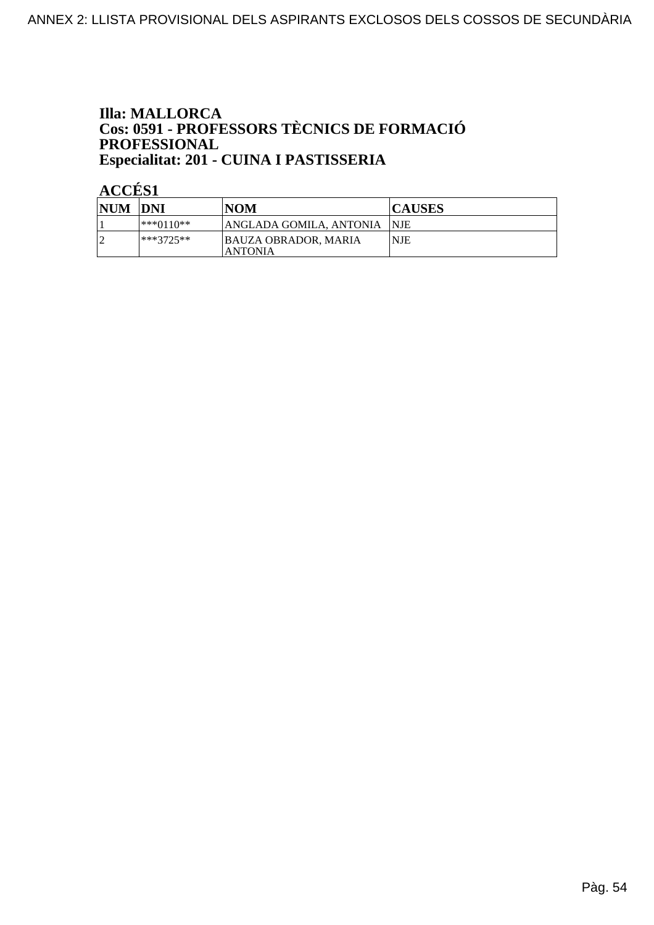### **Illa: MALLORCA** Cos: 0591 - PROFESSORS TÈCNICS DE FORMACIÓ PROFESSIONAL Especialitat: 201 - CUINA I PASTISSERIA

| <b>NUM DNI</b> |             | NOM                                           | <b>CAUSES</b> |
|----------------|-------------|-----------------------------------------------|---------------|
|                | ***0110**   | IANGLADA GOMILA, ANTONIA                      | -INIE         |
|                | $***3725**$ | <b>BAUZA OBRADOR, MARIA</b><br><b>ANTONIA</b> | <b>NJE</b>    |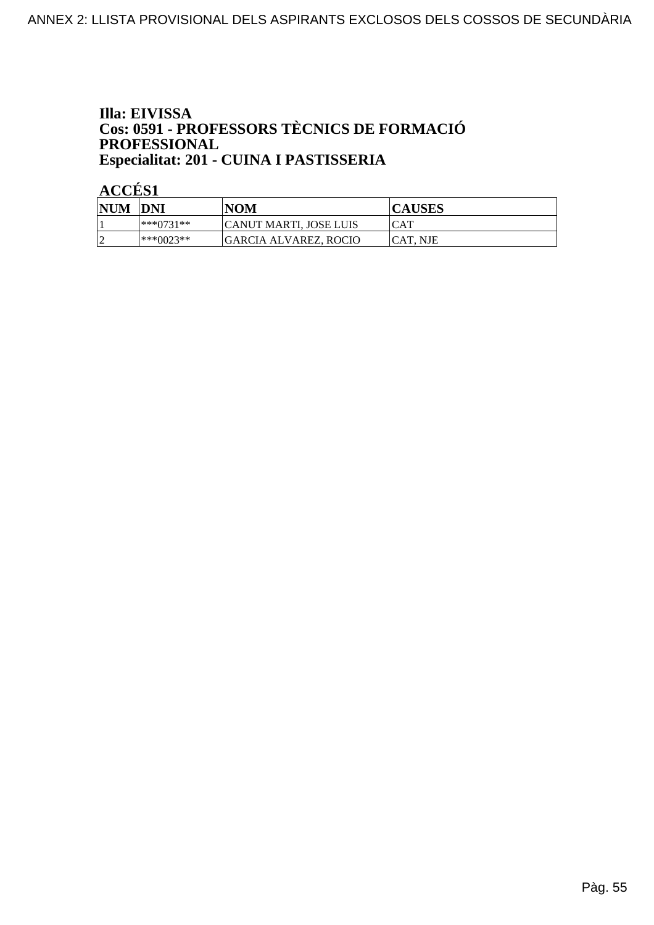## Illa: EIVISSA **Cos: 0591 - PROFESSORS TÈCNICS DE FORMACIÓ<br>PROFESSIONAL** Especialitat: 201 - CUINA I PASTISSERIA

| <b>NUM DNI</b> |           | <b>NOM</b>             | <b>CAUSES</b>   |
|----------------|-----------|------------------------|-----------------|
|                | ***∩731** | CANUT MARTI. JOSE LUIS | ICAT            |
|                | ***0023** | GARCIA ALVAREZ, ROCIO  | <b>CAT. NJE</b> |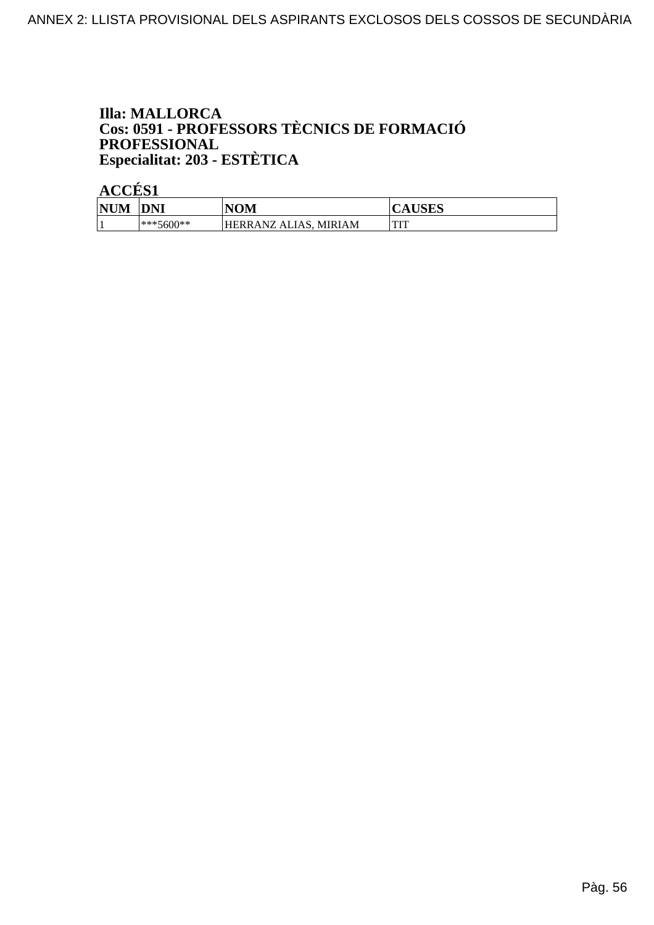## **Illa: MALLORCA Cos: 0591 - PROFESSORS TÈCNICS DE FORMACIÓ<br>PROFESSIONAL** Especialitat: 203 - ESTÈTICA

| <b>NUM</b> | <b>DNI</b>   | NOM                                  | TIQTIQ<br>AUDLO |
|------------|--------------|--------------------------------------|-----------------|
|            | $ ***5600**$ | :IAM<br>HERRANZ.<br>. MIRJ<br>ALIAS, | TTTT<br>        |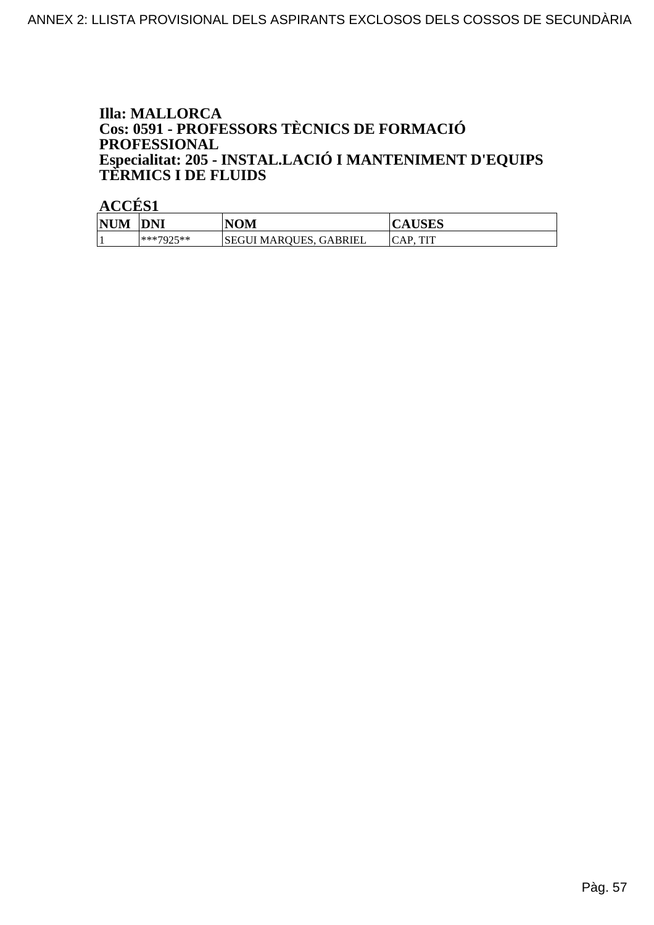### **Illa: MALLORCA** Cos: 0591 - PROFESSORS TÈCNICS DE FORMACIÓ **PROFESSIONAL** Especialitat: 205 - INSTAL.LACIÓ I MANTENIMENT D'EQUIPS<br>TERMICS I DE FLUIDS

| <b>NUM</b> | <b>DNI</b>        | <b>NOM</b>             | <b>CAUSES</b> |
|------------|-------------------|------------------------|---------------|
|            | ***7025**<br>ىدىك | SEGUI MAROUES, GABRIEL | ттт<br>AP     |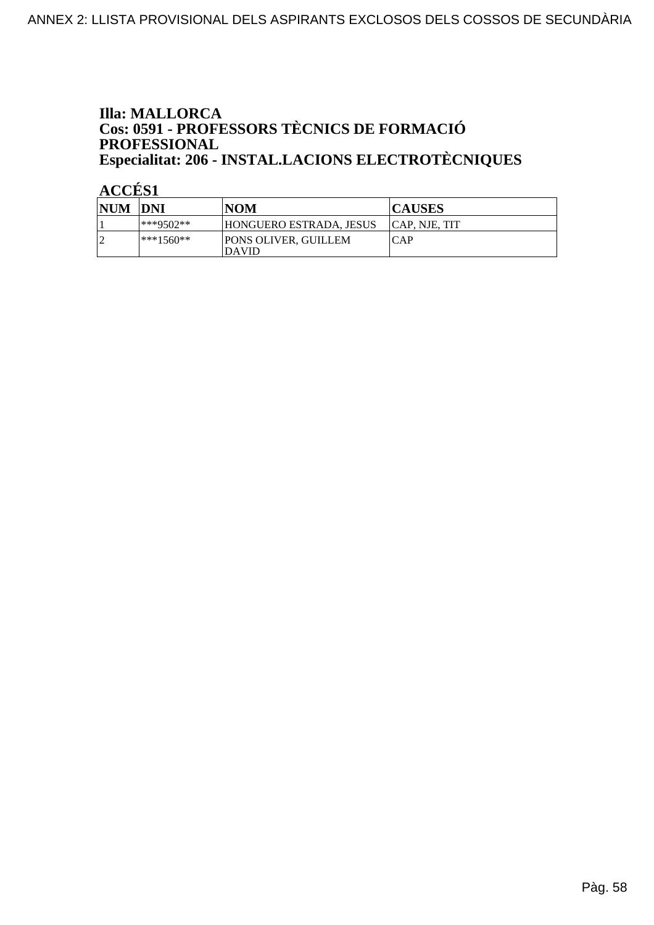### **Illa: MALLORCA** Cos: 0591 - PROFESSORS TÈCNICS DE FORMACIÓ PROFESSIONAL Especialitat: 206 - INSTAL.LACIONS ELECTROTÈCNIQUES

| <b>NUM DNI</b> |             | NOM                                         | <b>CAUSES</b>  |
|----------------|-------------|---------------------------------------------|----------------|
|                | ***9502**   | HONGUERO ESTRADA. JESUS                     | ICAP. NJE. TIT |
|                | $***1560**$ | <b>PONS OLIVER, GUILLEM</b><br><b>DAVID</b> | ICAP           |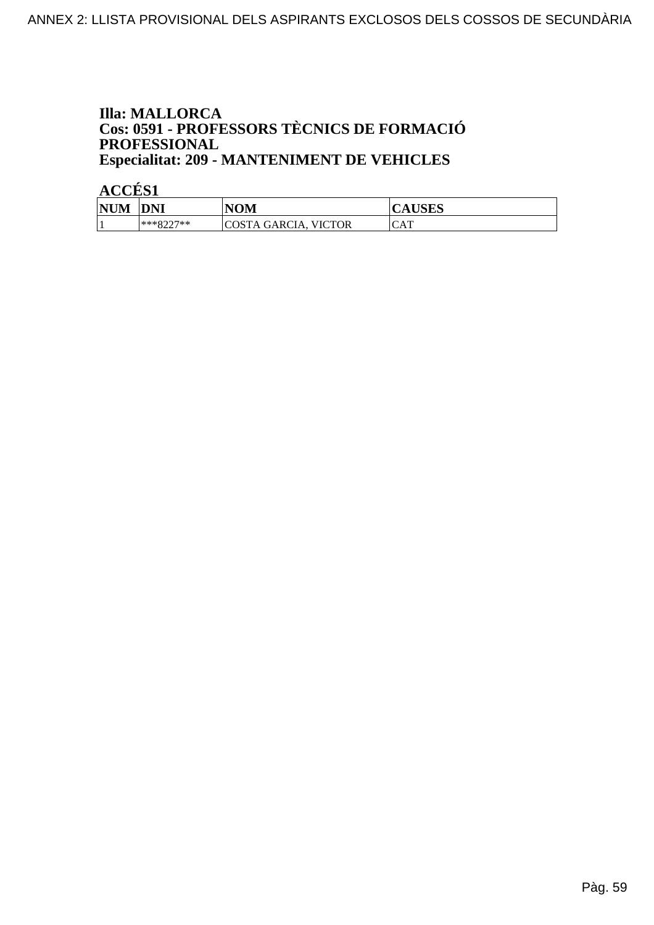### **Illa: MALLORCA** Cos: 0591 - PROFESSORS TÈCNICS DE FORMACIÓ PROFESSIONAL **Especialitat: 209 - MANTENIMENT DE VEHICLES**

| <b>NUM</b> | DNI                            | <b>NOM</b>                     | <b>TICTO</b><br>AUDLD |
|------------|--------------------------------|--------------------------------|-----------------------|
|            | $***$ $977$ $***$<br>- - - - - | <b>VICTOR</b><br>COSTA GARCIA. | CAT                   |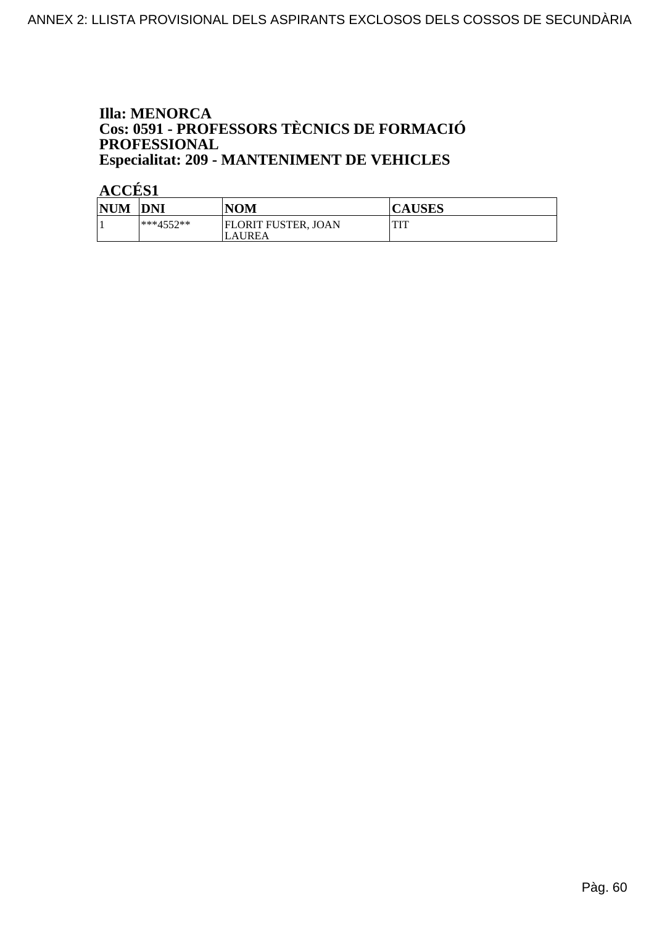### **Illa: MENORCA** Cos: 0591 - PROFESSORS TÈCNICS DE FORMACIÓ PROFESSIONAL **Especialitat: 209 - MANTENIMENT DE VEHICLES**

| <b>NUM</b> | <b>DNI</b>  | <b>NOM</b>                           | <b>CAUSES</b> |
|------------|-------------|--------------------------------------|---------------|
|            | $***4552**$ | <b>FLORIT FUSTER, JOAN</b><br>LAUREA | TIT<br>       |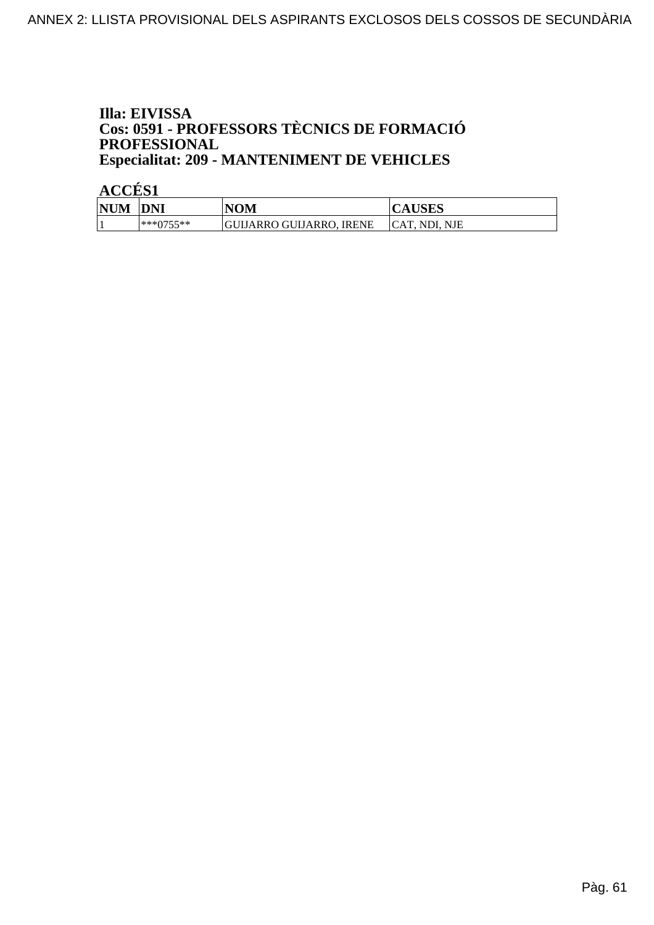## Illa: EIVISSA **Cos: 0591 - PROFESSORS TÈCNICS DE FORMACIÓ<br>PROFESSIONAL Especialitat: 209 - MANTENIMENT DE VEHICLES**

| <b>NUM</b> | <b>DNI</b> | NOM                      | <b>CAUSES</b>  |
|------------|------------|--------------------------|----------------|
|            | ***0755**  | GUIJARRO GUIJARRO. IRENE | ICAT. NDI. NJE |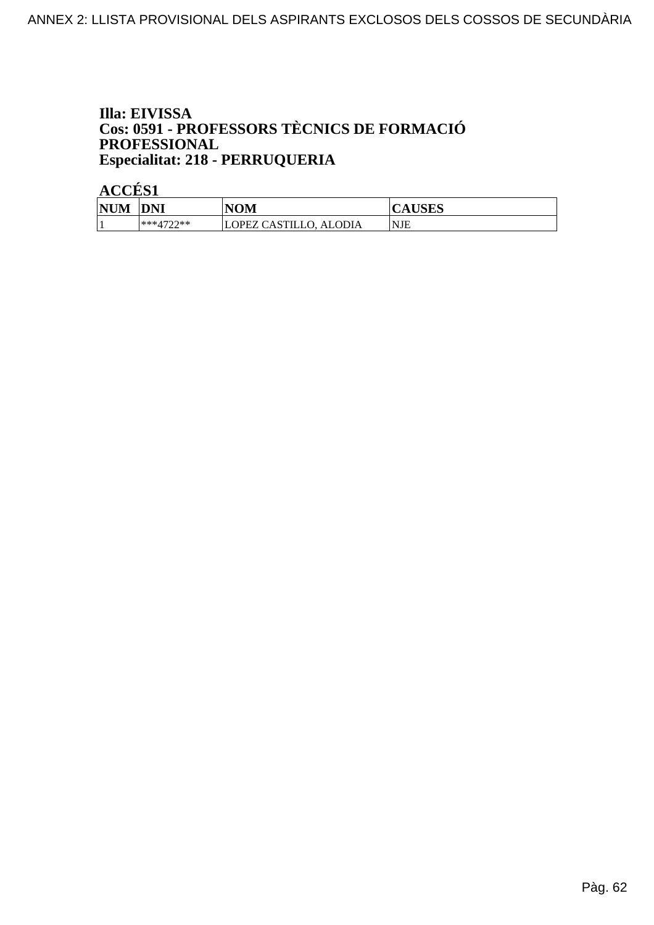## Illa: EIVISSA **Cos: 0591 - PROFESSORS TÈCNICS DE FORMACIÓ<br>PROFESSIONAL** Especialitat: 218 - PERRUQUERIA

| <b>NUM</b> | <b>DNI</b>        | NOM                                     | <b>CAUSES</b> |
|------------|-------------------|-----------------------------------------|---------------|
|            | $***4722$ **<br>- | `AS<br>OPEZ C<br><b>ALODIA</b><br>TILLO | 'NJE          |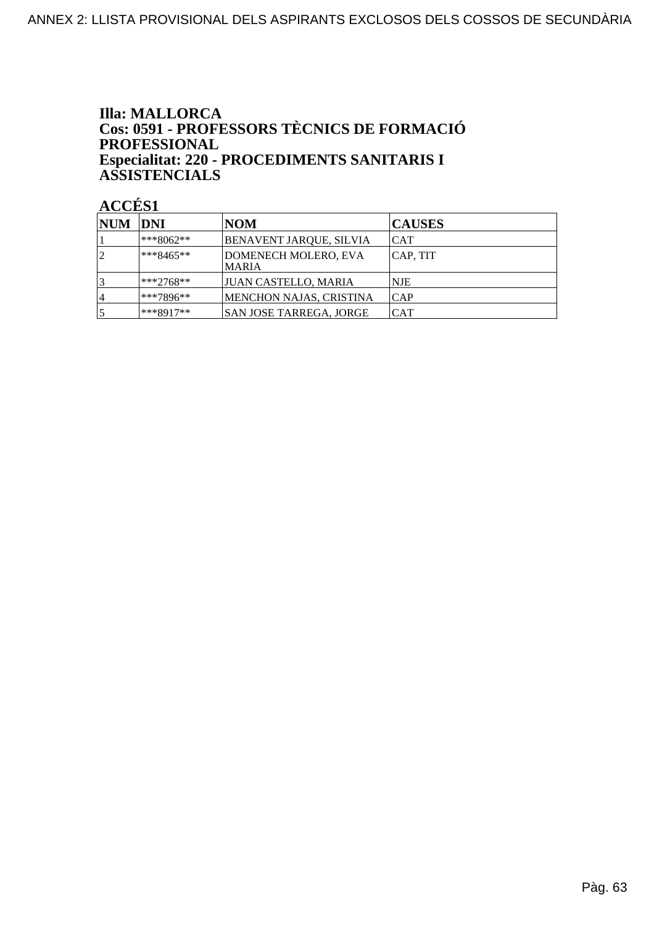### **Illa: MALLORCA** Cos: 0591 - PROFESSORS TÈCNICS DE FORMACIÓ **PROFESSIONAL** Especialitat: 220 - PROCEDIMENTS SANITARIS I **ASSISTENCIALS**

| NUM  DNI |               | <b>NOM</b>                           | <b>CAUSES</b> |
|----------|---------------|--------------------------------------|---------------|
|          | ***8062**     | BENAVENT JARQUE, SILVIA              | ICAT          |
|          | $ ***8465***$ | DOMENECH MOLERO, EVA<br><b>MARIA</b> | CAP, TIT      |
|          | $ ***2768**$  | JUAN CASTELLO, MARIA                 | <b>NJE</b>    |
| 4        | l***7896**    | <b>MENCHON NAJAS, CRISTINA</b>       | ICAP          |
|          | ***8917**     | SAN JOSE TARREGA, JORGE              | ICAT          |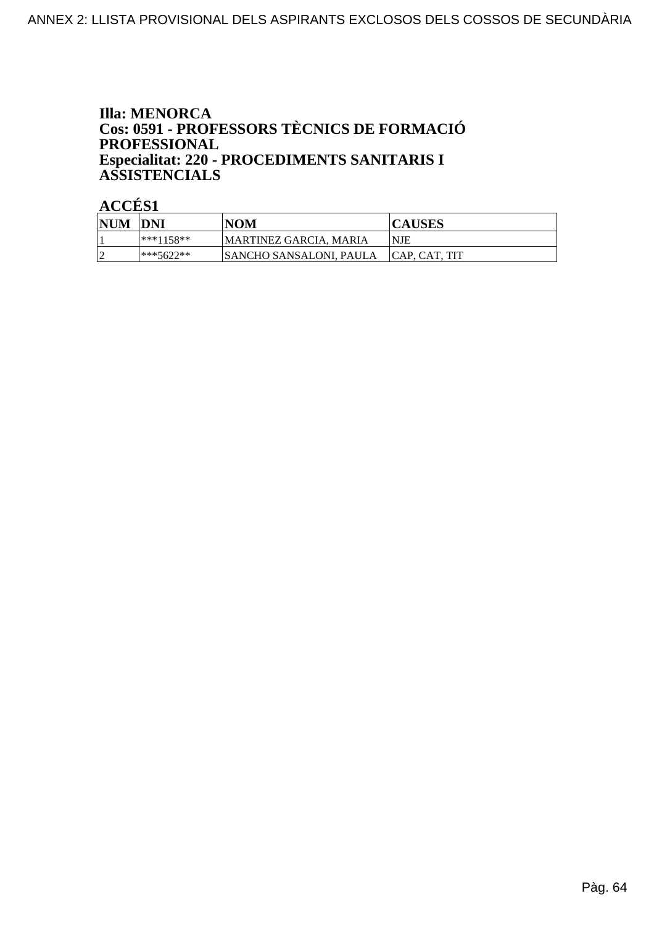### **Illa: MENORCA** Cos: 0591 - PROFESSORS TÈCNICS DE FORMACIÓ **PROFESSIONAL** Especialitat: 220 - PROCEDIMENTS SANITARIS I **ASSISTENCIALS**

| <b>NUM</b> | <b>DNI</b> | <b>NOM</b>                    | <b>CAUSES</b>  |
|------------|------------|-------------------------------|----------------|
|            | ***1158**  | <b>MARTINEZ GARCIA, MARIA</b> | <b>NJE</b>     |
|            | ***5622**  | SANCHO SANSALONI, PAULA       | ICAP. CAT. TIT |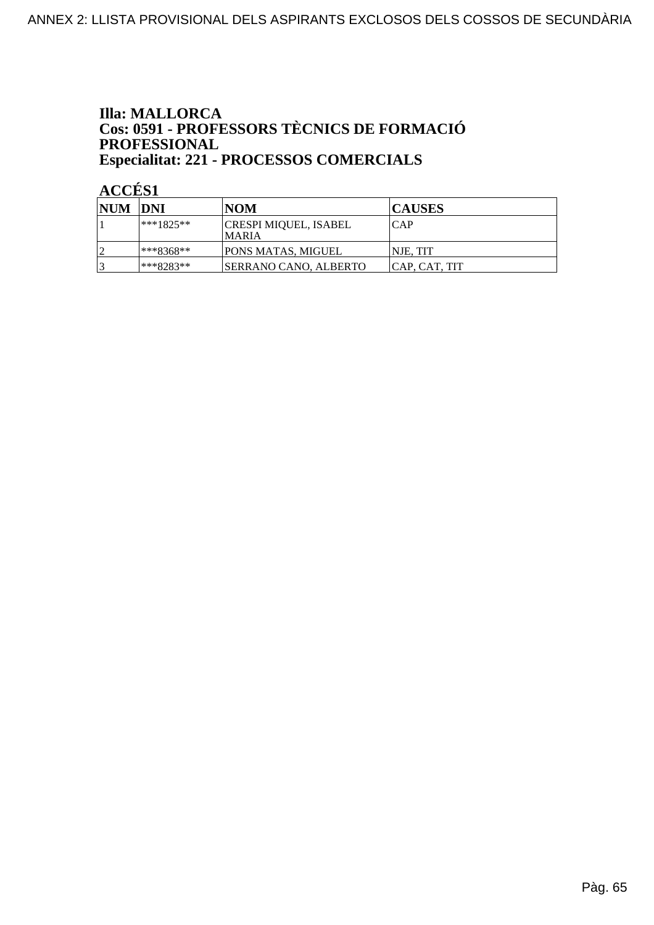### **Illa: MALLORCA** Cos: 0591 - PROFESSORS TÈCNICS DE FORMACIÓ PROFESSIONAL Especialitat: 221 - PROCESSOS COMERCIALS

| <b>NUM DNI</b> |              | INOM                            | <b>CAUSES</b> |
|----------------|--------------|---------------------------------|---------------|
|                | $ ***1825**$ | CRESPI MIQUEL, ISABEL<br>IMARIA | ICAP          |
|                | ***8368**    | PONS MATAS, MIGUEL              | INJE. TIT     |
|                | ***8283**    | <b>SERRANO CANO, ALBERTO</b>    | CAP, CAT, TIT |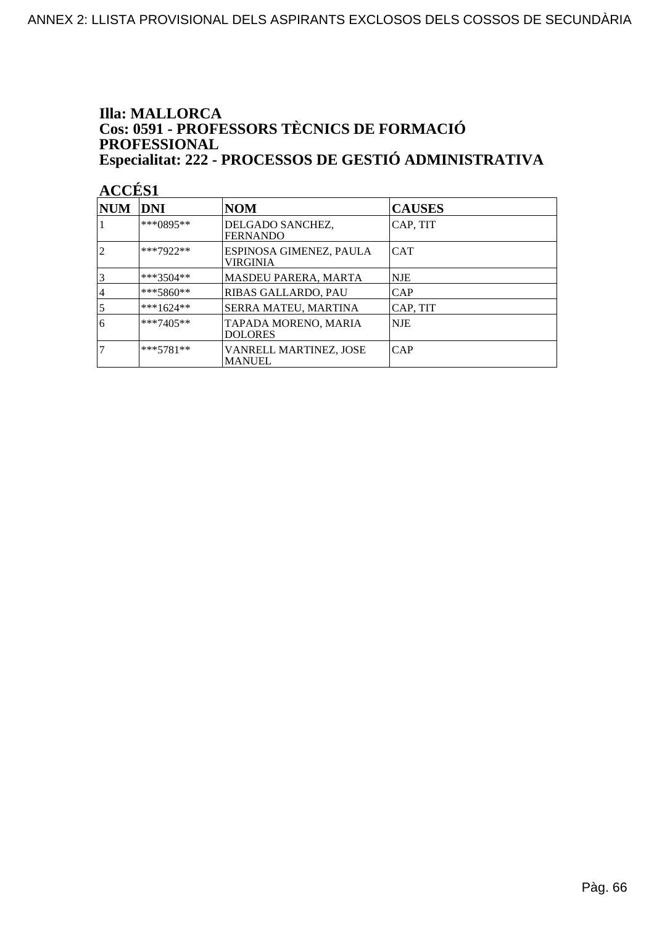### **Illa: MALLORCA** Cos: 0591 - PROFESSORS TÈCNICS DE FORMACIÓ PROFESSIONAL Especialitat: 222 - PROCESSOS DE GESTIÓ ADMINISTRATIVA

| NUM            | <b>DNI</b>  | <b>NOM</b>                              | <b>CAUSES</b> |
|----------------|-------------|-----------------------------------------|---------------|
|                | ***0895**   | DELGADO SANCHEZ,<br><b>FERNANDO</b>     | CAP, TIT      |
| $\overline{c}$ | ***7922**   | ESPINOSA GIMENEZ, PAULA<br>VIRGINIA     | <b>CAT</b>    |
|                | ***3504**   | <b>MASDEU PARERA, MARTA</b>             | <b>NJE</b>    |
| 4              | $***5860**$ | RIBAS GALLARDO, PAU                     | <b>CAP</b>    |
| 5              | $***1624**$ | SERRA MATEU, MARTINA                    | CAP, TIT      |
| 6              | $***7405**$ | TAPADA MORENO, MARIA<br><b>DOLORES</b>  | <b>NJE</b>    |
|                | $***5781**$ | VANRELL MARTINEZ, JOSE<br><b>MANUEL</b> | ICAP          |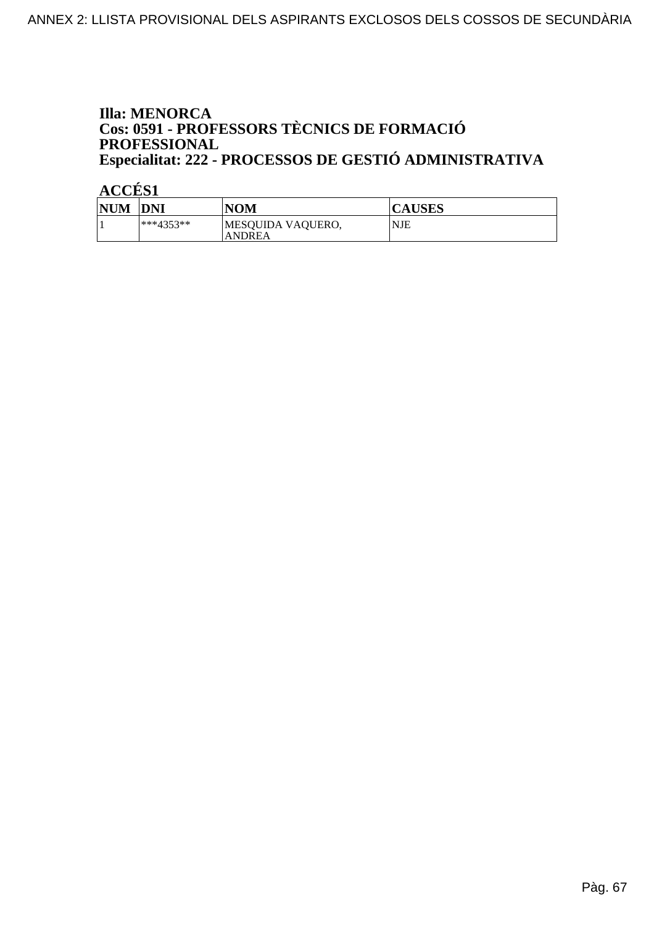### **Illa: MENORCA** Cos: 0591 - PROFESSORS TÈCNICS DE FORMACIÓ PROFESSIONAL Especialitat: 222 - PROCESSOS DE GESTIÓ ADMINISTRATIVA

| <b>NUM</b> | DNI          | <b>NOM</b>                  | <b>CAUSES</b> |
|------------|--------------|-----------------------------|---------------|
|            | $ ***4353**$ | MESQUIDA VAQUERO,<br>ANDREA | NJE           |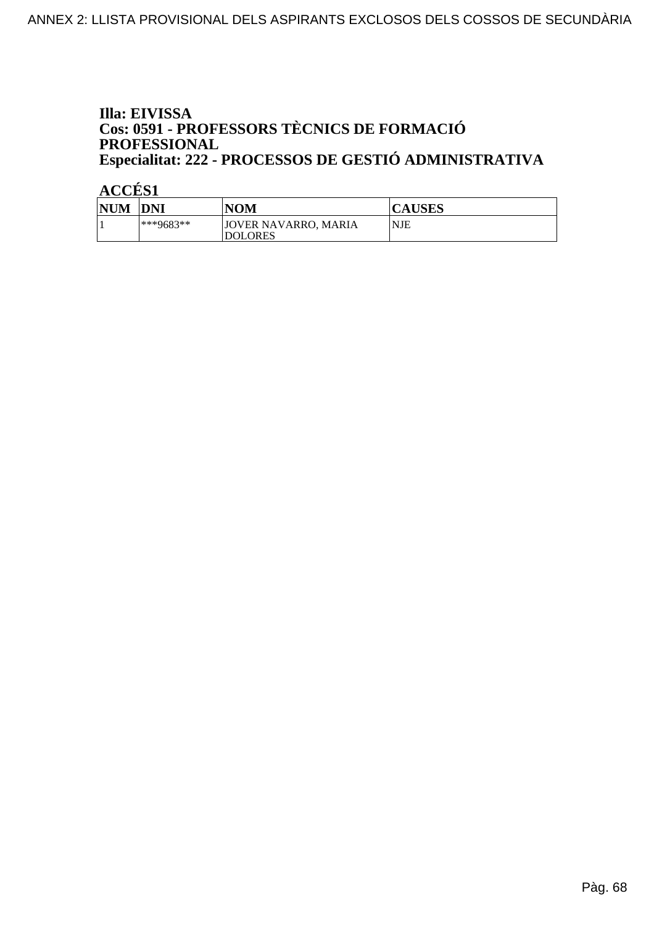### Illa: EIVISSA Cos: 0591 - PROFESSORS TÈCNICS DE FORMACIÓ PROFESSIONAL Especialitat: 222 - PROCESSOS DE GESTIÓ ADMINISTRATIVA

| <b>NUM</b> | <b>DNI</b> | NOM                                    | <b>CAUSES</b> |
|------------|------------|----------------------------------------|---------------|
|            | ***9683**  | JOVER NAVARRO, MARIA<br><b>DOLORES</b> | <b>NJE</b>    |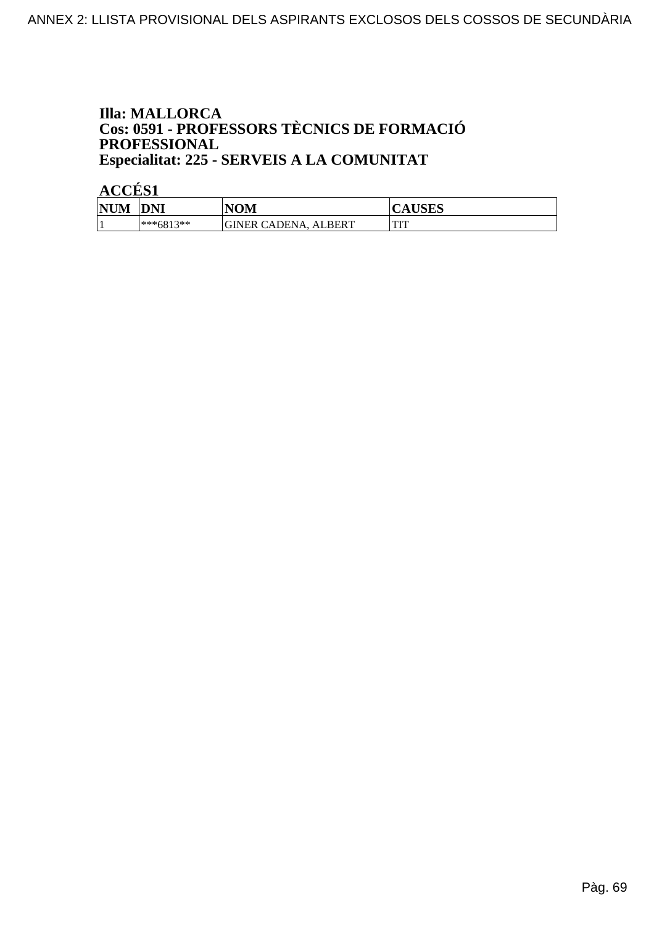### **Illa: MALLORCA** Cos: 0591 - PROFESSORS TÈCNICS DE FORMACIÓ PROFESSIONAL Especialitat: 225 - SERVEIS A LA COMUNITAT

| <b>NUM</b> | DNI         | <b>NOM</b>                  | <b>ITATIA</b><br>$\tilde{\phantom{a}}$<br>AUDLO |
|------------|-------------|-----------------------------|-------------------------------------------------|
|            | $***6813**$ | GINER CADENA<br>LBERT<br>ΔI | <b>TOTT</b><br>                                 |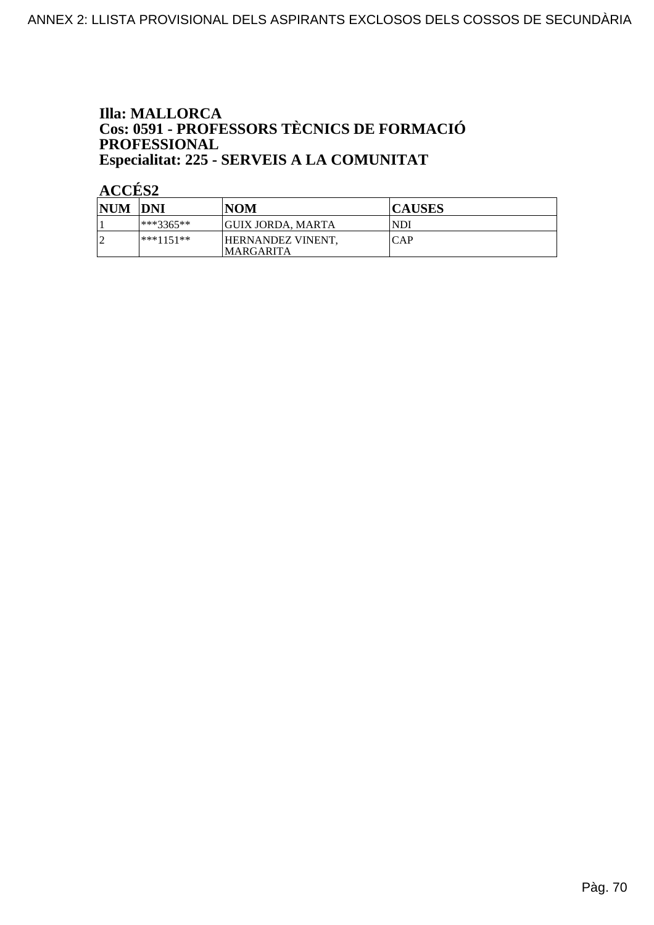### **Illa: MALLORCA** Cos: 0591 - PROFESSORS TÈCNICS DE FORMACIÓ PROFESSIONAL Especialitat: 225 - SERVEIS A LA COMUNITAT

| <b>NUM</b> | <b>DNI</b> | <b>NOM</b>                             | <b>CAUSES</b> |
|------------|------------|----------------------------------------|---------------|
|            | ***3365**  | GUIX JORDA. MARTA                      | <b>NDI</b>    |
|            | ***1151**  | HERNANDEZ VINENT,<br><b>IMARGARITA</b> | <b>CAP</b>    |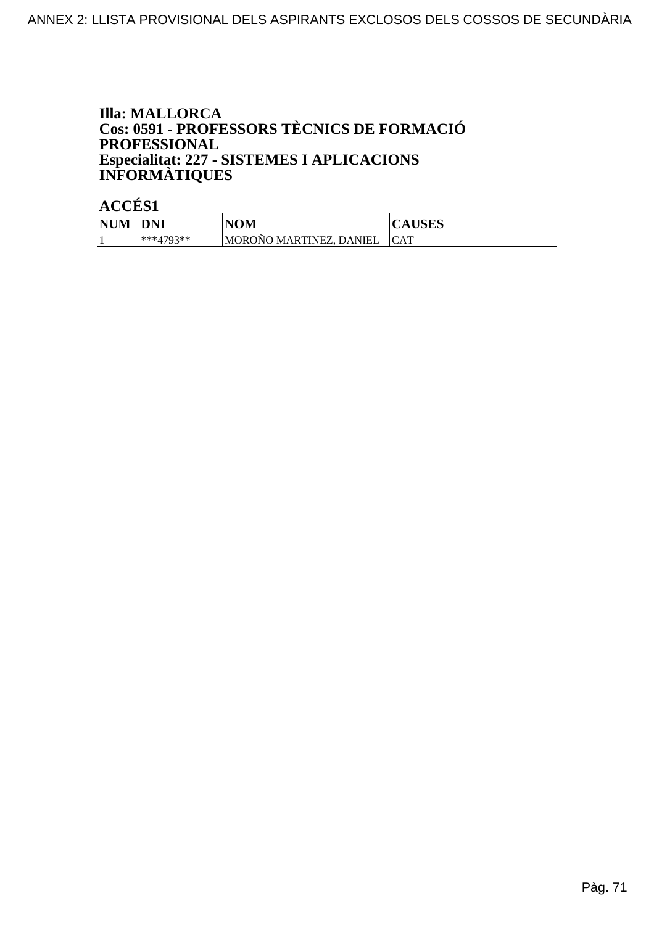### **Illa: MALLORCA** Cos: 0591 - PROFESSORS TÈCNICS DE FORMACIÓ **PROFESSIONAL** Especialitat: 227 - SISTEMES I APLICACIONS<br>INFORMÀTIQUES

| <b>NUM</b> | DNI       | <b>NOM</b>                         | <b>CAUSES</b> |
|------------|-----------|------------------------------------|---------------|
|            | ***4793** | $\sim$<br> MOROÑO MARTINEZ. DANIEL | <b>CAT</b>    |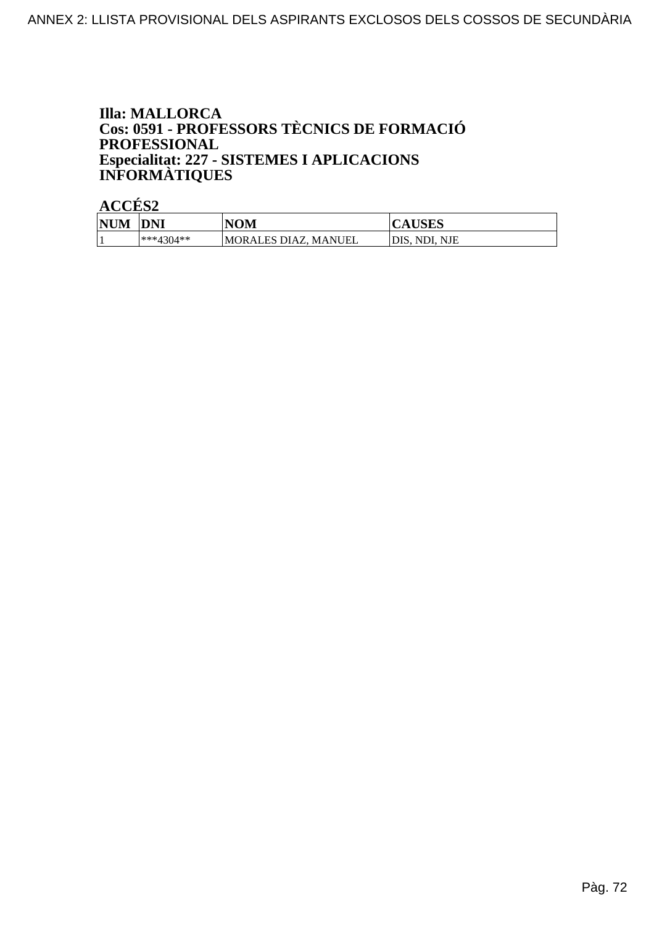### **Illa: MALLORCA** Cos: 0591 - PROFESSORS TÈCNICS DE FORMACIÓ **PROFESSIONAL** Especialitat: 227 - SISTEMES I APLICACIONS<br>INFORMÀTIQUES

ACCÉS<sub>2</sub>

| <b>NUM</b> | <b>DNI</b>  | <b>NOM</b>            | <b>CAUSES</b> |
|------------|-------------|-----------------------|---------------|
|            | $***4304**$ | IMORALES DIAZ, MANUEL | DIS. NDI. NJE |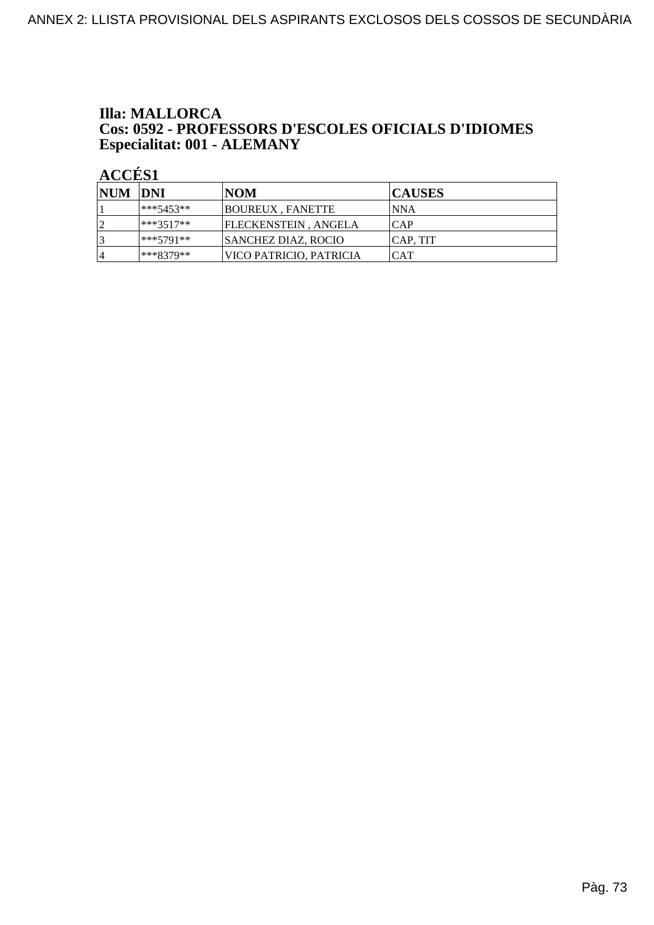#### **Illa: MALLORCA Cos: 0592 - PROFESSORS D'ESCOLES OFICIALS D'IDIOMES<br>Especialitat: 001 - ALEMANY**

| NUM DNI |             | <b>NOM</b>                  | <b>CAUSES</b>   |
|---------|-------------|-----------------------------|-----------------|
|         | $***5453**$ | BOUREUX, FANETTE            | INNA            |
| ا ∂     | ***3517**   | <b>FLECKENSTEIN, ANGELA</b> | ICAP            |
| 3       | ***5791**   | <b>SANCHEZ DIAZ, ROCIO</b>  | <b>CAP. TIT</b> |
| 14      | ***8379**   | VICO PATRICIO. PATRICIA     | <b>CAT</b>      |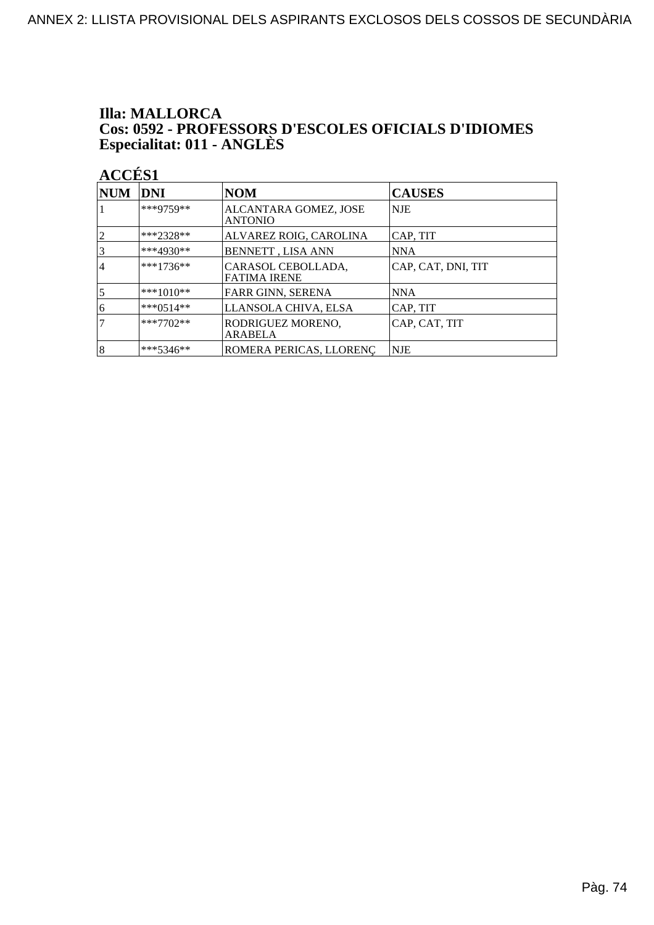#### **Illa: MALLORCA** Cos: 0592 - PROFESSORS D'ESCOLES OFICIALS D'IDIOMES<br>Especialitat: 011 - ANGLÈS

| $\bf NUM$      | <b>DNI</b>  | <b>NOM</b>                                | <b>CAUSES</b>      |
|----------------|-------------|-------------------------------------------|--------------------|
|                | ***9759**   | ALCANTARA GOMEZ, JOSE<br><b>ANTONIO</b>   | NJE                |
| $\overline{2}$ | $***2328**$ | ALVAREZ ROIG, CAROLINA                    | CAP, TIT           |
| $\overline{3}$ | $***4930**$ | <b>BENNETT, LISA ANN</b>                  | NNA                |
| 4              | $***1736**$ | CARASOL CEBOLLADA,<br><b>FATIMA IRENE</b> | CAP, CAT, DNI, TIT |
| $\overline{5}$ | $***1010**$ | FARR GINN, SERENA                         | NNA                |
| 6              | $***0514**$ | LLANSOLA CHIVA, ELSA                      | CAP, TIT           |
| 7              | $***7702**$ | RODRIGUEZ MORENO.<br>ARABELA              | CAP, CAT, TIT      |
| 8              | ***5346**   | ROMERA PERICAS, LLORENÇ                   | <b>NJE</b>         |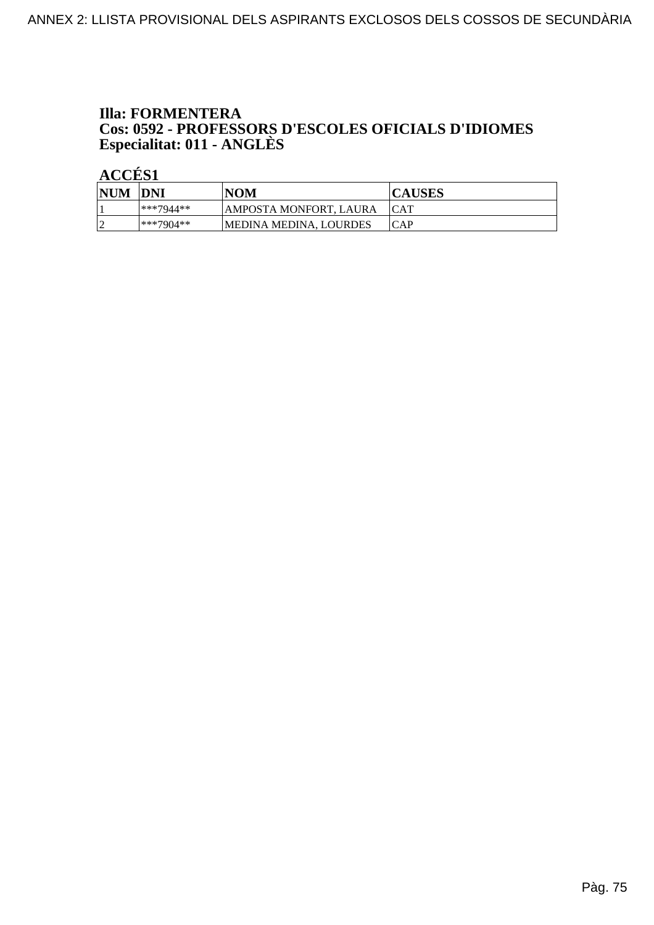#### **Illa: FORMENTERA** Cos: 0592 - PROFESSORS D'ESCOLES OFICIALS D'IDIOMES<br>Especialitat: 011 - ANGLÈS

| <b>NUM</b> | <b>IDNI</b>  | NOM                    | <b>CAUSES</b> |
|------------|--------------|------------------------|---------------|
|            | $ ***7944**$ | AMPOSTA MONFORT, LAURA | <b>ICAT</b>   |
|            | $***7904**$  | MEDINA MEDINA. LOURDES | ICAP          |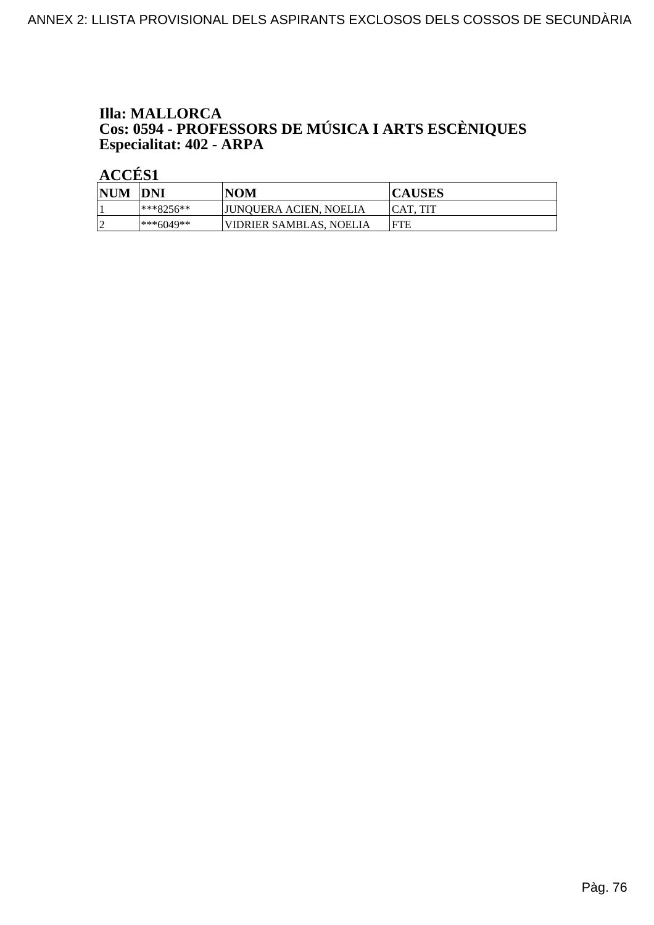# **Illa: MALLORCA Cos: 0594 - PROFESSORS DE MÚSICA I ARTS ESCÈNIQUES<br>Especialitat: 402 - ARPA**

| <b>NUM</b>  | <b>DNI</b>    | <b>NOM</b>              | <b>CAUSES</b> |
|-------------|---------------|-------------------------|---------------|
|             | $ ***8256***$ | JUNQUERA ACIEN, NOELIA  | ICAT. TIT     |
| $\sim$<br>∼ | $ ***6049**$  | VIDRIER SAMBLAS. NOELIA | <b>IFTE</b>   |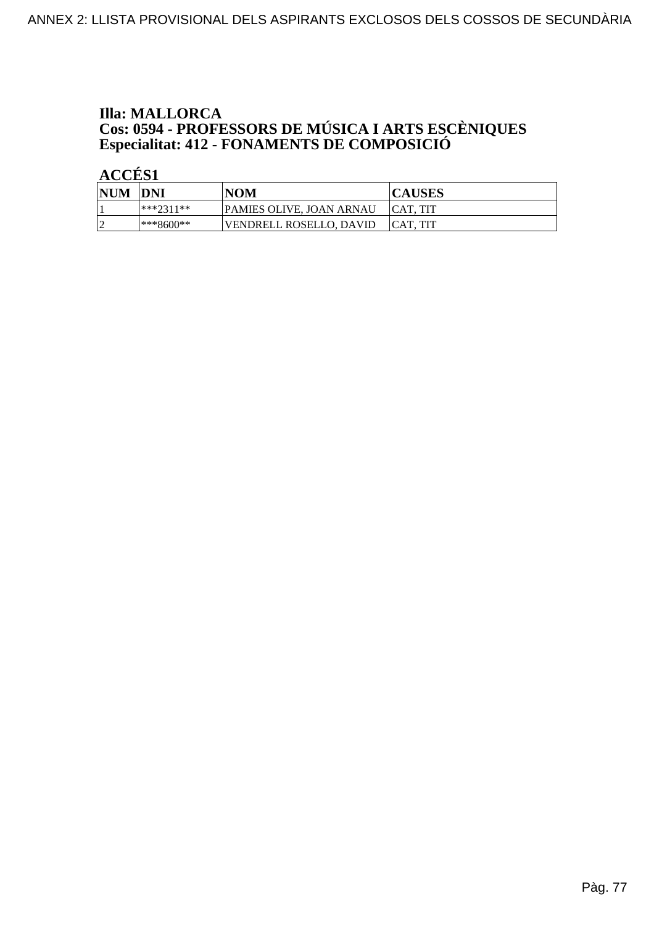#### **Illa: MALLORCA Cos: 0594 - PROFESSORS DE MÚSICA I ARTS ESCÈNIQUES<br>Especialitat: 412 - FONAMENTS DE COMPOSICIÓ**

| <b>NUM</b>      | DNI          | <b>NOM</b>               | <b>CAUSES</b>   |
|-----------------|--------------|--------------------------|-----------------|
|                 | ***?311**    | PAMIES OLIVE, JOAN ARNAU | ICAT. TIT       |
| $\sqrt{ }$<br>- | $ ***8600**$ | VENDRELL ROSELLO. DAVID  | <b>CAT. TIT</b> |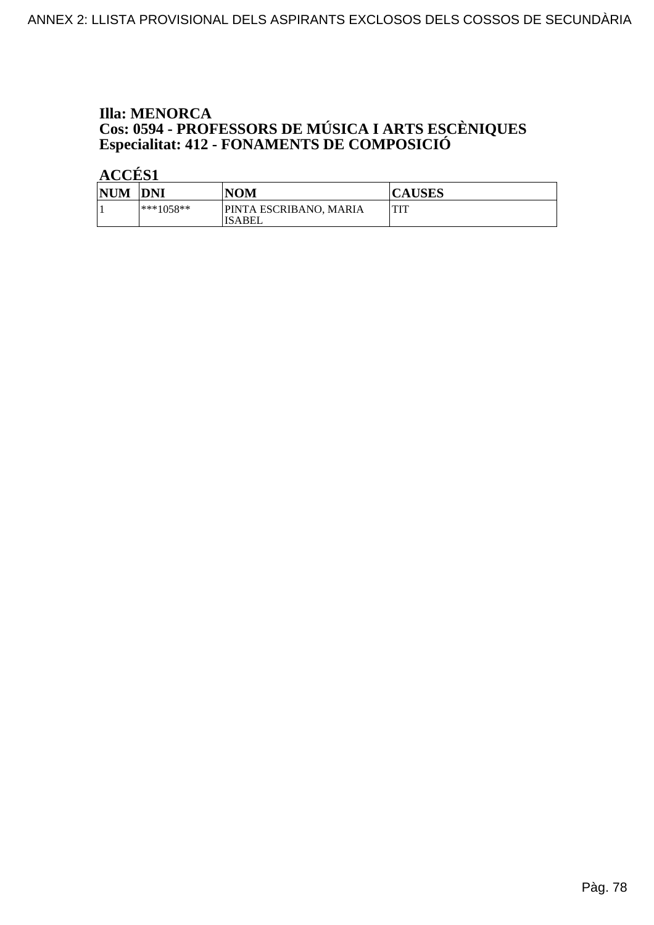# **Illa: MENORCA Cos: 0594 - PROFESSORS DE MÚSICA I ARTS ESCÈNIQUES<br>Especialitat: 412 - FONAMENTS DE COMPOSICIÓ**

| <b>NUM</b> | <b>DNI</b>  | NOM                              | <b>CAUSES</b> |
|------------|-------------|----------------------------------|---------------|
|            | $***1058**$ | PINTA ESCRIBANO, MARIA<br>ISABEL | TIT           |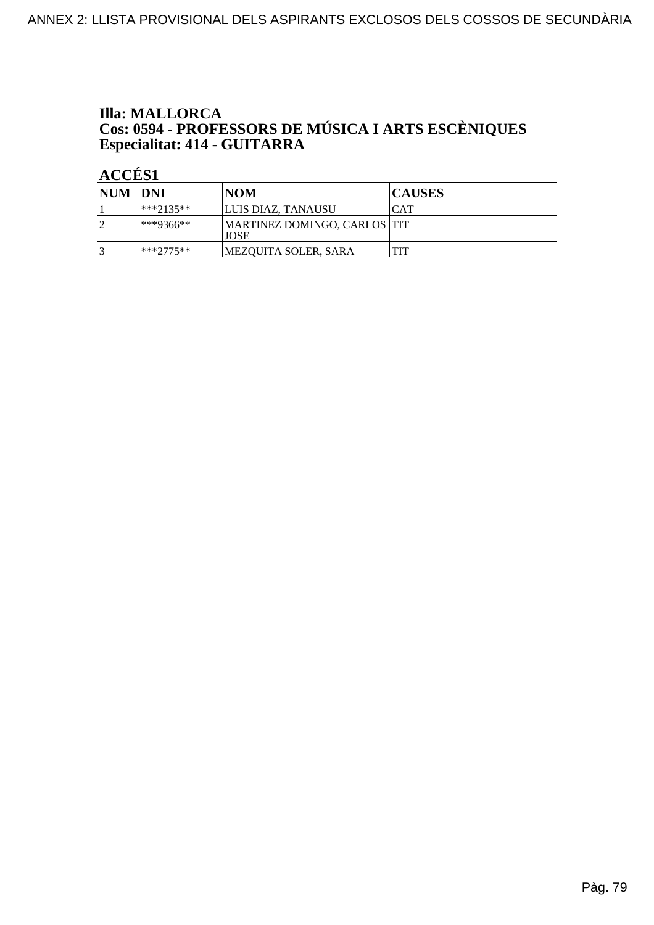# **Illa: MALLORCA Cos: 0594 - PROFESSORS DE MÚSICA I ARTS ESCÈNIQUES<br>Especialitat: 414 - GUITARRA**

| NUM DNI |               | INOM                                         | <b>CAUSES</b> |
|---------|---------------|----------------------------------------------|---------------|
|         | ***2135**     | LUIS DIAZ, TANAUSU                           | CAT           |
|         | $ ***9366***$ | MARTINEZ DOMINGO, CARLOS  TIT<br><b>JOSE</b> |               |
|         | $***2775**$   | MEZOUITA SOLER, SARA                         |               |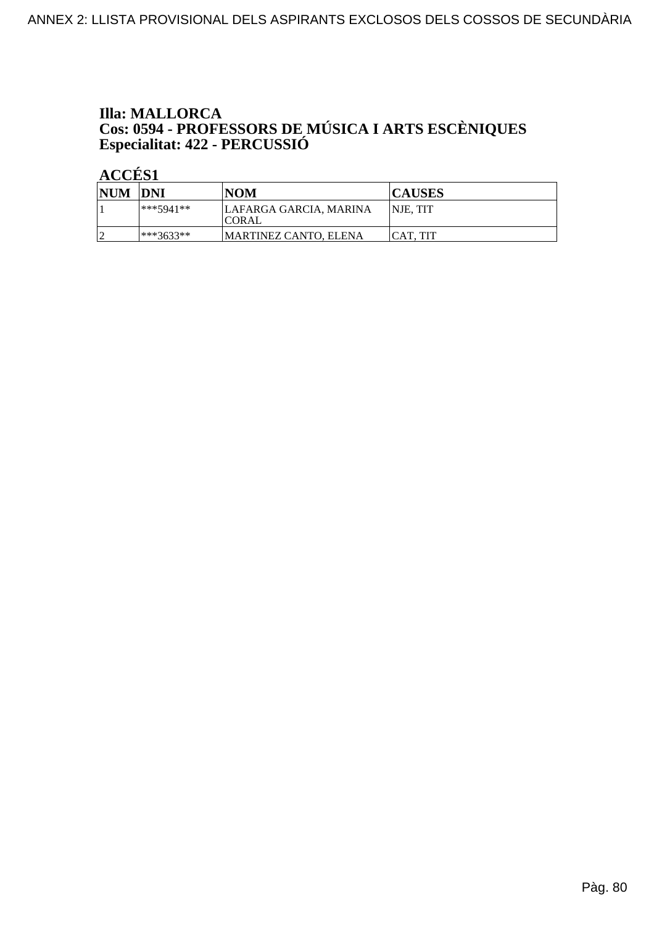# **Illa: MALLORCA** Cos: 0594 - PROFESSORS DE MÚSICA I ARTS ESCÈNIQUES<br>Especialitat: 422 - PERCUSSIÓ

| <b>NUM</b> | <b>DNI</b>   | <b>NOM</b>                              | <b>CAUSES</b>    |
|------------|--------------|-----------------------------------------|------------------|
|            | $***5941**$  | LAFARGA GARCIA, MARINA<br><b>ICORAL</b> | <b>INJE, TIT</b> |
|            | $ ***3633**$ | MARTINEZ CANTO. ELENA                   | <b>CAT. TIT</b>  |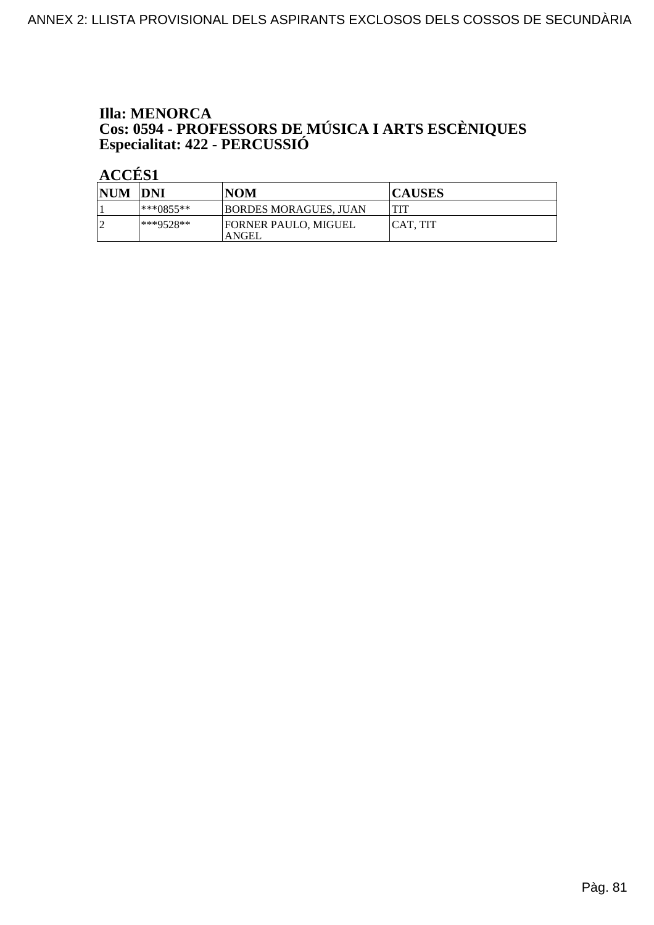# **Illa: MENORCA** Cos: 0594 - PROFESSORS DE MÚSICA I ARTS ESCÈNIQUES<br>Especialitat: 422 - PERCUSSIÓ

| <b>NUM</b> | <b>DNI</b>    | <b>NOM</b>                           | <b>CAUSES</b> |
|------------|---------------|--------------------------------------|---------------|
|            | $ ***0855***$ | BORDES MORAGUES, JUAN                | <b>TIT</b>    |
|            | $**9528**$    | <b>FORNER PAULO, MIGUEL</b><br>ANGEL | ICAT. TIT     |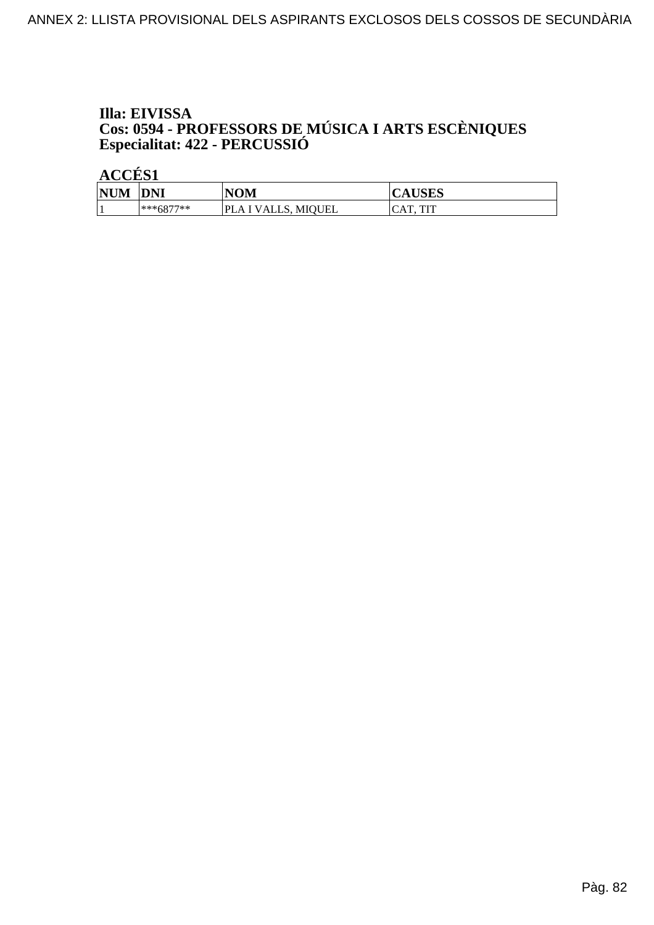# Illa: EIVISSA **Cos: 0594 - PROFESSORS DE MÚSICA I ARTS ESCÈNIQUES<br>Especialitat: 422 - PERCUSSIÓ**

| <b>NUM</b> | <b>DNI</b>  | <b>NOM</b>                             | IIAIN<br>CAUDLD     |
|------------|-------------|----------------------------------------|---------------------|
|            | $***6877**$ | VALLS, MIQUEL<br>'LA I<br>$\mathbf{N}$ | <b>TIT</b><br>m<br> |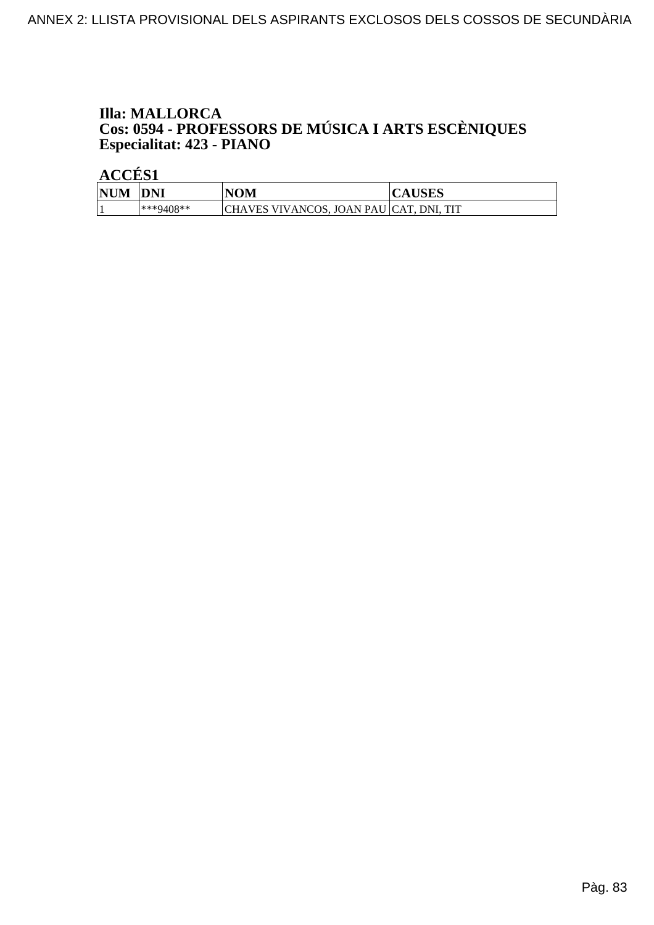# **Illa: MALLORCA Cos: 0594 - PROFESSORS DE MÚSICA I ARTS ESCÈNIQUES<br>Especialitat: 423 - PIANO**

| <b>NUM</b> | DNI          | NOM                                 | AU DE D     |
|------------|--------------|-------------------------------------|-------------|
|            | $*$ **9408** | CHAVES VIVANCOS. .<br>JOAN PAU CAT. | TIT<br>DNI. |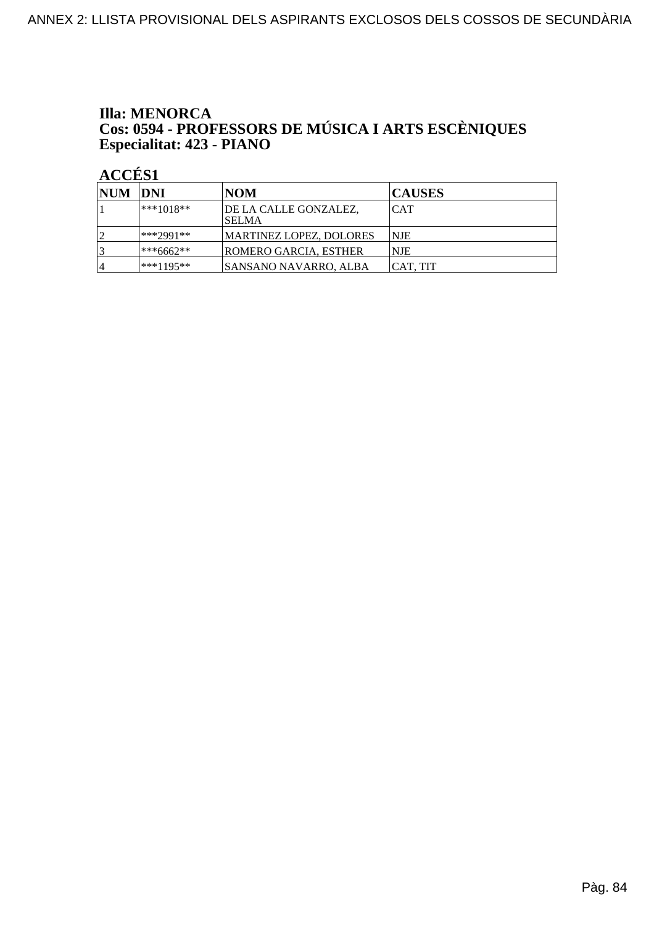# **Illa: MENORCA Cos: 0594 - PROFESSORS DE MÚSICA I ARTS ESCÈNIQUES<br>Especialitat: 423 - PIANO**

 $\angle$  ACCÉS 1

| NUM DNI |              | NOM                             | <b>CAUSES</b> |
|---------|--------------|---------------------------------|---------------|
|         | $ ***1018**$ | DE LA CALLE GONZALEZ.<br>ISELMA | <b>CAT</b>    |
|         | ***2991**    | MARTINEZ LOPEZ, DOLORES         | NJE           |
|         | ***6662**    | ROMERO GARCIA, ESTHER           | <b>NJE</b>    |
| 4       | ***1195**    | SANSANO NAVARRO, ALBA           | ICAT. TIT     |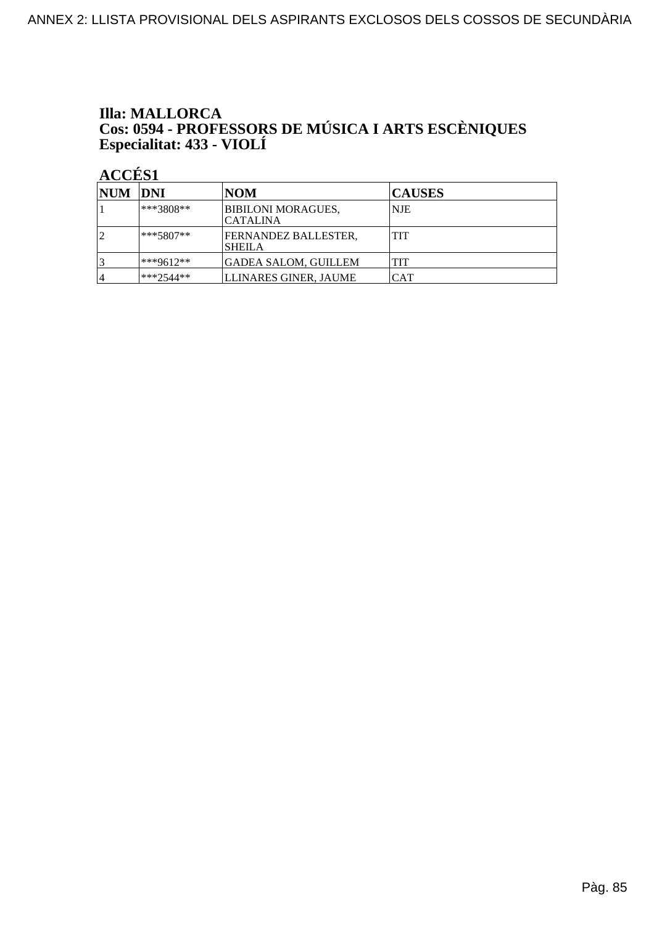# **Illa: MALLORCA** Cos: 0594 - PROFESSORS DE MÚSICA I ARTS ESCÈNIQUES<br>Especialitat: 433 - VIOLÍ

| NUM DNI |              | <b>NOM</b>                                   | <b>CAUSES</b> |
|---------|--------------|----------------------------------------------|---------------|
|         | ***3808**    | <b>BIBILONI MORAGUES,</b><br><b>CATALINA</b> | NJE           |
| ◯       | $ ***5807**$ | FERNANDEZ BALLESTER.<br><b>SHEILA</b>        | TIT           |
|         | ***9612**    | GADEA SALOM, GUILLEM                         | TIT           |
| 4       | $**2544**$   | LLINARES GINER, JAUME                        | CAT           |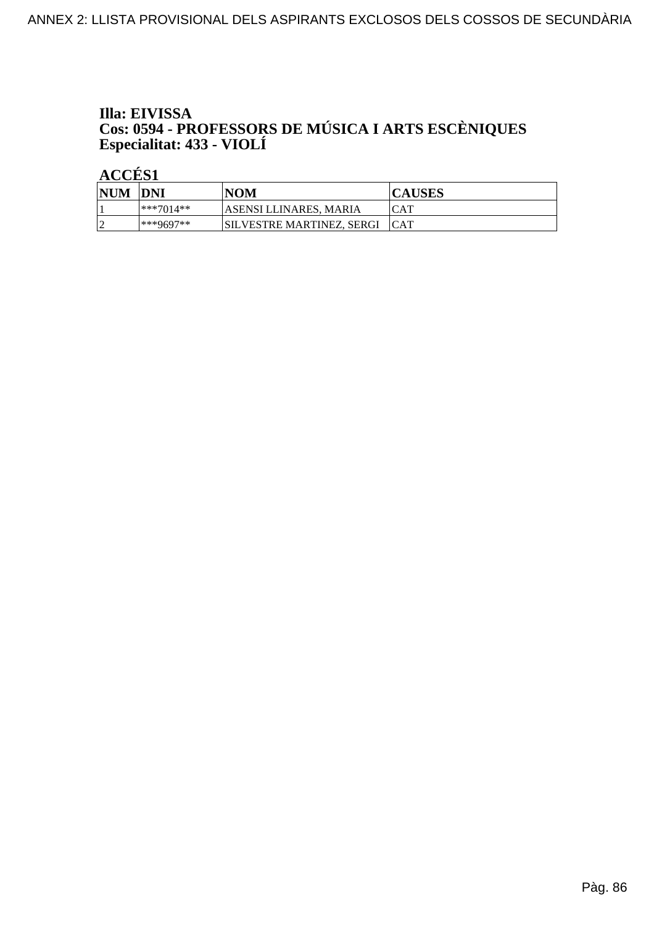# Illa: EIVISSA Cos: 0594 - PROFESSORS DE MÚSICA I ARTS ESCÈNIQUES<br>Especialitat: 433 - VIOLÍ

| <b>NUM</b> | DNI         | <b>NOM</b>                | <b>CAUSES</b> |
|------------|-------------|---------------------------|---------------|
|            | $***7014**$ | 'ASENSI LLINARES, MARIA   | CAT           |
| $\sqrt{ }$ | $***9697**$ | SILVESTRE MARTINEZ. SERGI | <b>ICAT</b>   |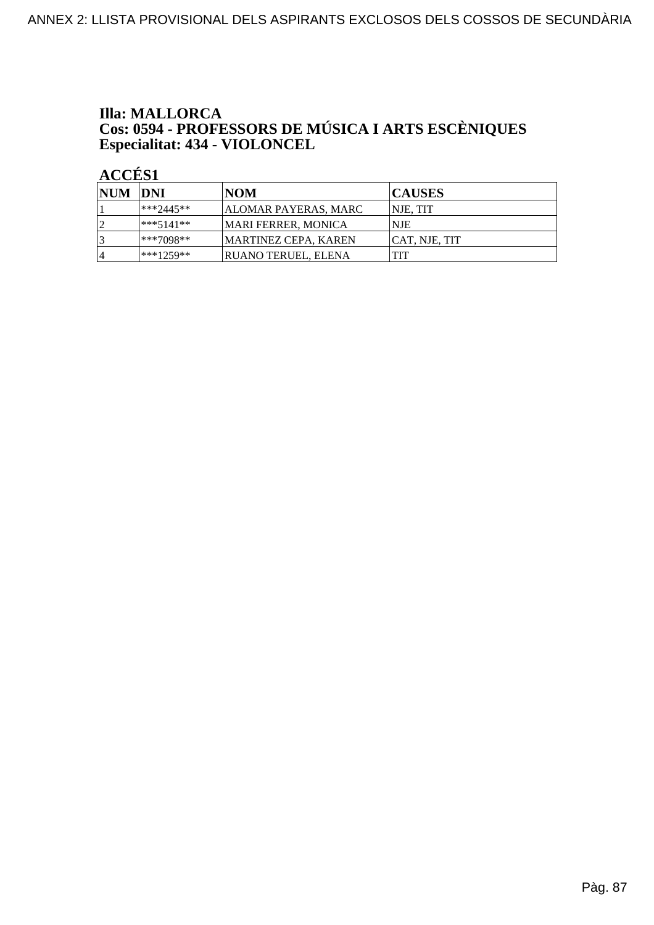# **Illa: MALLORCA Cos: 0594 - PROFESSORS DE MÚSICA I ARTS ESCÈNIQUES<br>Especialitat: 434 - VIOLONCEL**

 $\angle$  ACCÉS 1

| NUM DNI |             | <b>NOM</b>                 | <b>CAUSES</b>        |
|---------|-------------|----------------------------|----------------------|
|         | $**2445**$  | ALOMAR PAYERAS, MARC       | <b>NJE. TIT</b>      |
| ا ∂     | ***5141**   | MARI FERRER. MONICA        | <b>NJE</b>           |
| 3       | ***7098**   | MARTINEZ CEPA. KAREN       | <b>CAT, NJE, TIT</b> |
| 14      | $***1259**$ | <b>RUANO TERUEL, ELENA</b> | TIT                  |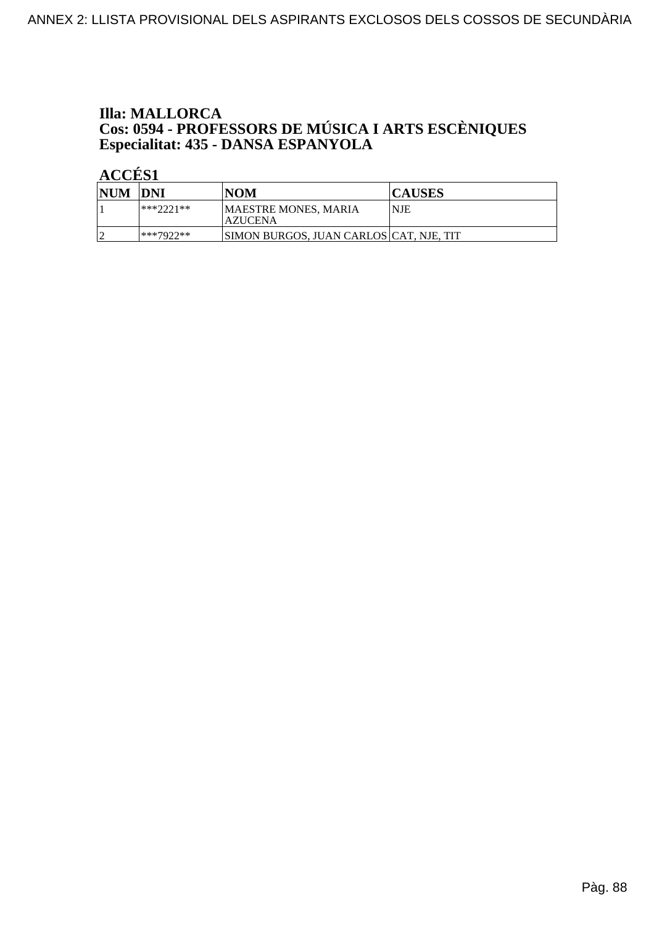#### **Illa: MALLORCA Cos: 0594 - PROFESSORS DE MÚSICA I ARTS ESCÈNIQUES<br>Especialitat: 435 - DANSA ESPANYOLA**

| <b>NUM</b> | <b>IDNI</b> | <b>NOM</b>                               | <b>CAUSES</b> |
|------------|-------------|------------------------------------------|---------------|
|            | ***???1**   | MAESTRE MONES, MARIA<br><b>AZUCENA</b>   | NJE           |
|            | $***7977**$ | SIMON BURGOS, JUAN CARLOS  CAT, NJE, TIT |               |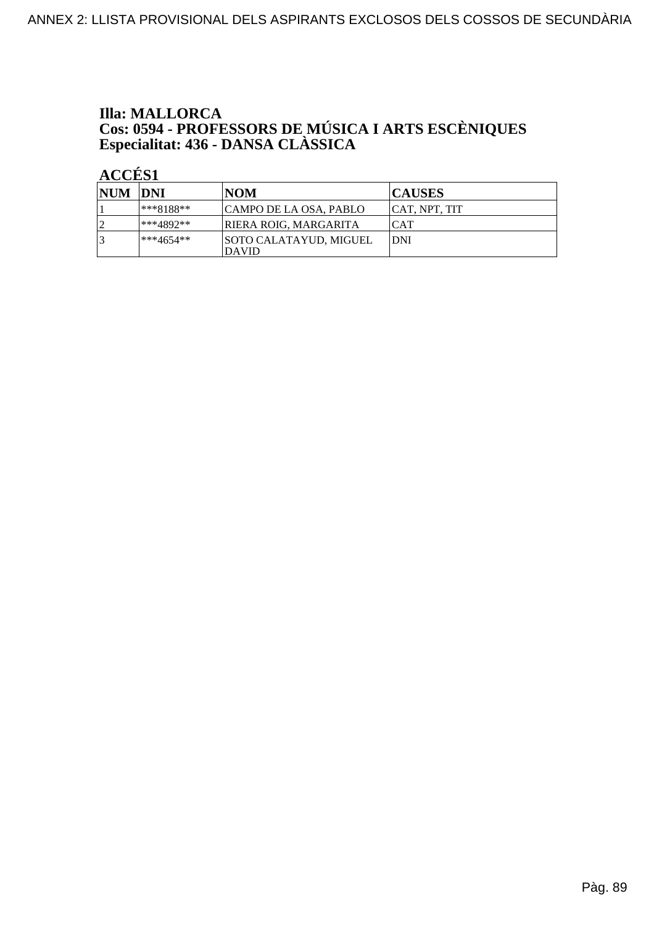# **Illa: MALLORCA Cos: 0594 - PROFESSORS DE MÚSICA I ARTS ESCÈNIQUES<br>Especialitat: 436 - DANSA CLÀSSICA**

| NUM DNI |           | <b>NOM</b>                                    | <b>CAUSES</b>  |
|---------|-----------|-----------------------------------------------|----------------|
|         | ***8188** | CAMPO DE LA OSA, PABLO                        | ICAT. NPT. TIT |
| ◯       | ***4892** | <b>RIERA ROIG, MARGARITA</b>                  | <b>CAT</b>     |
| 2       | ***4654** | <b>SOTO CALATAYUD, MIGUEL</b><br><b>DAVID</b> | IDNI           |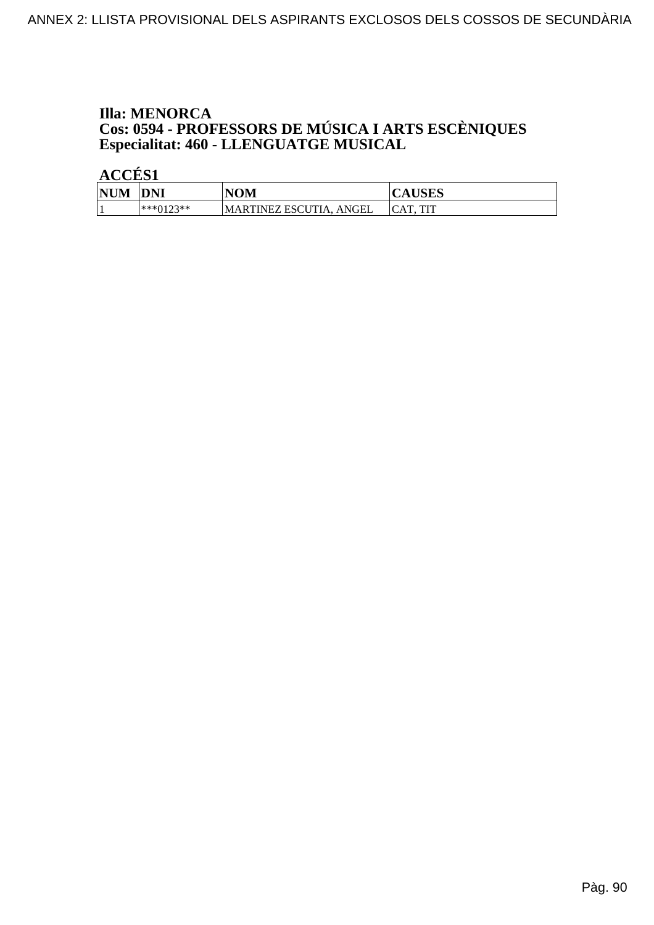# **Illa: MENORCA Cos: 0594 - PROFESSORS DE MÚSICA I ARTS ESCÈNIQUES<br>Especialitat: 460 - LLENGUATGE MUSICAL**

| <b>NUM</b> | <b>DNI</b>        | <b>NOM</b>              | <b>CAUSES</b> |
|------------|-------------------|-------------------------|---------------|
|            | ***∩1つ?**<br>◡▴▱◡ | MARTINEZ ESCUTIA, ANGEL | TIT           |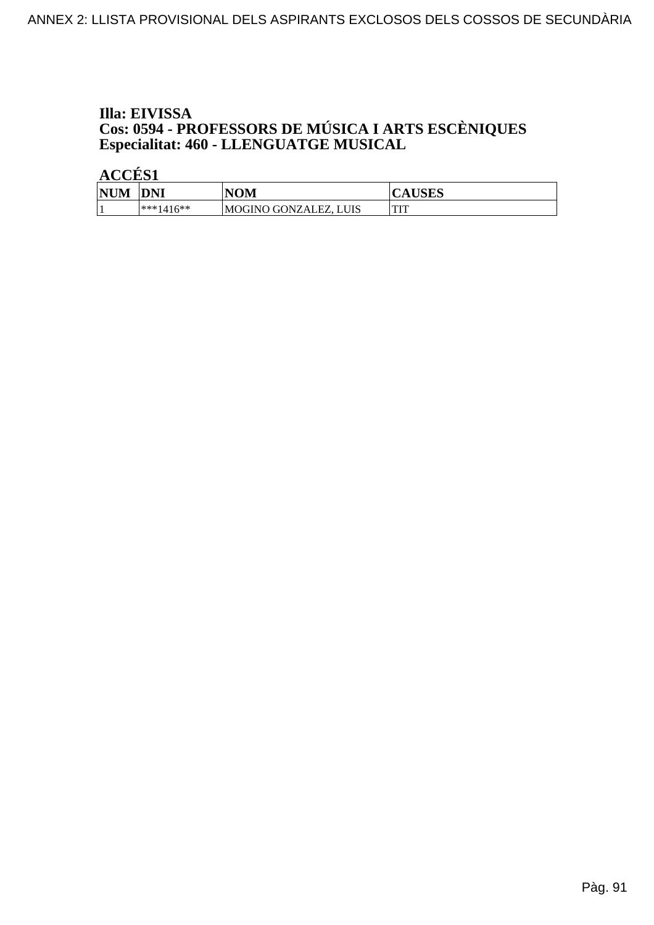# Illa: EIVISSA **Cos: 0594 - PROFESSORS DE MÚSICA I ARTS ESCÈNIQUES<br>Especialitat: 460 - LLENGUATGE MUSICAL**

| <b>NUM</b> | <b>DNI</b>  | NOM              | יזמדים<br>AUSES |
|------------|-------------|------------------|-----------------|
|            | $***1416**$ | MOGINO GONZALEZ, | <b>THT</b><br>  |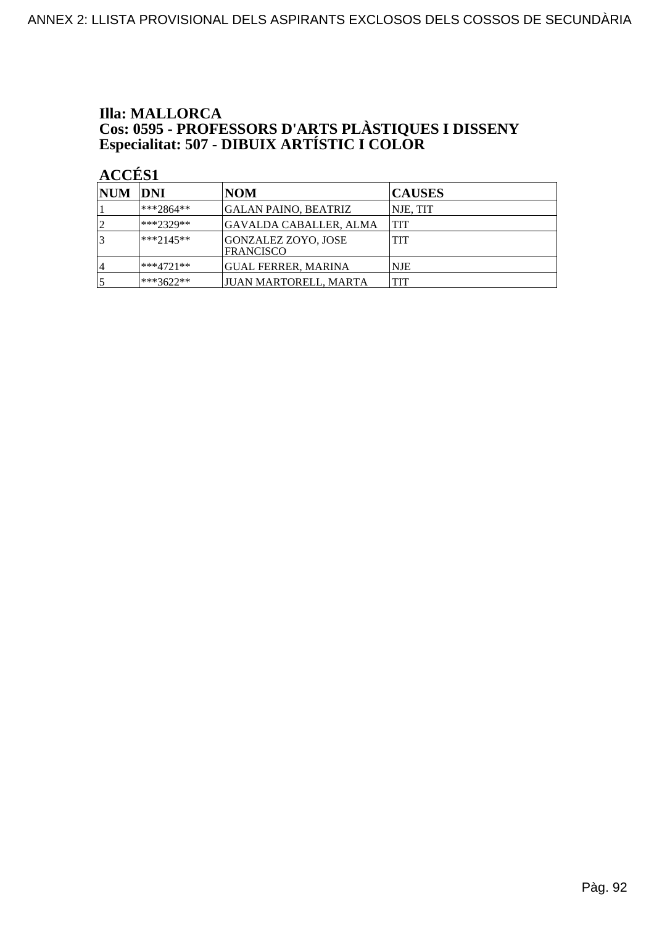#### **Illa: MALLORCA Cos: 0595 - PROFESSORS D'ARTS PLÀSTIQUES I DISSENY<br>Especialitat: 507 - DIBUIX ARTÍSTIC I COLOR**

| NUM DNI |              | NOM                                     | <b>CAUSES</b> |
|---------|--------------|-----------------------------------------|---------------|
|         | ***2864**    | GALAN PAINO, BEATRIZ                    | NJE, TIT      |
|         | ***2329**    | GAVALDA CABALLER, ALMA                  | <b>TIT</b>    |
|         | $**2145**$   | GONZALEZ ZOYO, JOSE<br><b>FRANCISCO</b> | <b>TIT</b>    |
| 4       | $ ***4721**$ | GUAL FERRER, MARINA                     | <b>NJE</b>    |
|         | $ ***3622**$ | JUAN MARTORELL, MARTA                   | <b>TIT</b>    |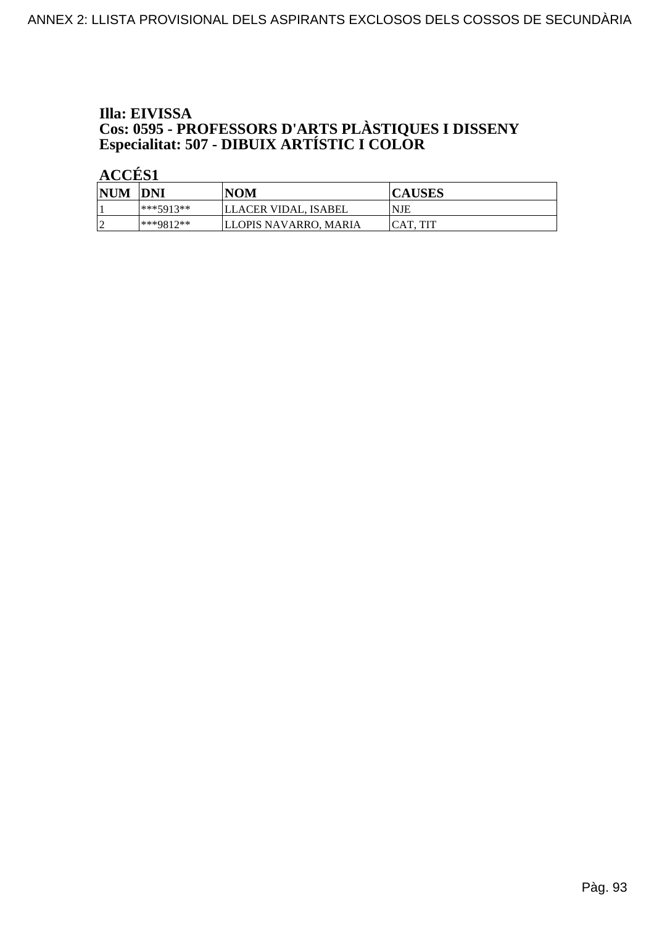#### Illa: EIVISSA **Cos: 0595 - PROFESSORS D'ARTS PLÀSTIQUES I DISSENY<br>Especialitat: 507 - DIBUIX ARTÍSTIC I COLOR**

ACCÉS<sub>1</sub>

| <b>NUM</b> | DNI              | <b>NOM</b>            | <b>CAUSES</b>   |
|------------|------------------|-----------------------|-----------------|
|            | $***5913**$      | LLACER VIDAL, ISABEL  | <b>NJE</b>      |
| $\sqrt{ }$ | $*$ ** $QQ17$ ** | LLOPIS NAVARRO. MARIA | <b>CAT. TIT</b> |